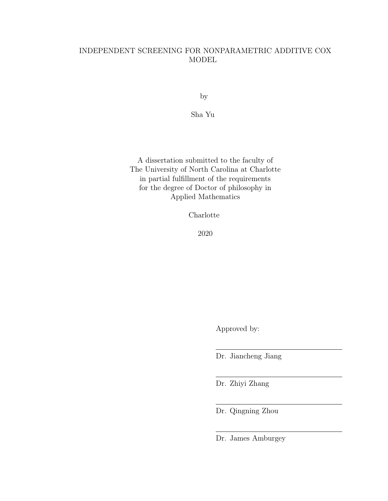# INDEPENDENT SCREENING FOR NONPARAMETRIC ADDITIVE COX MODEL

by

Sha Yu

A dissertation submitted to the faculty of The University of North Carolina at Charlotte in partial fulfillment of the requirements for the degree of Doctor of philosophy in Applied Mathematics

Charlotte

2020

Approved by:

Dr. Jiancheng Jiang

Dr. Zhiyi Zhang

Dr. Qingning Zhou

Dr. James Amburgey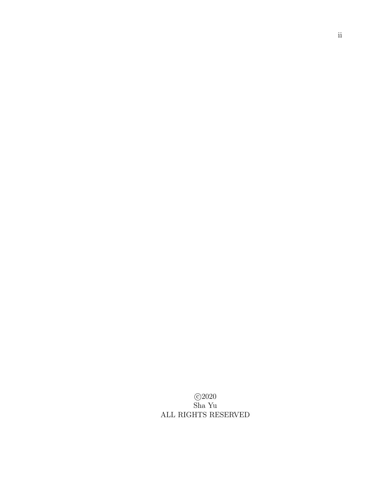c 2020 Sha Yu ALL RIGHTS RESERVED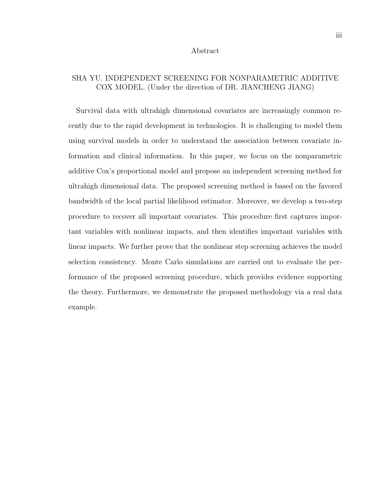#### Abstract

# SHA YU. INDEPENDENT SCREENING FOR NONPARAMETRIC ADDITIVE COX MODEL. (Under the direction of DR. JIANCHENG JIANG)

Survival data with ultrahigh dimensional covariates are increasingly common recently due to the rapid development in technologies. It is challenging to model them using survival models in order to understand the association between covariate information and clinical information. In this paper, we focus on the nonparametric additive Cox's proportional model and propose an independent screening method for ultrahigh dimensional data. The proposed screening method is based on the favored bandwidth of the local partial likelihood estimator. Moreover, we develop a two-step procedure to recover all important covariates. This procedure first captures important variables with nonlinear impacts, and then identifies important variables with linear impacts. We further prove that the nonlinear step screening achieves the model selection consistency. Monte Carlo simulations are carried out to evaluate the performance of the proposed screening procedure, which provides evidence supporting the theory. Furthermore, we demonstrate the proposed methodology via a real data example.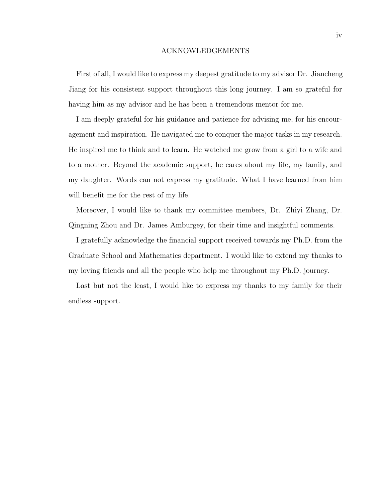#### ACKNOWLEDGEMENTS

First of all, I would like to express my deepest gratitude to my advisor Dr. Jiancheng Jiang for his consistent support throughout this long journey. I am so grateful for having him as my advisor and he has been a tremendous mentor for me.

I am deeply grateful for his guidance and patience for advising me, for his encouragement and inspiration. He navigated me to conquer the major tasks in my research. He inspired me to think and to learn. He watched me grow from a girl to a wife and to a mother. Beyond the academic support, he cares about my life, my family, and my daughter. Words can not express my gratitude. What I have learned from him will benefit me for the rest of my life.

Moreover, I would like to thank my committee members, Dr. Zhiyi Zhang, Dr. Qingning Zhou and Dr. James Amburgey, for their time and insightful comments.

I gratefully acknowledge the financial support received towards my Ph.D. from the Graduate School and Mathematics department. I would like to extend my thanks to my loving friends and all the people who help me throughout my Ph.D. journey.

Last but not the least, I would like to express my thanks to my family for their endless support.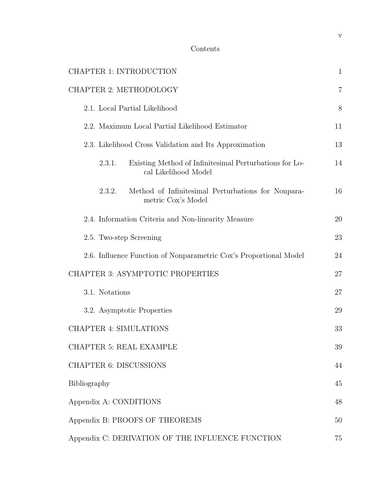| CHAPTER 1: INTRODUCTION                                                                  | $\mathbf{1}$   |
|------------------------------------------------------------------------------------------|----------------|
| <b>CHAPTER 2: METHODOLOGY</b>                                                            | $\overline{7}$ |
| 2.1. Local Partial Likelihood                                                            | 8              |
| 2.2. Maximum Local Partial Likelihood Estimator                                          | 11             |
| 2.3. Likelihood Cross Validation and Its Approximation                                   | 13             |
| Existing Method of Infinitesimal Perturbations for Lo-<br>2.3.1.<br>cal Likelihood Model | 14             |
| 2.3.2.<br>Method of Infinitesimal Perturbations for Nonpara-<br>metric Cox's Model       | 16             |
| 2.4. Information Criteria and Non-linearity Measure                                      | 20             |
| 2.5. Two-step Screening                                                                  | 23             |
| 2.6. Influence Function of Nonparametric Cox's Proportional Model                        | 24             |
| CHAPTER 3: ASYMPTOTIC PROPERTIES                                                         | 27             |
| 3.1. Notations                                                                           | 27             |
| 3.2. Asymptotic Properties                                                               | 29             |
| <b>CHAPTER 4: SIMULATIONS</b>                                                            | 33             |
| <b>CHAPTER 5: REAL EXAMPLE</b>                                                           | 39             |
| <b>CHAPTER 6: DISCUSSIONS</b>                                                            | 44             |
| Bibliography                                                                             | 45             |
| Appendix A: CONDITIONS                                                                   | 48             |
| Appendix B: PROOFS OF THEOREMS                                                           | 50             |
| Appendix C: DERIVATION OF THE INFLUENCE FUNCTION                                         | 75             |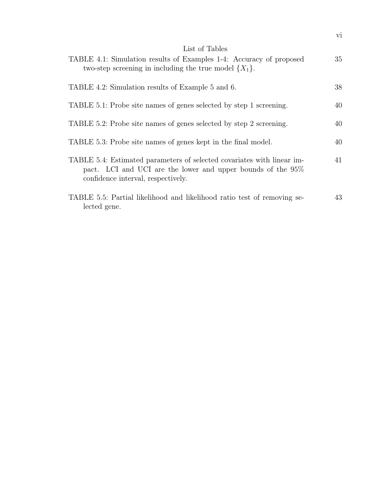| List of Tables                                                                                                                                                                 |    |
|--------------------------------------------------------------------------------------------------------------------------------------------------------------------------------|----|
| TABLE 4.1: Simulation results of Examples 1-4: Accuracy of proposed<br>two-step screening in including the true model $\{X_1\}$ .                                              | 35 |
|                                                                                                                                                                                |    |
| TABLE 4.2: Simulation results of Example 5 and 6.                                                                                                                              | 38 |
|                                                                                                                                                                                |    |
| TABLE 5.1: Probe site names of genes selected by step 1 screening.                                                                                                             | 40 |
|                                                                                                                                                                                |    |
| TABLE 5.2: Probe site names of genes selected by step 2 screening.                                                                                                             | 40 |
| TABLE 5.3: Probe site names of genes kept in the final model.                                                                                                                  | 40 |
|                                                                                                                                                                                |    |
| TABLE 5.4: Estimated parameters of selected covariates with linear im-<br>pact. LCI and UCI are the lower and upper bounds of the $95\%$<br>confidence interval, respectively. | 41 |
|                                                                                                                                                                                | 43 |
| TABLE 5.5: Partial likelihood and likelihood ratio test of removing se-<br>lected gene.                                                                                        |    |
|                                                                                                                                                                                |    |

vi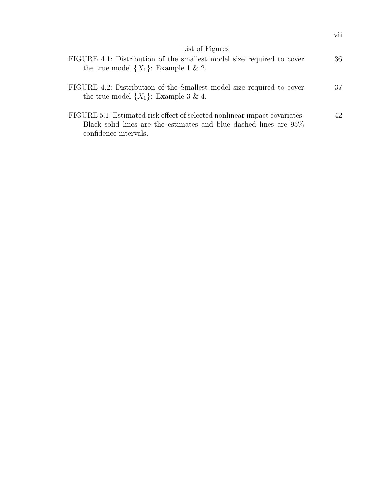| List of Figures                                                                                                                                                             |    |
|-----------------------------------------------------------------------------------------------------------------------------------------------------------------------------|----|
| FIGURE 4.1: Distribution of the smallest model size required to cover<br>the true model $\{X_1\}$ : Example 1 & 2.                                                          | 36 |
| FIGURE 4.2: Distribution of the Smallest model size required to cover<br>the true model $\{X_1\}$ : Example 3 & 4.                                                          | 37 |
| FIGURE 5.1: Estimated risk effect of selected nonlinear impact covariates.<br>Black solid lines are the estimates and blue dashed lines are $95\%$<br>confidence intervals. | 42 |

vii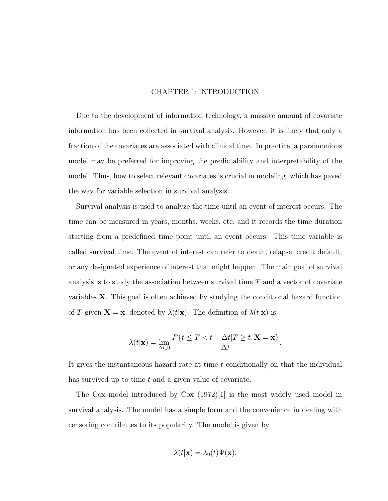### CHAPTER 1: INTRODUCTION

Due to the development of information technology, a massive amount of covariate information has been collected in survival analysis. However, it is likely that only a fraction of the covariates are associated with clinical time. In practice, a parsimonious model may be preferred for improving the predictability and interpretability of the model. Thus, how to select relevant covariates is crucial in modeling, which has paved the way for variable selection in survival analysis.

Survival analysis is used to analyze the time until an event of interest occurs. The time can be measured in years, months, weeks, etc, and it records the time duration starting from a predefined time point until an event occurs. This time variable is called survival time. The event of interest can refer to death, relapse, credit default, or any designated experience of interest that might happen. The main goal of survival analysis is to study the association between survival time  $T$  and a vector of covariate variables X. This goal is often achieved by studying the conditional hazard function of T given  $\mathbf{X} = \mathbf{x}$ , denoted by  $\lambda(t|\mathbf{x})$ . The definition of  $\lambda(t|\mathbf{x})$  is

$$
\lambda(t|\mathbf{x}) = \lim_{\Delta t \downarrow 0} \frac{P\{t \leq T < t + \Delta t | T \geq t, \mathbf{X} = \mathbf{x}\}}{\Delta t}.
$$

It gives the instantaneous hazard rate at time t conditionally on that the individual has survived up to time  $t$  and a given value of covariate.

The Cox model introduced by Cox (1972)[1] is the most widely used model in survival analysis. The model has a simple form and the convenience in dealing with censoring contributes to its popularity. The model is given by

$$
\lambda(t|\mathbf{x}) = \lambda_0(t)\Psi(\mathbf{x}).
$$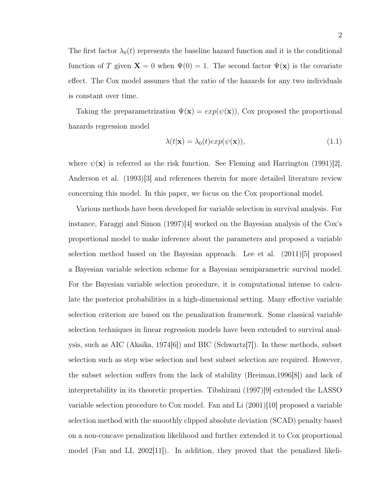The first factor  $\lambda_0(t)$  represents the baseline hazard function and it is the conditional function of T given  $\mathbf{X} = 0$  when  $\Psi(0) = 1$ . The second factor  $\Psi(\mathbf{x})$  is the covariate effect. The Cox model assumes that the ratio of the hazards for any two individuals is constant over time.

Taking the preparametrization  $\Psi(\mathbf{x}) = exp(\psi(\mathbf{x}))$ , Cox proposed the proportional hazards regression model

$$
\lambda(t|\mathbf{x}) = \lambda_0(t)exp(\psi(\mathbf{x})),\tag{1.1}
$$

where  $\psi(\mathbf{x})$  is referred as the risk function. See Fleming and Harrington (1991)[2], Anderson et al. (1993)[3] and references therein for more detailed literature review concerning this model. In this paper, we focus on the Cox proportional model.

Various methods have been developed for variable selection in survival analysis. For instance, Faraggi and Simon (1997)[4] worked on the Bayesian analysis of the Cox's proportional model to make inference about the parameters and proposed a variable selection method based on the Bayesian approach. Lee et al.  $(2011)[5]$  proposed a Bayesian variable selection scheme for a Bayesian semiparametric survival model. For the Bayesian variable selection procedure, it is computational intense to calculate the posterior probabilities in a high-dimensional setting. Many effective variable selection criterion are based on the penalization framework. Some classical variable selection techniques in linear regression models have been extended to survival analysis, such as AIC (Akaika, 1974[6]) and BIC (Schwartz[7]). In these methods, subset selection such as step wise selection and best subset selection are required. However, the subset selection suffers from the lack of stability (Breiman,1996[8]) and lack of interpretability in its theoretic properties. Tibshirani (1997)[9] extended the LASSO variable selection procedure to  $\cos$  model. Fan and Li  $(2001)|10|$  proposed a variable selection method with the smoothly clipped absolute deviation (SCAD) penalty based on a non-concave penalization likelihood and further extended it to Cox proportional model (Fan and LI, 2002[11]). In addition, they proved that the penalized likeli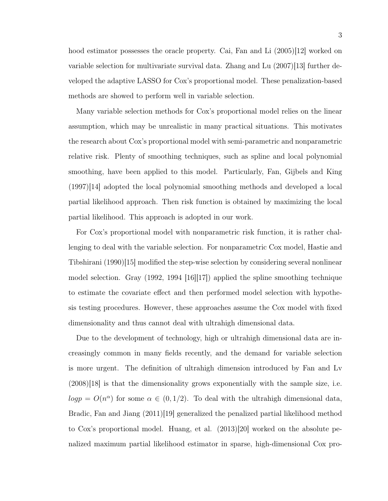hood estimator possesses the oracle property. Cai, Fan and Li (2005)[12] worked on variable selection for multivariate survival data. Zhang and Lu (2007)[13] further developed the adaptive LASSO for Cox's proportional model. These penalization-based

Many variable selection methods for Cox's proportional model relies on the linear assumption, which may be unrealistic in many practical situations. This motivates the research about Cox's proportional model with semi-parametric and nonparametric relative risk. Plenty of smoothing techniques, such as spline and local polynomial smoothing, have been applied to this model. Particularly, Fan, Gijbels and King (1997)[14] adopted the local polynomial smoothing methods and developed a local partial likelihood approach. Then risk function is obtained by maximizing the local partial likelihood. This approach is adopted in our work.

methods are showed to perform well in variable selection.

For Cox's proportional model with nonparametric risk function, it is rather challenging to deal with the variable selection. For nonparametric Cox model, Hastie and Tibshirani (1990)[15] modified the step-wise selection by considering several nonlinear model selection. Gray (1992, 1994 [16][17]) applied the spline smoothing technique to estimate the covariate effect and then performed model selection with hypothesis testing procedures. However, these approaches assume the Cox model with fixed dimensionality and thus cannot deal with ultrahigh dimensional data.

Due to the development of technology, high or ultrahigh dimensional data are increasingly common in many fields recently, and the demand for variable selection is more urgent. The definition of ultrahigh dimension introduced by Fan and Lv  $(2008)|18|$  is that the dimensionality grows exponentially with the sample size, i.e.  $log p = O(n^{\alpha})$  for some  $\alpha \in (0, 1/2)$ . To deal with the ultrahigh dimensional data, Bradic, Fan and Jiang (2011)[19] generalized the penalized partial likelihood method to Cox's proportional model. Huang, et al. (2013)[20] worked on the absolute penalized maximum partial likelihood estimator in sparse, high-dimensional Cox pro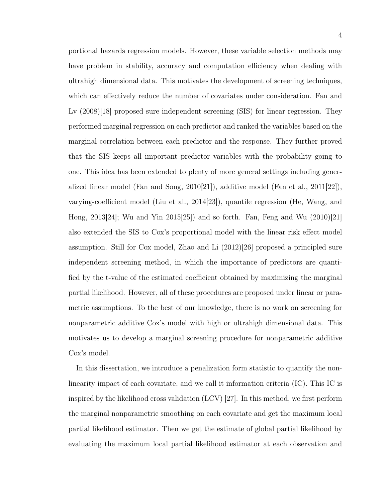portional hazards regression models. However, these variable selection methods may have problem in stability, accuracy and computation efficiency when dealing with ultrahigh dimensional data. This motivates the development of screening techniques, which can effectively reduce the number of covariates under consideration. Fan and Lv  $(2008)[18]$  proposed sure independent screening (SIS) for linear regression. They performed marginal regression on each predictor and ranked the variables based on the marginal correlation between each predictor and the response. They further proved that the SIS keeps all important predictor variables with the probability going to

one. This idea has been extended to plenty of more general settings including generalized linear model (Fan and Song, 2010[21]), additive model (Fan et al., 2011[22]), varying-coefficient model (Liu et al., 2014[23]), quantile regression (He, Wang, and Hong, 2013[24]; Wu and Yin 2015[25]) and so forth. Fan, Feng and Wu (2010)[21] also extended the SIS to Cox's proportional model with the linear risk effect model assumption. Still for Cox model, Zhao and Li (2012)[26] proposed a principled sure independent screening method, in which the importance of predictors are quantified by the t-value of the estimated coefficient obtained by maximizing the marginal partial likelihood. However, all of these procedures are proposed under linear or parametric assumptions. To the best of our knowledge, there is no work on screening for nonparametric additive Cox's model with high or ultrahigh dimensional data. This motivates us to develop a marginal screening procedure for nonparametric additive Cox's model.

In this dissertation, we introduce a penalization form statistic to quantify the nonlinearity impact of each covariate, and we call it information criteria (IC). This IC is inspired by the likelihood cross validation (LCV) [27]. In this method, we first perform the marginal nonparametric smoothing on each covariate and get the maximum local partial likelihood estimator. Then we get the estimate of global partial likelihood by evaluating the maximum local partial likelihood estimator at each observation and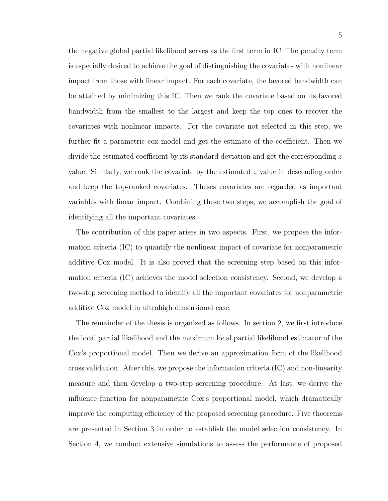the negative global partial likelihood serves as the first term in IC. The penalty term is especially desired to achieve the goal of distinguishing the covariates with nonlinear impact from those with linear impact. For each covariate, the favored bandwidth can be attained by minimizing this IC. Then we rank the covariate based on its favored bandwidth from the smallest to the largest and keep the top ones to recover the covariates with nonlinear impacts. For the covariate not selected in this step, we further fit a parametric cox model and get the estimate of the coefficient. Then we divide the estimated coefficient by its standard deviation and get the corresponding z value. Similarly, we rank the covariate by the estimated z value in descending order and keep the top-ranked covariates. Theses covariates are regarded as important variables with linear impact. Combining these two steps, we accomplish the goal of identifying all the important covariates.

The contribution of this paper arises in two aspects. First, we propose the information criteria (IC) to quantify the nonlinear impact of covariate for nonparametric additive Cox model. It is also proved that the screening step based on this information criteria (IC) achieves the model selection consistency. Second, we develop a two-step screening method to identify all the important covariates for nonparametric additive Cox model in ultrahigh dimensional case.

The remainder of the thesis is organized as follows. In section 2, we first introduce the local partial likelihood and the maximum local partial likelihood estimator of the Cox's proportional model. Then we derive an approximation form of the likelihood cross validation. After this, we propose the information criteria (IC) and non-linearity measure and then develop a two-step screening procedure. At last, we derive the influence function for nonparametric Cox's proportional model, which dramatically improve the computing efficiency of the proposed screening procedure. Five theorems are presented in Section 3 in order to establish the model selection consistency. In Section 4, we conduct extensive simulations to assess the performance of proposed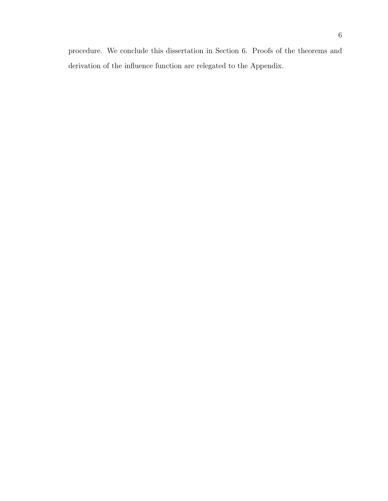procedure. We conclude this dissertation in Section 6. Proofs of the theorems and derivation of the influence function are relegated to the Appendix.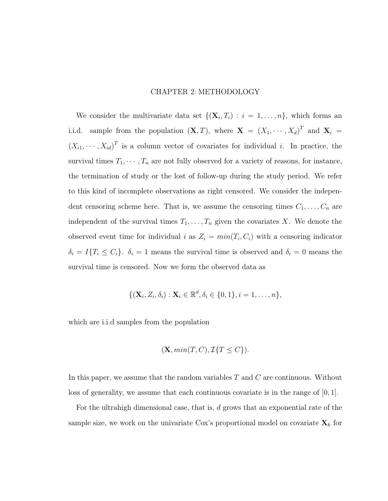# CHAPTER 2: METHODOLOGY

We consider the multivariate data set  $\{(\mathbf{X}_i, T_i) : i = 1, \ldots, n\}$ , which forms an i.i.d. sample from the population  $(X, T)$ , where  $X = (X_1, \dots, X_d)^T$  and  $X_i =$  $(X_{i1},\dots, X_{id})^T$  is a column vector of covariates for individual *i*. In practice, the survival times  $T_1, \dots, T_n$  are not fully observed for a variety of reasons, for instance, the termination of study or the lost of follow-up during the study period. We refer to this kind of incomplete observations as right censored. We consider the independent censoring scheme here. That is, we assume the censoring times  $C_1, \ldots, C_n$  are independent of the survival times  $T_1, \ldots, T_n$  given the covariates X. We denote the observed event time for individual i as  $Z_i = min(T_i, C_i)$  with a censoring indicator  $\delta_i = I\{T_i \leq C_i\}$ .  $\delta_i = 1$  means the survival time is observed and  $\delta_i = 0$  means the survival time is censored. Now we form the observed data as

$$
\{(\mathbf{X}_i, Z_i, \delta_i) : \mathbf{X}_i \in \mathbb{R}^d, \delta_i \in \{0, 1\}, i = 1, \ldots, n\},\
$$

which are i.i.d samples from the population

$$
(\mathbf{X}, \min(T, C), \mathcal{I}\{T \le C\}).
$$

In this paper, we assume that the random variables  $T$  and  $C$  are continuous. Without loss of generality, we assume that each continuous covariate is in the range of  $[0, 1]$ .

For the ultrahigh dimensional case, that is, d grows that an exponential rate of the sample size, we work on the univariate Cox's proportional model on covariate  $\mathbf{X}_k$  for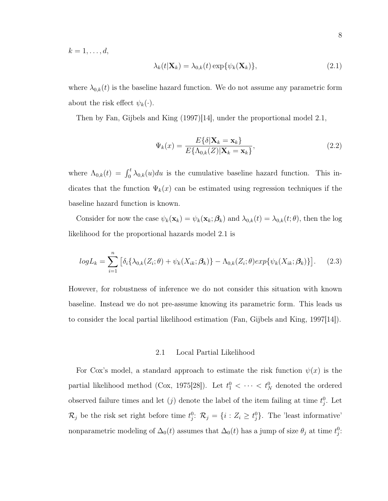$k=1,\ldots,d,$ 

$$
\lambda_k(t|\mathbf{X}_k) = \lambda_{0,k}(t) \exp{\{\psi_k(\mathbf{X}_k)\}},\tag{2.1}
$$

where  $\lambda_{0,k}(t)$  is the baseline hazard function. We do not assume any parametric form about the risk effect  $\psi_k(\cdot)$ .

Then by Fan, Gijbels and King (1997)[14], under the proportional model 2.1,

$$
\Psi_k(x) = \frac{E\{\delta|\mathbf{X}_k = \mathbf{x}_k\}}{E\{\Lambda_{0,k}(Z)|\mathbf{X}_k = \mathbf{x}_k\}},\tag{2.2}
$$

where  $\Lambda_{0,k}(t) = \int_0^t \lambda_{0,k}(u)du$  is the cumulative baseline hazard function. This indicates that the function  $\Psi_k(x)$  can be estimated using regression techniques if the baseline hazard function is known.

Consider for now the case  $\psi_k(\mathbf{x}_k) = \psi_k(\mathbf{x}_k; \boldsymbol{\beta}_k)$  and  $\lambda_{0,k}(t) = \lambda_{0,k}(t; \theta)$ , then the log likelihood for the proportional hazards model 2.1 is

$$
log L_k = \sum_{i=1}^{n} \left[ \delta_i \{ \lambda_{0,k}(Z_i; \theta) + \psi_k(X_{ik}; \beta_k) \} - \Lambda_{0,k}(Z_i; \theta) exp\{\psi_k(X_{ik}; \beta_k) \} \right].
$$
 (2.3)

However, for robustness of inference we do not consider this situation with known baseline. Instead we do not pre-assume knowing its parametric form. This leads us to consider the local partial likelihood estimation (Fan, Gijbels and King, 1997[14]).

#### 2.1 Local Partial Likelihood

For Cox's model, a standard approach to estimate the risk function  $\psi(x)$  is the partial likelihood method (Cox, 1975[28]). Let  $t_1^0 < \cdots < t_N^0$  denoted the ordered observed failure times and let  $(j)$  denote the label of the item failing at time  $t_j^0$ . Let  $\mathcal{R}_j$  be the risk set right before time  $t_j^0$ :  $\mathcal{R}_j = \{i : Z_i \ge t_j^0\}$ . The 'least informative' nonparametric modeling of  $\Delta_0(t)$  assumes that  $\Delta_0(t)$  has a jump of size  $\theta_j$  at time  $t_j^0$ :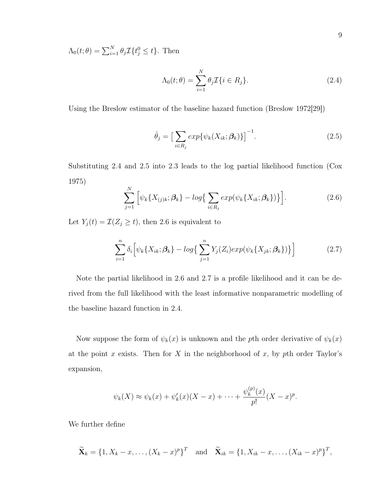$\Lambda_0(t; \theta) = \sum_{i=1}^N \theta_i \mathcal{I}\{t_j^0 \leq t\}.$  Then

$$
\Lambda_0(t; \theta) = \sum_{i=1}^N \theta_i \mathcal{I}\{i \in R_j\}.
$$
\n(2.4)

Using the Breslow estimator of the baseline hazard function (Breslow 1972[29])

$$
\hat{\theta}_j = \left[\sum_{i \in R_j} exp\{\psi_k(X_{ik}; \beta_k)\}\right]^{-1}.\tag{2.5}
$$

Substituting 2.4 and 2.5 into 2.3 leads to the log partial likelihood function (Cox 1975)

$$
\sum_{j=1}^{N} \left[ \psi_k \{ X_{(j)k}; \beta_k \} - \log \{ \sum_{i \in R_j} \exp(\psi_k \{ X_{ik}; \beta_k \}) \} \right].
$$
 (2.6)

Let  $Y_j(t) = \mathcal{I}(Z_j \ge t)$ , then 2.6 is equivalent to

$$
\sum_{i=1}^{n} \delta_i \left[ \psi_k \{ X_{ik}; \beta_k \} - \log \left\{ \sum_{j=1}^{n} Y_j(Z_i) \exp(\psi_k \{ X_{jk}; \beta_k \}) \right\} \right] \tag{2.7}
$$

Note the partial likelihood in 2.6 and 2.7 is a profile likelihood and it can be derived from the full likelihood with the least informative nonparametric modelling of the baseline hazard function in 2.4.

Now suppose the form of  $\psi_k(x)$  is unknown and the pth order derivative of  $\psi_k(x)$ at the point x exists. Then for X in the neighborhood of x, by pth order Taylor's expansion,

$$
\psi_k(X) \approx \psi_k(x) + \psi'_k(x)(X-x) + \cdots + \frac{\psi_k^{(p)}(x)}{p!}(X-x)^p.
$$

We further define

$$
\widetilde{\mathbf{X}}_k = \{1, X_k - x, \dots, (X_k - x)^p\}^T \text{ and } \widetilde{\mathbf{X}}_{ik} = \{1, X_{ik} - x, \dots, (X_{ik} - x)^p\}^T,
$$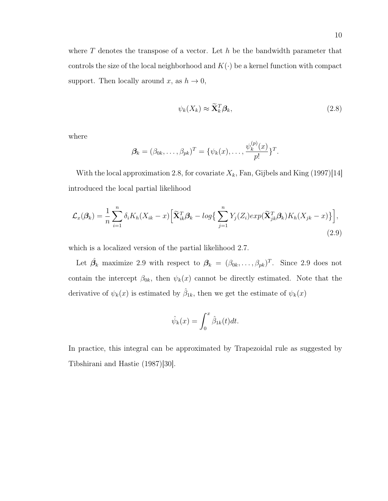where  $T$  denotes the transpose of a vector. Let  $h$  be the bandwidth parameter that controls the size of the local neighborhood and  $K(\cdot)$  be a kernel function with compact support. Then locally around x, as  $h \to 0$ ,

$$
\psi_k(X_k) \approx \widetilde{\mathbf{X}}_k^T \boldsymbol{\beta}_k, \tag{2.8}
$$

where

$$
\boldsymbol{\beta}_k = (\beta_{0k}, \dots, \beta_{pk})^T = \{ \psi_k(x), \dots, \frac{\psi_k^{(p)}(x)}{p!} \}^T.
$$

With the local approximation 2.8, for covariate  $X_k$ , Fan, Gijbels and King (1997)[14] introduced the local partial likelihood

$$
\mathcal{L}_x(\beta_k) = \frac{1}{n} \sum_{i=1}^n \delta_i K_h (X_{ik} - x) \Big[ \widetilde{\mathbf{X}}_{ik}^T \beta_k - \log \Big\{ \sum_{j=1}^n Y_j (Z_i) \exp(\widetilde{\mathbf{X}}_{jk}^T \beta_k) K_h (X_{jk} - x) \Big\} \Big],
$$
\n(2.9)

which is a localized version of the partial likelihood 2.7.

Let  $\hat{\beta_k}$  maximize 2.9 with respect to  $\beta_k = (\beta_{0k}, \ldots, \beta_{pk})^T$ . Since 2.9 does not contain the intercept  $\beta_{0k}$ , then  $\psi_k(x)$  cannot be directly estimated. Note that the derivative of  $\psi_k(x)$  is estimated by  $\hat{\beta}_{1k}$ , then we get the estimate of  $\psi_k(x)$ 

$$
\hat{\psi}_k(x) = \int_0^x \hat{\beta}_{1k}(t)dt.
$$

In practice, this integral can be approximated by Trapezoidal rule as suggested by Tibshirani and Hastie (1987)[30].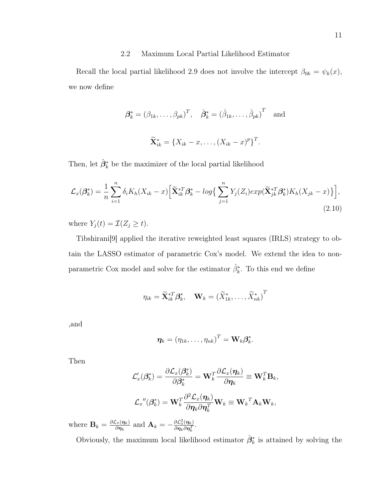# 2.2 Maximum Local Partial Likelihood Estimator

Recall the local partial likelihood 2.9 does not involve the intercept  $\beta_{0k} = \psi_k(x)$ , we now define

$$
\mathcal{B}_k^* = (\beta_{1k}, \dots, \beta_{pk})^T, \quad \hat{\mathcal{B}}_k^* = (\hat{\beta}_{1k}, \dots, \hat{\beta}_{pk})^T \text{ and}
$$

$$
\widetilde{\mathbf{X}}_{ik}^* = \{X_{ik} - x, \dots, (X_{ik} - x)^p\}^T.
$$

Then, let  $\hat{\beta}_k^*$  be the maximizer of the local partial likelihood

$$
\mathcal{L}_x(\beta_k^*) = \frac{1}{n} \sum_{i=1}^n \delta_i K_h(X_{ik} - x) \Big[ \widetilde{\mathbf{X}}_{ik}^{*T} \beta_k^* - \log \Big\{ \sum_{j=1}^n Y_j(Z_i) \exp(\widetilde{\mathbf{X}}_{jk}^{*T} \beta_k^*) K_h(X_{jk} - x) \Big\} \Big],\tag{2.10}
$$

where  $Y_j(t) = \mathcal{I}(Z_j \geq t)$ .

Tibshirani[9] applied the iterative reweighted least squares (IRLS) strategy to obtain the LASSO estimator of parametric Cox's model. We extend the idea to nonparametric Cox model and solve for the estimator  $\hat{\beta}_k^*$ . To this end we define

$$
\eta_{ik} = \widetilde{\mathbf{X}}_{ik}^{*T} \boldsymbol{\beta}_k^*, \quad \mathbf{W}_k = \left(\widetilde{X}_{1k}^*, \ldots, \widetilde{X}_{nk}^*\right)^T
$$

,and

$$
\boldsymbol{\eta}_k = \left(\eta_{1k}, \ldots, \eta_{nk}\right)^T = \mathbf{W}_k \boldsymbol{\beta}_k^*.
$$

Then

$$
\mathcal{L}'_x(\beta_k^*) = \frac{\partial \mathcal{L}_x(\beta_k^*)}{\partial \beta_k^*} = \mathbf{W}_k^T \frac{\partial \mathcal{L}_x(\eta_k)}{\partial \eta_k} \equiv \mathbf{W}_k^T \mathbf{B}_k,
$$
  

$$
\mathcal{L}_x''(\beta_k^*) = \mathbf{W}_k^T \frac{\partial^2 \mathcal{L}_x(\eta_k)}{\partial \eta_k \partial \eta_k^T} \mathbf{W}_k \equiv \mathbf{W}_k^T \mathbf{A}_k \mathbf{W}_k,
$$

where  $\mathbf{B}_k = \frac{\partial \mathcal{L}_x(\eta_k)}{\partial \eta_k}$  $\frac{\mathcal{L}_x(\bm{\eta}_k)}{\partial \bm{\eta}_k}$  and  $\mathbf{A}_k = -\frac{\partial \mathcal{L}_x^2(\bm{\eta}_k)}{\partial \bm{\eta}_k \partial \bm{\eta}_k^T}$  $\frac{\partial \mathcal{L}^{\text{x}}_x(\boldsymbol{\eta}_k)}{\partial \boldsymbol{\eta}_k \partial \boldsymbol{\eta}_k^T}.$ 

Obviously, the maximum local likelihood estimator  $\hat{\beta}_k^*$  is attained by solving the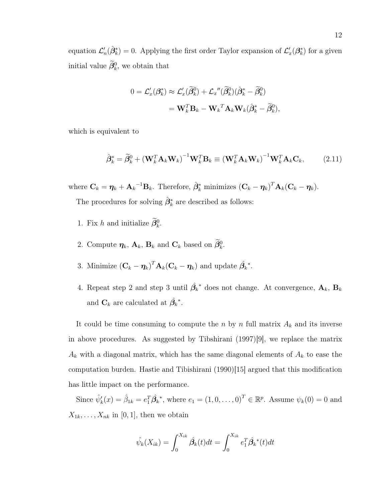equation  $\mathcal{L}'_n(\hat{\beta}_k^*) = 0$ . Applying the first order Taylor expansion of  $\mathcal{L}'_n(\beta_k^*)$  for a given initial value  $\beta_k^0$ , we obtain that

$$
0 = \mathcal{L}'_x(\beta_k^*) \approx \mathcal{L}'_x(\widetilde{\beta}_k^0) + \mathcal{L}_x''(\widetilde{\beta}_k^0)(\hat{\beta}_k^* - \widetilde{\beta}_k^0)
$$
  
=  $\mathbf{W}_k^T \mathbf{B}_k - \mathbf{W}_k^T \mathbf{A}_k \mathbf{W}_k(\hat{\beta}_k^* - \widetilde{\beta}_k^0),$ 

which is equivalent to

$$
\hat{\boldsymbol{\beta}}_k^* = \tilde{\boldsymbol{\beta}}_k^0 + (\mathbf{W}_k^T \mathbf{A}_k \mathbf{W}_k)^{-1} \mathbf{W}_k^T \mathbf{B}_k \equiv (\mathbf{W}_k^T \mathbf{A}_k \mathbf{W}_k)^{-1} \mathbf{W}_k^T \mathbf{A}_k \mathbf{C}_k, \qquad (2.11)
$$

where  $\mathbf{C}_k = \boldsymbol{\eta}_k + \mathbf{A}_k^{-1} \mathbf{B}_k$ . Therefore,  $\hat{\boldsymbol{\beta}}_k^*$  minimizes  $(\mathbf{C}_k - \boldsymbol{\eta}_k)^T \mathbf{A}_k (\mathbf{C}_k - \boldsymbol{\eta}_k)$ .

The procedures for solving  $\hat{\beta}_k^*$  are described as follows:

- 1. Fix h and initialize  $\beta_k^0$ .
- 2. Compute  $\eta_k$ ,  $\mathbf{A}_k$ ,  $\mathbf{B}_k$  and  $\mathbf{C}_k$  based on  $\beta_k^0$ .
- 3. Minimize  $(\mathbf{C}_k \boldsymbol{\eta}_k)^T \mathbf{A}_k (\mathbf{C}_k \boldsymbol{\eta}_k)$  and update  $\hat{\beta_k}^*$ .
- 4. Repeat step 2 and step 3 until  $\hat{\beta_k}^*$  does not change. At convergence,  $\mathbf{A}_k$ ,  $\mathbf{B}_k$ and  $\mathbf{C}_k$  are calculated at  $\hat{\beta_k}^*$ .

It could be time consuming to compute the n by n full matrix  $A_k$  and its inverse in above procedures. As suggested by Tibshirani (1997)[9], we replace the matrix  $A_k$  with a diagonal matrix, which has the same diagonal elements of  $A_k$  to ease the computation burden. Hastie and Tibishirani (1990)[15] argued that this modification has little impact on the performance.

Since  $\hat{\psi}'_k(x) = \hat{\beta}_{1k} = e_1^T \hat{\beta}_k^*$ , where  $e_1 = (1, 0, \dots, 0)^T \in \mathbb{R}^p$ . Assume  $\psi_k(0) = 0$  and  $X_{1k}, \ldots, X_{nk}$  in [0, 1], then we obtain

$$
\hat{\psi}_k(X_{ik}) = \int_0^{X_{ik}} \hat{\beta}_k(t)dt = \int_0^{X_{ik}} e_1^T \hat{\beta}_k^*(t)dt
$$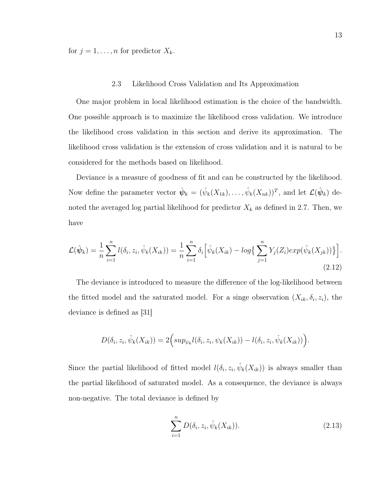for  $j = 1, ..., n$  for predictor  $X_k$ .

## 2.3 Likelihood Cross Validation and Its Approximation

One major problem in local likelihood estimation is the choice of the bandwidth. One possible approach is to maximize the likelihood cross validation. We introduce the likelihood cross validation in this section and derive its approximation. The likelihood cross validation is the extension of cross validation and it is natural to be considered for the methods based on likelihood.

Deviance is a measure of goodness of fit and can be constructed by the likelihood. Now define the parameter vector  $\hat{\psi}_k = (\hat{\psi}_k(X_{1k}), \dots, \hat{\psi}_k(X_{nk}))^T$ , and let  $\mathcal{L}(\hat{\psi}_k)$  denoted the averaged log partial likelihood for predictor  $X_k$  as defined in 2.7. Then, we have

$$
\mathcal{L}(\hat{\psi}_k) = \frac{1}{n} \sum_{i=1}^n l(\delta_i, z_i, \hat{\psi}_k(X_{ik})) = \frac{1}{n} \sum_{i=1}^n \delta_i \Big[ \hat{\psi}_k(X_{ik}) - \log \Big\{ \sum_{j=1}^n Y_j(Z_i) \exp(\hat{\psi}_k(X_{jk})) \Big\} \Big].
$$
\n(2.12)

The deviance is introduced to measure the difference of the log-likelihood between the fitted model and the saturated model. For a singe observation  $(X_{ik}, \delta_i, z_i)$ , the deviance is defined as [31]

$$
D(\delta_i, z_i, \hat{\psi}_k(X_{ik})) = 2\Big(\sup_{\psi_k} l(\delta_i, z_i, \psi_k(X_{ik})) - l(\delta_i, z_i, \hat{\psi}_k(X_{ik}))\Big).
$$

Since the partial likelihood of fitted model  $l(\delta_i, z_i, \hat{\psi}_k(X_{ik}))$  is always smaller than the partial likelihood of saturated model. As a consequence, the deviance is always non-negative. The total deviance is defined by

$$
\sum_{i=1}^{n} D(\delta_i, z_i, \hat{\psi}_k(X_{ik})).
$$
\n(2.13)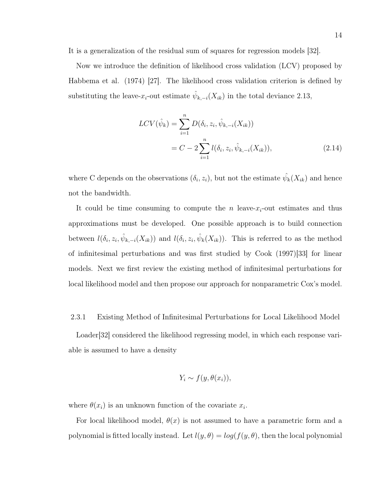It is a generalization of the residual sum of squares for regression models [32].

Now we introduce the definition of likelihood cross validation (LCV) proposed by Habbema et al. (1974) [27]. The likelihood cross validation criterion is defined by substituting the leave- $x_i$ -out estimate  $\hat{\psi}_{k,-i}(X_{ik})$  in the total deviance 2.13,

$$
LCV(\hat{\psi}_k) = \sum_{i=1}^n D(\delta_i, z_i, \hat{\psi}_{k,-i}(X_{ik}))
$$
  
=  $C - 2 \sum_{i=1}^n l(\delta_i, z_i, \hat{\psi}_{k,-i}(X_{ik})),$  (2.14)

where C depends on the observations  $(\delta_i, z_i)$ , but not the estimate  $\hat{\psi}_k(X_{ik})$  and hence not the bandwidth.

It could be time consuming to compute the n leave- $x_i$ -out estimates and thus approximations must be developed. One possible approach is to build connection between  $l(\delta_i, z_i, \hat{\psi}_{k,-i}(X_{ik}))$  and  $l(\delta_i, z_i, \hat{\psi}_k(X_{ik}))$ . This is referred to as the method of infinitesimal perturbations and was first studied by Cook (1997)[33] for linear models. Next we first review the existing method of infinitesimal perturbations for local likelihood model and then propose our approach for nonparametric Cox's model.

## 2.3.1 Existing Method of Infinitesimal Perturbations for Local Likelihood Model

Loader[32] considered the likelihood regressing model, in which each response variable is assumed to have a density

$$
Y_i \sim f(y, \theta(x_i)),
$$

where  $\theta(x_i)$  is an unknown function of the covariate  $x_i$ .

For local likelihood model,  $\theta(x)$  is not assumed to have a parametric form and a polynomial is fitted locally instead. Let  $l(y, \theta) = log(f(y, \theta))$ , then the local polynomial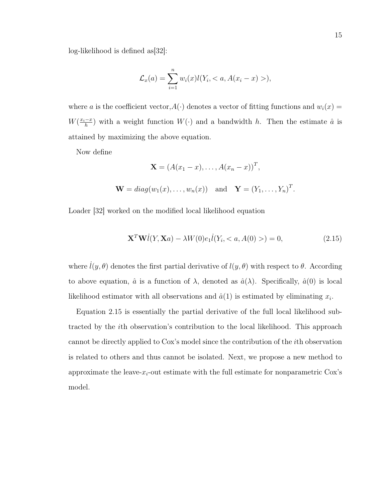log-likelihood is defined as[32]:

$$
\mathcal{L}_x(a) = \sum_{i=1}^n w_i(x) l(Y_i, < a, A(x_i - x) >),
$$

where a is the coefficient vector,  $A(\cdot)$  denotes a vector of fitting functions and  $w_i(x) =$  $W\left(\frac{x_i-x}{b}\right)$  $\frac{-x}{h}$  with a weight function  $W(\cdot)$  and a bandwidth h. Then the estimate  $\hat{a}$  is attained by maximizing the above equation.

Now define

$$
\mathbf{X} = (A(x_1 - x), \dots, A(x_n - x))^T,
$$
  

$$
\mathbf{W} = diag(w_1(x), \dots, w_n(x)) \text{ and } \mathbf{Y} = (Y_1, \dots, Y_n)^T.
$$

Loader [32] worked on the modified local likelihood equation

$$
\mathbf{X}^T \mathbf{W} i(Y, \mathbf{X}a) - \lambda W(0) e_1 i(Y_i, < a, A(0) >) = 0,\tag{2.15}
$$

where  $\dot{l}(y,\theta)$  denotes the first partial derivative of  $l(y,\theta)$  with respect to  $\theta$ . According to above equation,  $\hat{a}$  is a function of  $\lambda$ , denoted as  $\hat{a}(\lambda)$ . Specifically,  $\hat{a}(0)$  is local likelihood estimator with all observations and  $\hat{a}(1)$  is estimated by eliminating  $x_i$ .

Equation 2.15 is essentially the partial derivative of the full local likelihood subtracted by the ith observation's contribution to the local likelihood. This approach cannot be directly applied to Cox's model since the contribution of the ith observation is related to others and thus cannot be isolated. Next, we propose a new method to approximate the leave- $x_i$ -out estimate with the full estimate for nonparametric Cox's model.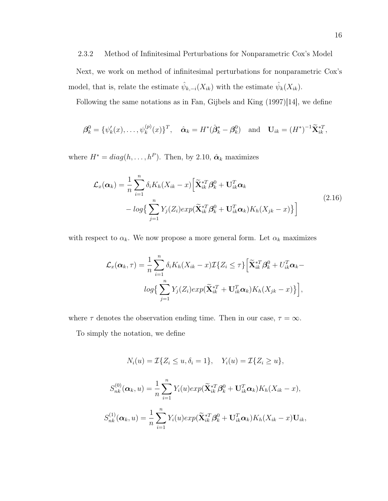# 2.3.2 Method of Infinitesimal Perturbations for Nonparametric Cox's Model

Next, we work on method of infinitesimal perturbations for nonparametric Cox's model, that is, relate the estimate  $\hat{\psi}_{k,-i}(X_{ik})$  with the estimate  $\hat{\psi}_k(X_{ik})$ .

Following the same notations as in Fan, Gijbels and King (1997)[14], we define

$$
\boldsymbol{\beta}_k^0 = \{ \psi_k'(x), \dots, \psi_k^{(p)}(x) \}^T, \quad \hat{\boldsymbol{\alpha}}_k = H^*(\hat{\boldsymbol{\beta}}_k^* - \boldsymbol{\beta}_k^0) \quad \text{and} \quad \mathbf{U}_{ik} = (H^*)^{-1} \widetilde{\mathbf{X}}_{ik}^{*T},
$$

where  $H^* = diag(h, \ldots, h^P)$ . Then, by 2.10,  $\hat{\boldsymbol{\alpha}}_k$  maximizes

$$
\mathcal{L}_x(\boldsymbol{\alpha}_k) = \frac{1}{n} \sum_{i=1}^n \delta_i K_h (X_{ik} - x) \Big[ \widetilde{\mathbf{X}}_{ik}^{*T} \boldsymbol{\beta}_k^0 + \mathbf{U}_{ik}^T \boldsymbol{\alpha}_k - log \Big\{ \sum_{j=1}^n Y_j (Z_i) exp(\widetilde{\mathbf{X}}_{ik}^{*T} \boldsymbol{\beta}_k^0 + \mathbf{U}_{ik}^T \boldsymbol{\alpha}_k) K_h (X_{jk} - x) \Big\} \Big]
$$
(2.16)

with respect to  $\alpha_k$ . We now propose a more general form. Let  $\alpha_k$  maximizes

$$
\mathcal{L}_x(\boldsymbol{\alpha}_k, \tau) = \frac{1}{n} \sum_{i=1}^n \delta_i K_h(X_{ik} - x) \mathcal{I}\{Z_i \leq \tau\} \Big[ \widetilde{\mathbf{X}}_{ik}^{*T} \boldsymbol{\beta}_k^0 + U_{ik}^T \boldsymbol{\alpha}_k - log\Big\{ \sum_{j=1}^n Y_j(Z_i) exp(\widetilde{\mathbf{X}}_{ik}^{*T} + \mathbf{U}_{ik}^T \boldsymbol{\alpha}_k) K_h(X_{jk} - x) \Big\} \Big],
$$

where  $\tau$  denotes the observation ending time. Then in our case,  $\tau = \infty$ .

To simply the notation, we define

$$
N_i(u) = \mathcal{I}\{Z_i \le u, \delta_i = 1\}, \quad Y_i(u) = \mathcal{I}\{Z_i \ge u\},
$$
  

$$
S_{nk}^{(0)}(\boldsymbol{\alpha}_k, u) = \frac{1}{n} \sum_{i=1}^n Y_i(u) exp(\tilde{\mathbf{X}}_{ik}^{*T} \boldsymbol{\beta}_k^0 + \mathbf{U}_{ik}^T \boldsymbol{\alpha}_k) K_h(X_{ik} - x),
$$
  

$$
S_{nk}^{(1)}(\boldsymbol{\alpha}_k, u) = \frac{1}{n} \sum_{i=1}^n Y_i(u) exp(\tilde{\mathbf{X}}_{ik}^{*T} \boldsymbol{\beta}_k^0 + \mathbf{U}_{ik}^T \boldsymbol{\alpha}_k) K_h(X_{ik} - x) \mathbf{U}_{ik},
$$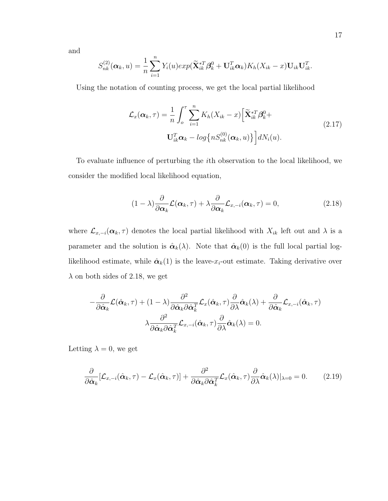and

$$
S_{nk}^{(2)}(\boldsymbol{\alpha}_k, u) = \frac{1}{n} \sum_{i=1}^n Y_i(u) exp(\widetilde{\mathbf{X}}_{ik}^{*T} \boldsymbol{\beta}_k^0 + \mathbf{U}_{ik}^T \boldsymbol{\alpha}_k) K_h(X_{ik} - x) \mathbf{U}_{ik} \mathbf{U}_{ik}^T.
$$

Using the notation of counting process, we get the local partial likelihood

$$
\mathcal{L}_x(\boldsymbol{\alpha}_k, \tau) = \frac{1}{n} \int_o^{\tau} \sum_{i=1}^n K_h(X_{ik} - x) \left[ \widetilde{\mathbf{X}}_{ik}^{*T} \boldsymbol{\beta}_k^0 + \mathbf{U}_{ik}^T \boldsymbol{\alpha}_k - \log \left\{ n S_{nk}^{(0)}(\boldsymbol{\alpha}_k, u) \right\} \right] dN_i(u).
$$
\n(2.17)

To evaluate influence of perturbing the ith observation to the local likelihood, we consider the modified local likelihood equation,

$$
(1 - \lambda) \frac{\partial}{\partial \alpha_k} \mathcal{L}(\alpha_k, \tau) + \lambda \frac{\partial}{\partial \alpha_k} \mathcal{L}_{x, -i}(\alpha_k, \tau) = 0, \qquad (2.18)
$$

where  $\mathcal{L}_{x,-i}(\alpha_k, \tau)$  denotes the local partial likelihood with  $X_{ik}$  left out and  $\lambda$  is a parameter and the solution is  $\hat{\alpha}_k(\lambda)$ . Note that  $\hat{\alpha}_k(0)$  is the full local partial loglikelihood estimate, while  $\hat{\alpha}_k(1)$  is the leave- $x_i$ -out estimate. Taking derivative over  $\lambda$  on both sides of 2.18, we get

$$
-\frac{\partial}{\partial \hat{\alpha}_k} \mathcal{L}(\hat{\alpha}_k, \tau) + (1 - \lambda) \frac{\partial^2}{\partial \hat{\alpha}_k \partial \hat{\alpha}_k^T} \mathcal{L}_x(\hat{\alpha}_k, \tau) \frac{\partial}{\partial \lambda} \hat{\alpha}_k(\lambda) + \frac{\partial}{\partial \hat{\alpha}_k} \mathcal{L}_{x, -i}(\hat{\alpha}_k, \tau)
$$

$$
\lambda \frac{\partial^2}{\partial \hat{\alpha}_k \partial \hat{\alpha}_k^T} \mathcal{L}_{x, -i}(\hat{\alpha}_k, \tau) \frac{\partial}{\partial \lambda} \hat{\alpha}_k(\lambda) = 0.
$$

Letting  $\lambda = 0$ , we get

$$
\frac{\partial}{\partial \hat{\alpha}_k} [\mathcal{L}_{x,-i}(\hat{\alpha}_k, \tau) - \mathcal{L}_x(\hat{\alpha}_k, \tau)] + \frac{\partial^2}{\partial \hat{\alpha}_k \partial \hat{\alpha}_k^T} \mathcal{L}_x(\hat{\alpha}_k, \tau) \frac{\partial}{\partial \lambda} \hat{\alpha}_k(\lambda)|_{\lambda=0} = 0.
$$
 (2.19)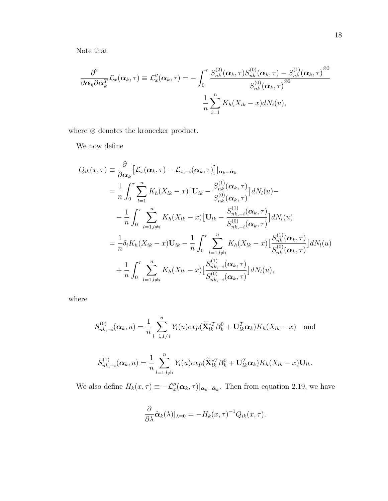Note that

$$
\frac{\partial^2}{\partial \boldsymbol{\alpha}_k \partial \boldsymbol{\alpha}_k^T} \mathcal{L}_x(\boldsymbol{\alpha}_k, \tau) \equiv \mathcal{L}_x''(\boldsymbol{\alpha}_k, \tau) = -\int_0^{\tau} \frac{S_{nk}^{(2)}(\boldsymbol{\alpha}_k, \tau) S_{nk}^{(0)}(\boldsymbol{\alpha}_k, \tau) - S_{nk}^{(1)}(\boldsymbol{\alpha}_k, \tau)^{\otimes 2}}{S_{nk}^{(0)}(\boldsymbol{\alpha}_k, \tau)^{\otimes 2}} \\ \frac{1}{n} \sum_{i=1}^n K_h(X_{ik} - x) dN_i(u),
$$

where  $\otimes$  denotes the kronecker product.

We now define

$$
Q_{ik}(x,\tau) = \frac{\partial}{\partial \alpha_k} \left[ \mathcal{L}_x(\alpha_k, \tau) - \mathcal{L}_{x,-i}(\alpha_k, \tau) \right] |_{\alpha_k = \hat{\alpha}_k}
$$
  
\n
$$
= \frac{1}{n} \int_0^{\tau} \sum_{l=1}^n K_h(X_{lk} - x) \left[ \mathbf{U}_{lk} - \frac{S_{nk}^{(1)}(\alpha_k, \tau)}{S_{nk}^{(0)}(\alpha_k, \tau)} \right] dN_l(u) -
$$
  
\n
$$
- \frac{1}{n} \int_0^{\tau} \sum_{l=1, l \neq i}^n K_h(X_{lk} - x) \left[ \mathbf{U}_{lk} - \frac{S_{nk, -i}^{(1)}(\alpha_k, \tau)}{S_{nk, -i}^{(0)}(\alpha_k, \tau)} \right] dN_l(u)
$$
  
\n
$$
= \frac{1}{n} \delta_i K_h(X_{ik} - x) \mathbf{U}_{ik} - \frac{1}{n} \int_0^{\tau} \sum_{l=1, l \neq i}^n K_h(X_{lk} - x) \left[ \frac{S_{nk}^{(1)}(\alpha_k, \tau)}{S_{nk}^{(0)}(\alpha_k, \tau)} \right] dN_l(u)
$$
  
\n
$$
+ \frac{1}{n} \int_0^{\tau} \sum_{l=1, l \neq i}^n K_h(X_{lk} - x) \left[ \frac{S_{nk, -i}^{(1)}(\alpha_k, \tau)}{S_{nk, -i}^{(0)}(\alpha_k, \tau)} \right] dN_l(u),
$$

where

$$
S_{nk,-i}^{(0)}(\boldsymbol{\alpha}_k, u) = \frac{1}{n} \sum_{l=1, l \neq i}^{n} Y_l(u) exp(\widetilde{\mathbf{X}}_{lk}^{*T} \boldsymbol{\beta}_k^0 + \mathbf{U}_{lk}^T \boldsymbol{\alpha}_k) K_h(X_{lk} - x)
$$
 and

$$
S_{nk,-i}^{(1)}(\boldsymbol{\alpha}_k, u) = \frac{1}{n} \sum_{l=1, l \neq i}^n Y_l(u) exp(\widetilde{\mathbf{X}}_{lk}^{*T} \boldsymbol{\beta}_k^0 + \mathbf{U}_{lk}^T \boldsymbol{\alpha}_k) K_h(X_{lk} - x) \mathbf{U}_{lk}.
$$

We also define  $H_k(x,\tau) \equiv -\mathcal{L}_x''(\alpha_k,\tau)|_{\alpha_k=\hat{\alpha}_k}$ . Then from equation 2.19, we have

$$
\frac{\partial}{\partial \lambda} \hat{\boldsymbol{\alpha}}_k(\lambda)|_{\lambda=0} = -H_k(x,\tau)^{-1} Q_{ik}(x,\tau).
$$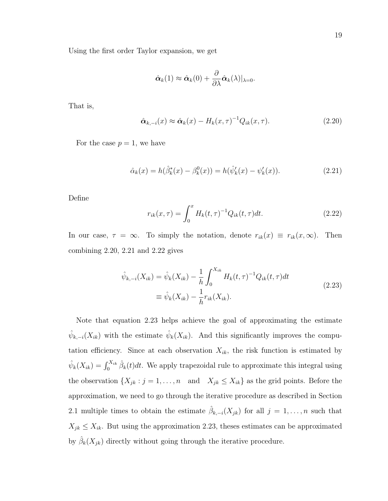Using the first order Taylor expansion, we get

$$
\hat{\boldsymbol{\alpha}}_k(1) \approx \hat{\boldsymbol{\alpha}}_k(0) + \frac{\partial}{\partial \lambda} \hat{\boldsymbol{\alpha}}_k(\lambda)|_{\lambda=0}.
$$

That is,

$$
\hat{\boldsymbol{\alpha}}_{k,-i}(x) \approx \hat{\boldsymbol{\alpha}}_k(x) - H_k(x,\tau)^{-1} Q_{ik}(x,\tau). \tag{2.20}
$$

For the case  $p = 1$ , we have

$$
\hat{\alpha}_k(x) = h(\hat{\beta}_k^*(x) - \beta_k^0(x)) = h(\hat{\psi}_k'(x) - \psi_k'(x)).
$$
\n(2.21)

Define

$$
r_{ik}(x,\tau) = \int_0^x H_k(t,\tau)^{-1} Q_{ik}(t,\tau) dt.
$$
 (2.22)

In our case,  $\tau = \infty$ . To simply the notation, denote  $r_{ik}(x) \equiv r_{ik}(x, \infty)$ . Then combining 2.20, 2.21 and 2.22 gives

$$
\hat{\psi}_{k,-i}(X_{ik}) = \hat{\psi}_k(X_{ik}) - \frac{1}{h} \int_0^{X_{ik}} H_k(t,\tau)^{-1} Q_{ik}(t,\tau) dt
$$
\n
$$
\equiv \hat{\psi}_k(X_{ik}) - \frac{1}{h} r_{ik}(X_{ik}).
$$
\n(2.23)

Note that equation 2.23 helps achieve the goal of approximating the estimate  $\hat{\psi}_{k,-i}(X_{ik})$  with the estimate  $\hat{\psi}_k(X_{ik})$ . And this significantly improves the computation efficiency. Since at each observation  $X_{ik}$ , the risk function is estimated by  $\hat{\psi}_k(X_{ik}) = \int_0^{X_{ik}} \hat{\beta}_k(t) dt$ . We apply trapezoidal rule to approximate this integral using the observation  $\{X_{jk} : j = 1, ..., n \text{ and } X_{jk} \le X_{ik}\}\$ as the grid points. Before the approximation, we need to go through the iterative procedure as described in Section 2.1 multiple times to obtain the estimate  $\hat{\beta}_{k,-i}(X_{jk})$  for all  $j=1,\ldots,n$  such that  $X_{jk} \leq X_{ik}$ . But using the approximation 2.23, theses estimates can be approximated by  $\hat{\beta}_k(X_{jk})$  directly without going through the iterative procedure.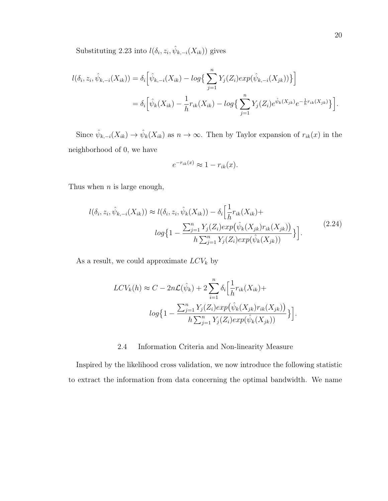Substituting 2.23 into  $l(\delta_i, z_i, \hat{\psi}_{k,-i}(X_{ik}))$  gives

$$
l(\delta_i, z_i, \hat{\psi}_{k,-i}(X_{ik})) = \delta_i \Big[ \hat{\psi}_{k,-i}(X_{ik}) - \log \Big\{ \sum_{j=1}^n Y_j(Z_i) \exp(\hat{\psi}_{k,-i}(X_{jk})) \Big\} \Big]
$$
  
= 
$$
\delta_i \Big[ \hat{\psi}_k(X_{ik}) - \frac{1}{h} r_{ik}(X_{ik}) - \log \Big\{ \sum_{j=1}^n Y_j(Z_i) e^{\hat{\psi}_k(X_{jk})} e^{-\frac{1}{h} r_{ik}(X_{jk})} \Big\} \Big].
$$

Since  $\hat{\psi}_{k,-i}(X_{ik}) \to \hat{\psi}_k(X_{ik})$  as  $n \to \infty$ . Then by Taylor expansion of  $r_{ik}(x)$  in the neighborhood of 0, we have

$$
e^{-r_{ik}(x)} \approx 1 - r_{ik}(x).
$$

Thus when  $n$  is large enough,

$$
l(\delta_i, z_i, \hat{\psi}_{k,-i}(X_{ik})) \approx l(\delta_i, z_i, \hat{\psi}_k(X_{ik})) - \delta_i \left[ \frac{1}{h} r_{ik}(X_{ik}) + \log\left(1 - \frac{\sum_{j=1}^n Y_j(Z_i) \exp(\hat{\psi}_k(X_{jk}) r_{ik}(X_{jk}))}{h \sum_{j=1}^n Y_j(Z_i) \exp(\hat{\psi}_k(X_{jk}))} \right) \right].
$$
\n(2.24)

As a result, we could approximate  $LCV_k$  by

$$
LCV_k(h) \approx C - 2n\mathcal{L}(\hat{\psi}_k) + 2\sum_{i=1}^n \delta_i \Big[ \frac{1}{h} r_{ik}(X_{ik}) +
$$

$$
log\Big\{1 - \frac{\sum_{j=1}^n Y_j(Z_i) exp(\hat{\psi}_k(X_{jk}) r_{ik}(X_{jk}))}{h \sum_{j=1}^n Y_j(Z_i) exp(\hat{\psi}_k(X_{jk}))}\Big\}\Big].
$$

# 2.4 Information Criteria and Non-linearity Measure

Inspired by the likelihood cross validation, we now introduce the following statistic to extract the information from data concerning the optimal bandwidth. We name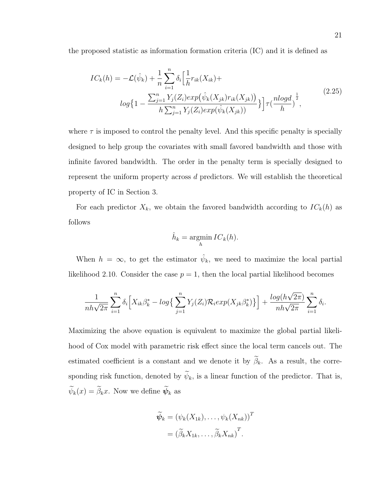the proposed statistic as information formation criteria (IC) and it is defined as

$$
IC_k(h) = -\mathcal{L}(\hat{\psi}_k) + \frac{1}{n} \sum_{i=1}^n \delta_i \Big[ \frac{1}{h} r_{ik}(X_{ik}) +
$$
  

$$
log\Big\{1 - \frac{\sum_{j=1}^n Y_j(Z_i) exp(\hat{\psi}_k(X_{jk}) r_{ik}(X_{jk}))}{h \sum_{j=1}^n Y_j(Z_i) exp(\hat{\psi}_k(X_{jk}))}\Big\} \Big] \tau(\frac{nlogd}{h})^{\frac{1}{2}},
$$
\n(2.25)

where  $\tau$  is imposed to control the penalty level. And this specific penalty is specially designed to help group the covariates with small favored bandwidth and those with infinite favored bandwidth. The order in the penalty term is specially designed to represent the uniform property across d predictors. We will establish the theoretical property of IC in Section 3.

For each predictor  $X_k$ , we obtain the favored bandwidth according to  $IC_k(h)$  as follows

$$
\hat{h}_k = \operatorname*{argmin}_{h} IC_k(h).
$$

When  $h = \infty$ , to get the estimator  $\hat{\psi}_k$ , we need to maximize the local partial likelihood 2.10. Consider the case  $p = 1$ , then the local partial likelihood becomes

$$
\frac{1}{nh\sqrt{2\pi}}\sum_{i=1}^n\delta_i\Big[X_{ik}\beta^*_k - \log\Big\{\sum_{j=1}^nY_j(Z_i)\mathcal{R}_i\exp(X_{jk}\beta^*_k)\Big\}\Big] + \frac{\log(h\sqrt{2\pi})}{nh\sqrt{2\pi}}\sum_{i=1}^n\delta_i.
$$

Maximizing the above equation is equivalent to maximize the global partial likelihood of Cox model with parametric risk effect since the local term cancels out. The estimated coefficient is a constant and we denote it by  $\widetilde{\beta}_k$ . As a result, the corresponding risk function, denoted by  $\widetilde{\psi}_k$ , is a linear function of the predictor. That is,  $\widetilde{\psi}_k(x) = \widetilde{\beta}_k x$ . Now we define  $\widetilde{\psi}_k$  as

$$
\widetilde{\psi}_k = (\psi_k(X_{1k}), \dots, \psi_k(X_{nk}))^T
$$

$$
= (\widetilde{\beta}_k X_{1k}, \dots, \widetilde{\beta}_k X_{nk})^T.
$$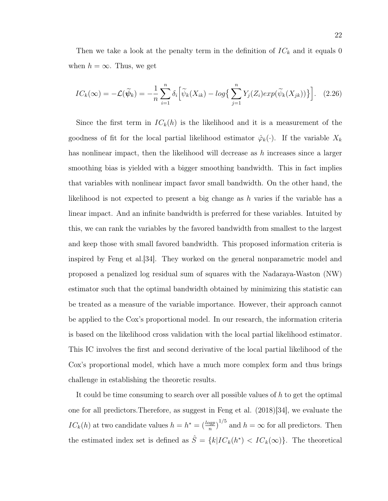Then we take a look at the penalty term in the definition of  $IC_k$  and it equals 0 when  $h = \infty$ . Thus, we get

$$
IC_k(\infty) = -\mathcal{L}(\widetilde{\psi}_k) = -\frac{1}{n} \sum_{i=1}^n \delta_i \Big[ \widetilde{\psi}_k(X_{ik}) - \log \Big\{ \sum_{j=1}^n Y_j(Z_i) \exp(\widetilde{\psi}_k(X_{jk})) \Big\} \Big]. \tag{2.26}
$$

Since the first term in  $IC_k(h)$  is the likelihood and it is a measurement of the goodness of fit for the local partial likelihood estimator  $\hat{\varphi}_k(\cdot)$ . If the variable  $X_k$ has nonlinear impact, then the likelihood will decrease as h increases since a larger smoothing bias is yielded with a bigger smoothing bandwidth. This in fact implies that variables with nonlinear impact favor small bandwidth. On the other hand, the likelihood is not expected to present a big change as h varies if the variable has a linear impact. And an infinite bandwidth is preferred for these variables. Intuited by this, we can rank the variables by the favored bandwidth from smallest to the largest and keep those with small favored bandwidth. This proposed information criteria is inspired by Feng et al.[34]. They worked on the general nonparametric model and proposed a penalized log residual sum of squares with the Nadaraya-Waston (NW) estimator such that the optimal bandwidth obtained by minimizing this statistic can be treated as a measure of the variable importance. However, their approach cannot be applied to the Cox's proportional model. In our research, the information criteria is based on the likelihood cross validation with the local partial likelihood estimator. This IC involves the first and second derivative of the local partial likelihood of the Cox's proportional model, which have a much more complex form and thus brings challenge in establishing the theoretic results.

It could be time consuming to search over all possible values of h to get the optimal one for all predictors.Therefore, as suggest in Feng et al. (2018)[34], we evaluate the  $IC_k(h)$  at two candidate values  $h = h^* = \left(\frac{\log p}{n}\right)^{1/5}$  and  $h = \infty$  for all predictors. Then the estimated index set is defined as  $\hat{S} = \{k | IC_k(h^*) \langle IC_k(\infty) \}$ . The theoretical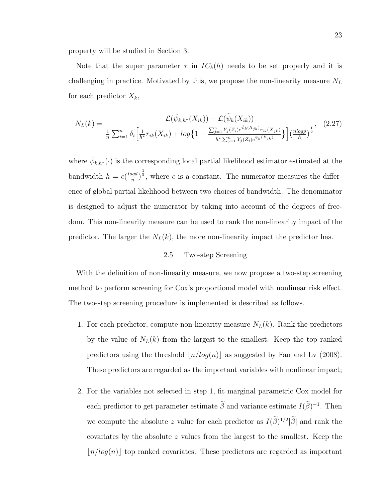property will be studied in Section 3.

Note that the super parameter  $\tau$  in  $IC_k(h)$  needs to be set properly and it is challenging in practice. Motivated by this, we propose the non-linearity measure  $N_L$ for each predictor  $X_k$ ,

$$
N_L(k) = \frac{\mathcal{L}(\hat{\psi}_{k,h^*}(X_{ik})) - \mathcal{L}(\tilde{\psi}_k(X_{ik}))}{\frac{1}{n}\sum_{i=1}^n \delta_i \left[\frac{1}{h^*}r_{ik}(X_{ik}) + \log\left\{1 - \frac{\sum_{j=1}^n Y_j(Z_i)e^{\hat{\psi}_k(X_{jk})}r_{ik}(X_{jk})}{h^*\sum_{j=1}^n Y_j(Z_i)e^{\hat{\psi}_k(X_{jk})}}\right\}\right] \left(\frac{n\log p}{h}\right)^{\frac{1}{2}}},
$$
(2.27)

where  $\hat{\psi}_{k,h^*}(\cdot)$  is the corresponding local partial likelihood estimator estimated at the bandwidth  $h = c \left( \frac{log d}{n} \right)$  $\left(\frac{qgd}{n}\right)^{\frac{1}{5}}$ , where c is a constant. The numerator measures the difference of global partial likelihood between two choices of bandwidth. The denominator is designed to adjust the numerator by taking into account of the degrees of freedom. This non-linearity measure can be used to rank the non-linearity impact of the predictor. The larger the  $N_L(k)$ , the more non-linearity impact the predictor has.

# 2.5 Two-step Screening

With the definition of non-linearity measure, we now propose a two-step screening method to perform screening for Cox's proportional model with nonlinear risk effect. The two-step screening procedure is implemented is described as follows.

- 1. For each predictor, compute non-linearity measure  $N_L(k)$ . Rank the predictors by the value of  $N_L(k)$  from the largest to the smallest. Keep the top ranked predictors using the threshold  $|n/log(n)|$  as suggested by Fan and Lv (2008). These predictors are regarded as the important variables with nonlinear impact;
- 2. For the variables not selected in step 1, fit marginal parametric Cox model for each predictor to get parameter estimate  $\tilde{\beta}$  and variance estimate  $I(\tilde{\beta})^{-1}$ . Then we compute the absolute z value for each predictor as  $I(\tilde{\beta})^{1/2}|\tilde{\beta}|$  and rank the covariates by the absolute z values from the largest to the smallest. Keep the  $\lfloor n/log(n)\rfloor$  top ranked covariates. These predictors are regarded as important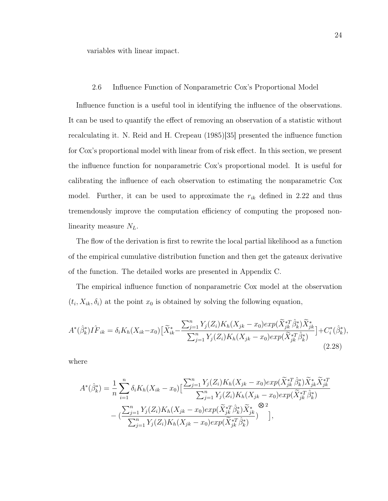variables with linear impact.

2.6 Influence Function of Nonparametric Cox's Proportional Model

Influence function is a useful tool in identifying the influence of the observations. It can be used to quantify the effect of removing an observation of a statistic without recalculating it. N. Reid and H. Crepeau (1985)[35] presented the influence function for Cox's proportional model with linear from of risk effect. In this section, we present the influence function for nonparametric Cox's proportional model. It is useful for calibrating the influence of each observation to estimating the nonparametric Cox model. Further, it can be used to approximate the  $r_{ik}$  defined in 2.22 and thus tremendously improve the computation efficiency of computing the proposed nonlinearity measure  $N_L$ .

The flow of the derivation is first to rewrite the local partial likelihood as a function of the empirical cumulative distribution function and then get the gateaux derivative of the function. The detailed works are presented in Appendix C.

The empirical influence function of nonparametric Cox model at the observation  $(t_i, X_{ik}, \delta_i)$  at the point  $x_0$  is obtained by solving the following equation,

$$
A^*(\hat{\beta}_k^*)I\hat{F}_{ik} = \delta_i K_h(X_{ik} - x_0) \left[ \tilde{X}_{ik}^* - \frac{\sum_{j=1}^n Y_j(Z_i) K_h(X_{jk} - x_0) \exp(\tilde{X}_{jk}^{*T} \hat{\beta}_k^*) \tilde{X}_{jk}^*}{\sum_{j=1}^n Y_j(Z_i) K_h(X_{jk} - x_0) \exp(\tilde{X}_{jk}^{*T} \hat{\beta}_k^*)} \right] + C_i^*(\hat{\beta}_k^*),
$$
\n(2.28)

where

$$
A^*(\hat{\beta}_k^*) = \frac{1}{n} \sum_{i=1}^n \delta_i K_h (X_{ik} - x_0) \left[ \frac{\sum_{j=1}^n Y_j(Z_i) K_h (X_{jk} - x_0) exp(\tilde{X}_{jk}^* \hat{\beta}_k^*) \tilde{X}_{jk}^* \tilde{X}_{jk}^{*T}}{\sum_{j=1}^n Y_j(Z_i) K_h (X_{jk} - x_0) exp(\tilde{X}_{jk}^* \hat{\beta}_k^*)} \right] - \left( \frac{\sum_{j=1}^n Y_j(Z_i) K_h (X_{jk} - x_0) exp(\tilde{X}_{jk}^* \hat{\beta}_k^*) \tilde{X}_{jk}^*}{\sum_{j=1}^n Y_j(Z_i) K_h (X_{jk} - x_0) exp(\tilde{X}_{jk}^* \hat{\beta}_k^*)} \right),
$$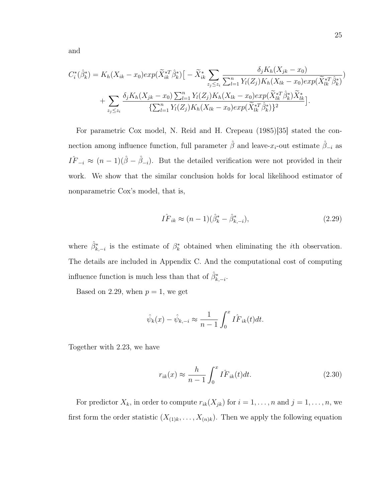and

$$
C_{i}^{*}(\hat{\beta}_{k}^{*}) = K_{h}(X_{ik} - x_{0})exp(\tilde{X}_{ik}^{*T}\hat{\beta}_{k}^{*})\left[-\tilde{X}_{ik}^{*}\sum_{z_{j} \leq z_{i}} \frac{\delta_{j}K_{h}(X_{jk} - x_{0})}{\sum_{l=1}^{n}Y_{l}(Z_{j})K_{h}(X_{lk} - x_{0})exp(\tilde{X}_{lk}^{*T}\hat{\beta}_{k}^{*})}\right] + \sum_{z_{j} \leq z_{i}} \frac{\delta_{j}K_{h}(X_{jk} - x_{0})\sum_{l=1}^{n}Y_{l}(Z_{j})K_{h}(X_{lk} - x_{0})exp(\tilde{X}_{lk}^{*T}\hat{\beta}_{k}^{*})\tilde{X}_{lk}^{*}}{\left\{\sum_{l=1}^{n}Y_{l}(Z_{j})K_{h}(X_{lk} - x_{0})exp(\tilde{X}_{lk}^{*T}\hat{\beta}_{k}^{*})\right\}^{2}}\right].
$$

For parametric Cox model, N. Reid and H. Crepeau (1985)[35] stated the connection among influence function, full parameter  $\hat{\beta}$  and leave- $x_i$ -out estimate  $\hat{\beta}_{-i}$  as  $I\widehat{F}_{-i} \approx (n-1)(\widehat{\beta}-\widehat{\beta}_{-i}).$  But the detailed verification were not provided in their work. We show that the similar conclusion holds for local likelihood estimator of nonparametric Cox's model, that is,

$$
\hat{IF}_{ik} \approx (n-1)(\hat{\beta}_k^* - \hat{\beta}_{k,-i}^*),\tag{2.29}
$$

where  $\hat{\beta}_{k,-i}^*$  is the estimate of  $\beta_k^*$  obtained when eliminating the *i*th observation. The details are included in Appendix C. And the computational cost of computing influence function is much less than that of  $\hat{\beta}_{k,-i}^*$ .

Based on 2.29, when  $p = 1$ , we get

$$
\hat{\psi}_k(x) - \hat{\psi}_{k,-i} \approx \frac{1}{n-1} \int_0^x I \hat{F}_{ik}(t) dt.
$$

Together with 2.23, we have

$$
r_{ik}(x) \approx \frac{h}{n-1} \int_0^x I \hat{F}_{ik}(t) dt.
$$
 (2.30)

For predictor  $X_k$ , in order to compute  $r_{ik}(X_{jk})$  for  $i = 1, \ldots, n$  and  $j = 1, \ldots, n$ , we first form the order statistic  $(X_{(1)k},...,X_{(n)k})$ . Then we apply the following equation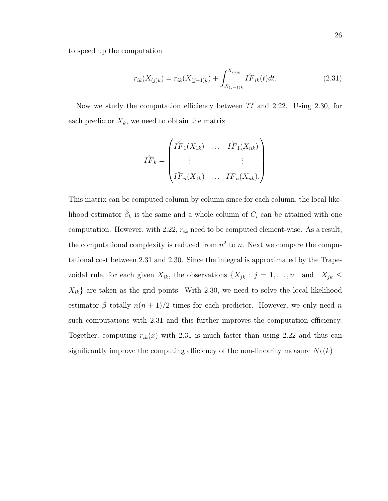to speed up the computation

$$
r_{ik}(X_{(j)k}) = r_{ik}(X_{(j-1)k}) + \int_{X_{(j-1)k}}^{X_{(j)k}} \hat{IF}_{ik}(t)dt.
$$
 (2.31)

Now we study the computation efficiency between ?? and 2.22. Using 2.30, for each predictor  $X_k$ , we need to obtain the matrix

$$
\hat{IF}_k = \begin{pmatrix} \hat{IF}_1(X_{1k}) & \dots & \hat{IF}_1(X_{nk}) \\ \vdots & & \vdots \\ \hat{IF}_n(X_{1k}) & \dots & \hat{IF}_n(X_{nk}). \end{pmatrix}
$$

This matrix can be computed column by column since for each column, the local likelihood estimator  $\hat{\beta}_k$  is the same and a whole column of  $C_i$  can be attained with one computation. However, with 2.22,  $r_{ik}$  need to be computed element-wise. As a result, the computational complexity is reduced from  $n^2$  to n. Next we compare the computational cost between 2.31 and 2.30. Since the integral is approximated by the Trapezoidal rule, for each given  $X_{ik}$ , the observations  $\{X_{jk} : j = 1, \ldots, n \text{ and } X_{jk} \leq$  $X_{ik}$ } are taken as the grid points. With 2.30, we need to solve the local likelihood estimator  $\hat{\beta}$  totally  $n(n + 1)/2$  times for each predictor. However, we only need n such computations with 2.31 and this further improves the computation efficiency. Together, computing  $r_{ik}(x)$  with 2.31 is much faster than using 2.22 and thus can significantly improve the computing efficiency of the non-linearity measure  $N_L(k)$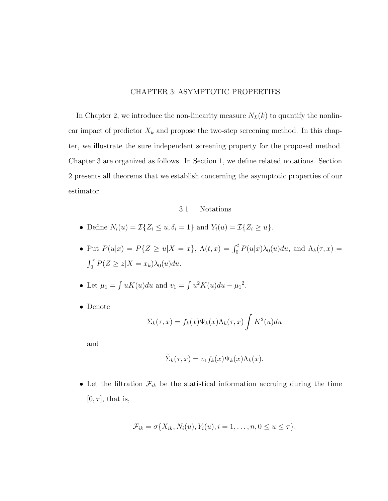# CHAPTER 3: ASYMPTOTIC PROPERTIES

In Chapter 2, we introduce the non-linearity measure  $N_L(k)$  to quantify the nonlinear impact of predictor  $X_k$  and propose the two-step screening method. In this chapter, we illustrate the sure independent screening property for the proposed method. Chapter 3 are organized as follows. In Section 1, we define related notations. Section 2 presents all theorems that we establish concerning the asymptotic properties of our estimator.

### 3.1 Notations

- Define  $N_i(u) = \mathcal{I}\{Z_i \leq u, \delta_i = 1\}$  and  $Y_i(u) = \mathcal{I}\{Z_i \geq u\}.$
- Put  $P(u|x) = P\{Z \ge u | X = x\}, \Lambda(t,x) = \int_0^t P(u|x)\lambda_0(u)du$ , and  $\Lambda_k(\tau,x) =$  $\int_0^{\tau} P(Z \ge z | X = x_k) \lambda_0(u) du.$
- Let  $\mu_1 = \int uK(u)du$  and  $v_1 = \int u^2K(u)du \mu_1^2$ .
- Denote

$$
\Sigma_k(\tau, x) = f_k(x)\Psi_k(x)\Lambda_k(\tau, x)\int K^2(u)du
$$

and

$$
\widetilde{\Sigma}_k(\tau, x) = v_1 f_k(x) \Psi_k(x) \Lambda_k(x).
$$

• Let the filtration  $\mathcal{F}_{ik}$  be the statistical information accruing during the time  $[0, \tau]$ , that is,

$$
\mathcal{F}_{ik} = \sigma\{X_{ik}, N_i(u), Y_i(u), i = 1, \ldots, n, 0 \le u \le \tau\}.
$$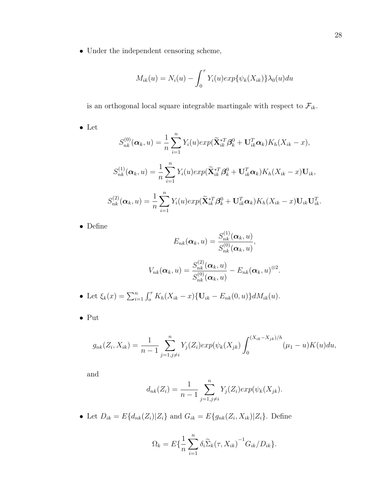$\bullet\,$  Under the independent censoring scheme,

$$
M_{ik}(u) = N_i(u) - \int_0^{\tau} Y_i(u) \exp{\{\psi_k(X_{ik})\}} \lambda_0(u) du
$$

is an orthogonal local square integrable martingale with respect to  $\mathcal{F}_{ik}.$ 

 $\bullet\,$  Let

$$
S_{nk}^{(0)}(\boldsymbol{\alpha}_k, u) = \frac{1}{n} \sum_{i=1}^n Y_i(u) exp(\widetilde{\mathbf{X}}_{ik}^{*T} \boldsymbol{\beta}_k^0 + \mathbf{U}_{ik}^T \boldsymbol{\alpha}_k) K_h(X_{ik} - x),
$$
  

$$
S_{nk}^{(1)}(\boldsymbol{\alpha}_k, u) = \frac{1}{n} \sum_{i=1}^n Y_i(u) exp(\widetilde{\mathbf{X}}_{ik}^{*T} \boldsymbol{\beta}_k^0 + \mathbf{U}_{ik}^T \boldsymbol{\alpha}_k) K_h(X_{ik} - x) \mathbf{U}_{ik},
$$
  

$$
S_{nk}^{(2)}(\boldsymbol{\alpha}_k, u) = \frac{1}{n} \sum_{i=1}^n Y_i(u) exp(\widetilde{\mathbf{X}}_{ik}^{*T} \boldsymbol{\beta}_k^0 + \mathbf{U}_{ik}^T \boldsymbol{\alpha}_k) K_h(X_{ik} - x) \mathbf{U}_{ik} \mathbf{U}_{ik}^T.
$$

• Define

$$
E_{nk}(\boldsymbol{\alpha}_k, u) = \frac{S_{nk}^{(1)}(\boldsymbol{\alpha}_k, u)}{S_{nk}^{(0)}(\boldsymbol{\alpha}_k, u)},
$$

$$
V_{nk}(\boldsymbol{\alpha}_k, u) = \frac{S_{nk}^{(2)}(\boldsymbol{\alpha}_k, u)}{S_{nk}^{(0)}(\boldsymbol{\alpha}_k, u)} - E_{nk}(\boldsymbol{\alpha}_k, u)^{\otimes 2}.
$$

• Let 
$$
\xi_k(x) = \sum_{i=1}^n \int_0^{\tau} K_h(X_{ik} - x) \{ \mathbf{U}_{ik} - E_{nk}(0, u) \} dM_{ik}(u).
$$

• Put

$$
g_{nk}(Z_i, X_{ik}) = \frac{1}{n-1} \sum_{j=1, j \neq i}^{n} Y_j(Z_i) exp(\psi_k(X_{jk}) \int_0^{(X_{ik} - X_{jk})/h} (\mu_1 - u) K(u) du,
$$

and

$$
d_{nk}(Z_i) = \frac{1}{n-1} \sum_{j=1, j \neq i}^{n} Y_j(Z_i) exp(\psi_k(X_{jk})).
$$

• Let  $D_{ik} = E\{d_{nk}(Z_i)|Z_i\}$  and  $G_{ik} = E\{g_{nk}(Z_i, X_{ik})|Z_i\}$ . Define

$$
\Omega_k = E\left\{\frac{1}{n}\sum_{i=1}^n \delta_i \widetilde{\Sigma}_k(\tau, X_{ik})^{-1} G_{ik}/D_{ik}\right\}.
$$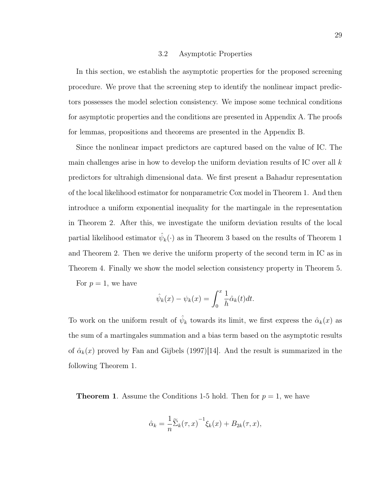#### 3.2 Asymptotic Properties

In this section, we establish the asymptotic properties for the proposed screening procedure. We prove that the screening step to identify the nonlinear impact predictors possesses the model selection consistency. We impose some technical conditions for asymptotic properties and the conditions are presented in Appendix A. The proofs for lemmas, propositions and theorems are presented in the Appendix B.

Since the nonlinear impact predictors are captured based on the value of IC. The main challenges arise in how to develop the uniform deviation results of IC over all  $k$ predictors for ultrahigh dimensional data. We first present a Bahadur representation of the local likelihood estimator for nonparametric Cox model in Theorem 1. And then introduce a uniform exponential inequality for the martingale in the representation in Theorem 2. After this, we investigate the uniform deviation results of the local partial likelihood estimator  $\hat{\psi}_k(\cdot)$  as in Theorem 3 based on the results of Theorem 1 and Theorem 2. Then we derive the uniform property of the second term in IC as in Theorem 4. Finally we show the model selection consistency property in Theorem 5. For  $p=1$ , we have

$$
\hat{\psi}_k(x) - \psi_k(x) = \int_0^x \frac{1}{h} \hat{\alpha}_k(t) dt.
$$

To work on the uniform result of  $\hat{\psi}_k$  towards its limit, we first express the  $\hat{\alpha}_k(x)$  as the sum of a martingales summation and a bias term based on the asymptotic results of  $\hat{\alpha}_k(x)$  proved by Fan and Gijbels (1997)[14]. And the result is summarized in the following Theorem 1.

**Theorem 1.** Assume the Conditions 1-5 hold. Then for  $p = 1$ , we have

$$
\hat{\alpha}_k = \frac{1}{n} \widetilde{\Sigma}_k(\tau, x)^{-1} \xi_k(x) + B_{2k}(\tau, x),
$$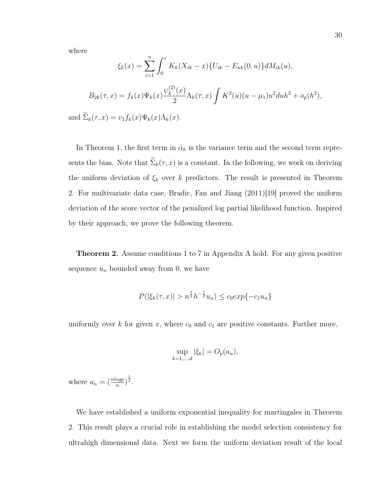where

$$
\xi_k(x) = \sum_{i=1}^n \int_0^{\tau} K_h(X_{ik} - x) \{ U_{ik} - E_{nk}(0, u) \} dM_{ik}(u),
$$
  

$$
B_{2k}(\tau, x) = f_k(x) \Psi_k(x) \frac{\psi_k^{(2)}(x)}{2} \Lambda_k(\tau, x) \int K^2(u) (u - \mu_1) u^2 du h^2 + o_p(h^2),
$$
  

$$
\widetilde{\Sigma}_k(\tau, x) = v_1 f_k(x) \Psi_k(x) \Lambda_k(x).
$$

and  $\Sigma_k(\tau, x) = v_1 f_k(x) \Psi_k(x) \Lambda_k(x)$ .

In Theorem 1, the first term in  $\hat{\alpha}_k$  is the variance term and the second term represents the bias. Note that  $\widetilde{\Sigma}_k(\tau, x)$  is a constant. In the following, we work on deriving the uniform deviation of  $\xi_k$  over k predictors. The result is presented in Theorem 2. For multivariate data case, Bradic, Fan and Jiang (2011)[19] proved the uniform deviation of the score vector of the penalized log partial likelihood function. Inspired by their approach, we prove the following theorem.

Theorem 2. Assume conditions 1 to 7 in Appendix A hold. For any given positive sequence  $u_n$  bounded away from 0, we have

$$
P(|\xi_k(\tau, x)| > n^{\frac{1}{2}}h^{-\frac{1}{2}}u_n) \le c_0 \exp\{-c_1 u_n\}
$$

uniformly over k for given x, where  $c_0$  and  $c_1$  are positive constants. Further more,

$$
\sup_{k=1,\dots,d} |\xi_k| = O_p(a_n),
$$

where  $a_n = \left(\frac{n \log p}{n}\right)^{\frac{1}{2}}$ .

We have established a uniform exponential inequality for martingales in Theorem 2. This result plays a crucial role in establishing the model selection consistency for ultrahigh dimensional data. Next we form the uniform deviation result of the local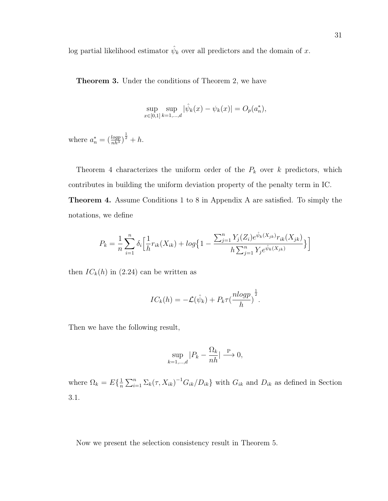log partial likelihood estimator  $\hat{\psi}_k$  over all predictors and the domain of x.

Theorem 3. Under the conditions of Theorem 2, we have

$$
\sup_{x \in [0,1]} \sup_{k=1,\dots,d} |\hat{\psi}_k(x) - \psi_k(x)| = O_p(a_n^*),
$$

where  $a_n^* = \left(\frac{log p}{nh^3}\right)^{\frac{1}{2}} + h$ .

Theorem 4 characterizes the uniform order of the  $P_k$  over k predictors, which contributes in building the uniform deviation property of the penalty term in IC. Theorem 4. Assume Conditions 1 to 8 in Appendix A are satisfied. To simply the notations, we define

$$
P_k = \frac{1}{n} \sum_{i=1}^n \delta_i \Big[ \frac{1}{h} r_{ik}(X_{ik}) + \log \Big\{ 1 - \frac{\sum_{j=1}^n Y_j(Z_i) e^{\hat{\psi}_k(X_{jk})} r_{ik}(X_{jk})}{h \sum_{j=1}^n Y_j e^{\hat{\psi}_k(X_{jk})}} \Big\} \Big]
$$

then  $IC_k(h)$  in (2.24) can be written as

$$
IC_k(h) = -\mathcal{L}(\hat{\psi}_k) + P_k \tau(\frac{nlogp}{h})^{\frac{1}{2}}.
$$

Then we have the following result,

$$
\sup_{k=1,\dots,d}|P_k - \frac{\Omega_k}{nh}| \xrightarrow{\mathbf{P}} 0,
$$

where  $\Omega_k = E\{\frac{1}{n}\}$  $\frac{1}{n}\sum_{i=1}^{n}\sum_{k}(\tau, X_{ik})^{-1}G_{ik}/D_{ik}$  with  $G_{ik}$  and  $D_{ik}$  as defined in Section 3.1.

Now we present the selection consistency result in Theorem 5.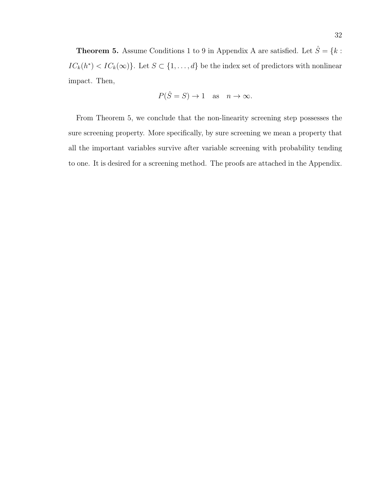**Theorem 5.** Assume Conditions 1 to 9 in Appendix A are satisfied. Let  $\hat{S} = \{k :$  $IC_k(h^*) < IC_k(\infty)$ . Let  $S \subset \{1, ..., d\}$  be the index set of predictors with nonlinear impact. Then,

$$
P(\hat{S} = S) \to 1
$$
 as  $n \to \infty$ .

From Theorem 5, we conclude that the non-linearity screening step possesses the sure screening property. More specifically, by sure screening we mean a property that all the important variables survive after variable screening with probability tending to one. It is desired for a screening method. The proofs are attached in the Appendix.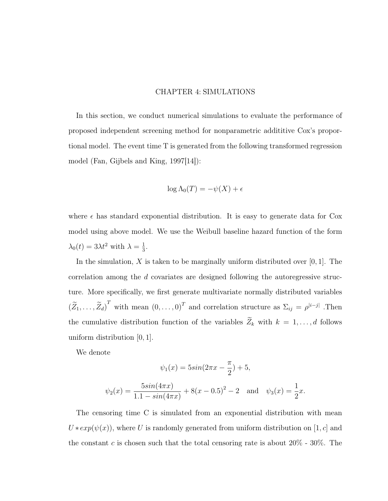#### CHAPTER 4: SIMULATIONS

In this section, we conduct numerical simulations to evaluate the performance of proposed independent screening method for nonparametric addititive Cox's proportional model. The event time T is generated from the following transformed regression model (Fan, Gijbels and King, 1997[14]):

$$
\log \Lambda_0(T) = -\psi(X) + \epsilon
$$

where  $\epsilon$  has standard exponential distribution. It is easy to generate data for Cox model using above model. We use the Weibull baseline hazard function of the form  $\lambda_0(t) = 3\lambda t^2$  with  $\lambda = \frac{1}{3}$  $\frac{1}{3}$ .

In the simulation,  $X$  is taken to be marginally uniform distributed over [0, 1]. The correlation among the d covariates are designed following the autoregressive structure. More specifically, we first generate multivariate normally distributed variables  $(\tilde{Z}_1, \ldots, \tilde{Z}_d)^T$  with mean  $(0, \ldots, 0)^T$  and correlation structure as  $\Sigma_{ij} = \rho^{|i-j|}$ . Then the cumulative distribution function of the variables  $\widetilde{Z}_k$  with  $k = 1, \ldots, d$  follows uniform distribution [0, 1].

We denote

$$
\psi_1(x) = 5\sin(2\pi x - \frac{\pi}{2}) + 5,
$$
  

$$
\psi_2(x) = \frac{5\sin(4\pi x)}{1.1 - \sin(4\pi x)} + 8(x - 0.5)^2 - 2 \text{ and } \psi_3(x) = \frac{1}{2}x.
$$

The censoring time C is simulated from an exponential distribution with mean  $U * exp(\psi(x))$ , where U is randomly generated from uniform distribution on [1, c] and the constant c is chosen such that the total censoring rate is about  $20\%$  -  $30\%$ . The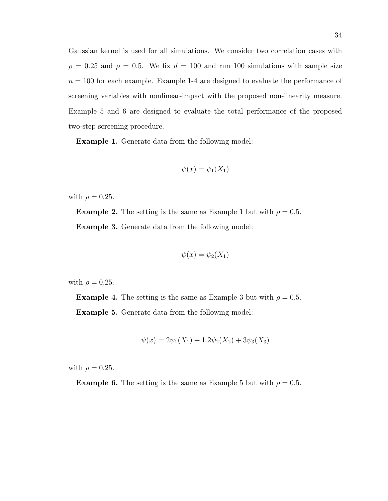Gaussian kernel is used for all simulations. We consider two correlation cases with  $\rho = 0.25$  and  $\rho = 0.5$ . We fix  $d = 100$  and run 100 simulations with sample size  $n = 100$  for each example. Example 1-4 are designed to evaluate the performance of screening variables with nonlinear-impact with the proposed non-linearity measure. Example 5 and 6 are designed to evaluate the total performance of the proposed two-step screening procedure.

Example 1. Generate data from the following model:

$$
\psi(x) = \psi_1(X_1)
$$

with  $\rho = 0.25$ .

**Example 2.** The setting is the same as Example 1 but with  $\rho = 0.5$ . Example 3. Generate data from the following model:

$$
\psi(x) = \psi_2(X_1)
$$

with  $\rho = 0.25$ .

**Example 4.** The setting is the same as Example 3 but with  $\rho = 0.5$ .

Example 5. Generate data from the following model:

$$
\psi(x) = 2\psi_1(X_1) + 1.2\psi_2(X_2) + 3\psi_3(X_3)
$$

with  $\rho = 0.25$ .

**Example 6.** The setting is the same as Example 5 but with  $\rho = 0.5$ .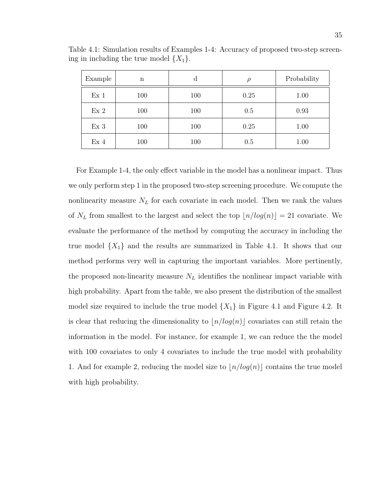| Example         | $\mathbf n$ | a   | ρ    | Probability |
|-----------------|-------------|-----|------|-------------|
| Ex <sub>1</sub> | 100         | 100 | 0.25 | 1.00        |
| Ex <sub>2</sub> | 100         | 100 | 0.5  | 0.93        |
| Ex <sub>3</sub> | 100         | 100 | 0.25 | 1.00        |
| Ex <sub>4</sub> | 100         | 100 | 0.5  | 1.00        |

Table 4.1: Simulation results of Examples 1-4: Accuracy of proposed two-step screening in including the true model  $\{X_1\}$ .

For Example 1-4, the only effect variable in the model has a nonlinear impact. Thus we only perform step 1 in the proposed two-step screening procedure. We compute the nonlinearity measure  $N_L$  for each covariate in each model. Then we rank the values of  $N_L$  from smallest to the largest and select the top  $\lfloor n/log(n)\rfloor = 21$  covariate. We evaluate the performance of the method by computing the accuracy in including the true model  $\{X_1\}$  and the results are summarized in Table 4.1. It shows that our method performs very well in capturing the important variables. More pertinently, the proposed non-linearity measure  $N_L$  identifies the nonlinear impact variable with high probability. Apart from the table, we also present the distribution of the smallest model size required to include the true model  $\{X_1\}$  in Figure 4.1 and Figure 4.2. It is clear that reducing the dimensionality to  $|n/log(n)|$  covariates can still retain the information in the model. For instance, for example 1, we can reduce the the model with 100 covariates to only 4 covariates to include the true model with probability 1. And for example 2, reducing the model size to  $n/log(n)$  contains the true model with high probability.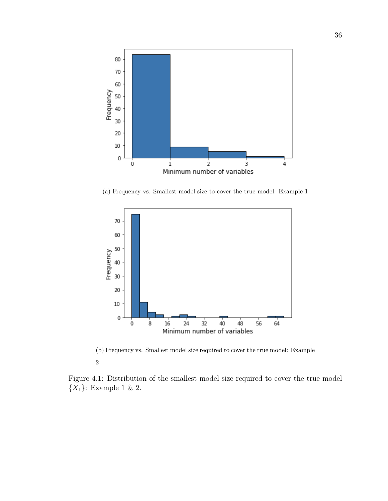

(a) Frequency vs. Smallest model size to cover the true model: Example 1



(b) Frequency vs. Smallest model size required to cover the true model: Example 2

Figure 4.1: Distribution of the smallest model size required to cover the true model  $\{X_1\}$ : Example 1 & 2.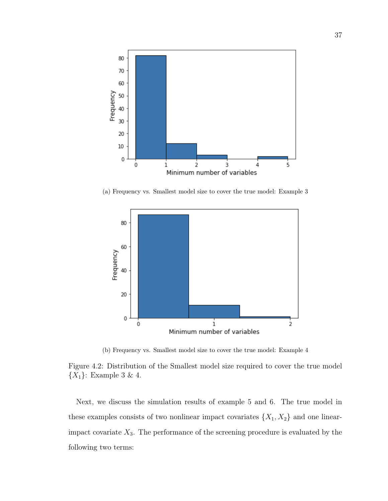

(a) Frequency vs. Smallest model size to cover the true model: Example 3



(b) Frequency vs. Smallest model size to cover the true model: Example 4

Figure 4.2: Distribution of the Smallest model size required to cover the true model  ${X_1}$ : Example 3 & 4.

Next, we discuss the simulation results of example 5 and 6. The true model in these examples consists of two nonlinear impact covariates  $\{X_1, X_2\}$  and one linearimpact covariate  $X_3$ . The performance of the screening procedure is evaluated by the following two terms: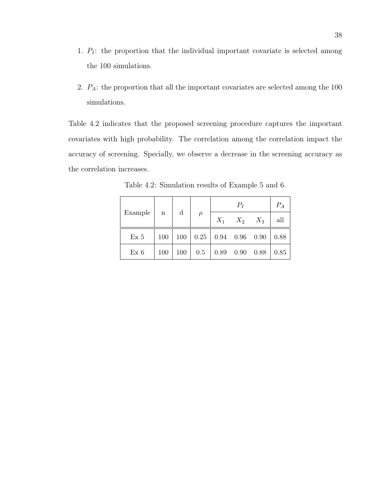- 1.  $P_I$ : the proportion that the individual important covariate is selected among the 100 simulations.
- 2. PA: the proportion that all the important covariates are selected among the 100 simulations.

Table 4.2 indicates that the proposed screening procedure captures the important covariates with high probability. The correlation among the correlation impact the accuracy of screening. Specially, we observe a decrease in the screening accuracy as the correlation increases.

|                   |     |             |                       | $P_I$ |                      |  | $P_A$ |
|-------------------|-----|-------------|-----------------------|-------|----------------------|--|-------|
| Example $\vert$ n |     | $\mathbf d$ | $\rho$                |       | $X_1$ $X_2$ $X_3$    |  | all   |
| Ex <sub>5</sub>   | 100 | 100         | $0.25$ 0.94 0.96 0.90 |       |                      |  | 0.88  |
| Ex 6              | 100 | 100         | 0.5                   |       | $0.89$ $0.90$ $0.88$ |  | 0.85  |

Table 4.2: Simulation results of Example 5 and 6.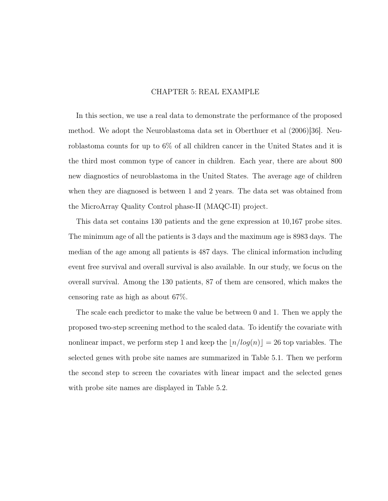# CHAPTER 5: REAL EXAMPLE

In this section, we use a real data to demonstrate the performance of the proposed method. We adopt the Neuroblastoma data set in Oberthuer et al (2006)[36]. Neuroblastoma counts for up to 6% of all children cancer in the United States and it is the third most common type of cancer in children. Each year, there are about 800 new diagnostics of neuroblastoma in the United States. The average age of children when they are diagnosed is between 1 and 2 years. The data set was obtained from the MicroArray Quality Control phase-II (MAQC-II) project.

This data set contains 130 patients and the gene expression at 10,167 probe sites. The minimum age of all the patients is 3 days and the maximum age is 8983 days. The median of the age among all patients is 487 days. The clinical information including event free survival and overall survival is also available. In our study, we focus on the overall survival. Among the 130 patients, 87 of them are censored, which makes the censoring rate as high as about 67%.

The scale each predictor to make the value be between 0 and 1. Then we apply the proposed two-step screening method to the scaled data. To identify the covariate with nonlinear impact, we perform step 1 and keep the  $\lfloor n/log(n)\rfloor = 26$  top variables. The selected genes with probe site names are summarized in Table 5.1. Then we perform the second step to screen the covariates with linear impact and the selected genes with probe site names are displayed in Table 5.2.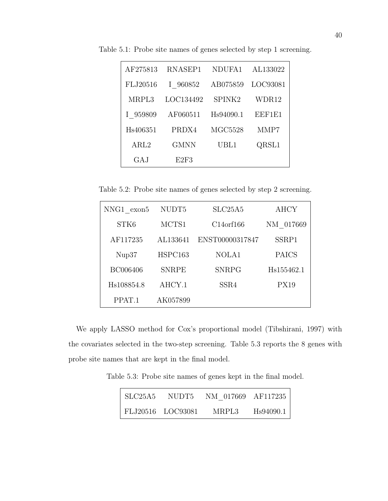| AF275813 | RNASEP1     | NDUFA1         | AL133022 |
|----------|-------------|----------------|----------|
| FLJ20516 | I 960852    | AB075859       | LOC93081 |
| MRPL3    | LOC134492   | SPINK2         | WDR12    |
| I 959809 | AF060511    | Hs94090.1      | EEF1E1   |
| Hs406351 | PRDX4       | <b>MGC5528</b> | MMP7     |
| ARL2     | <b>GMNN</b> | UBL1           | QRSL1    |
| GA.J     | E2F3        |                |          |

Table 5.1: Probe site names of genes selected by step 1 screening.

Table 5.2: Probe site names of genes selected by step 2 screening.

| NNG1 exon5 | NUDT <sub>5</sub> | SLC25A5         | <b>AHCY</b>  |
|------------|-------------------|-----------------|--------------|
| STK6       | MCTS1             | C14 or f 166    | NM 017669    |
| AF117235   | AL133641          | ENST00000317847 | SSRP1        |
| Nup37      | HSPC163           | NOLA1           | <b>PAICS</b> |
| BC006406   | <b>SNRPE</b>      | <b>SNRPG</b>    | Hs155462.1   |
| Hs108854.8 | AHCY.1            | SSR4            | <b>PX19</b>  |
| PPAT.1     | AK057899          |                 |              |

We apply LASSO method for Cox's proportional model (Tibshirani, 1997) with the covariates selected in the two-step screening. Table 5.3 reports the 8 genes with probe site names that are kept in the final model.

Table 5.3: Probe site names of genes kept in the final model.

| SLC25A5 |                   | NUDT5 NM 017669 AF117235 |                        |
|---------|-------------------|--------------------------|------------------------|
|         | FLJ20516 LOC93081 | MRPL3                    | H <sub>s</sub> 94090.1 |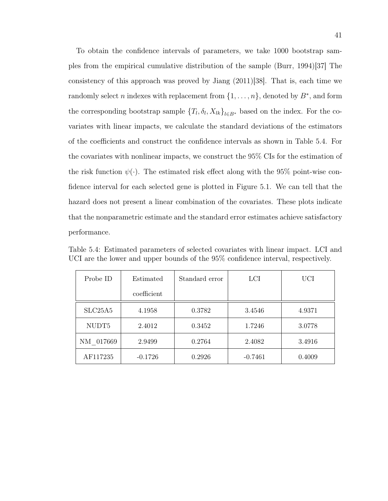To obtain the confidence intervals of parameters, we take 1000 bootstrap samples from the empirical cumulative distribution of the sample (Burr, 1994)[37] The consistency of this approach was proved by Jiang  $(2011)|38|$ . That is, each time we randomly select n indexes with replacement from  $\{1, \ldots, n\}$ , denoted by  $B^*$ , and form the corresponding bootstrap sample  $\{T_l, \delta_l, X_{lk}\}_{l \in B^*}$  based on the index. For the covariates with linear impacts, we calculate the standard deviations of the estimators of the coefficients and construct the confidence intervals as shown in Table 5.4. For the covariates with nonlinear impacts, we construct the 95% CIs for the estimation of the risk function  $\psi(\cdot)$ . The estimated risk effect along with the 95% point-wise confidence interval for each selected gene is plotted in Figure 5.1. We can tell that the hazard does not present a linear combination of the covariates. These plots indicate that the nonparametric estimate and the standard error estimates achieve satisfactory performance.

| Probe ID                         | Estimated   | Standard error | LCI       | <b>UCI</b> |
|----------------------------------|-------------|----------------|-----------|------------|
|                                  | coefficient |                |           |            |
| SLC <sub>25</sub> A <sub>5</sub> | 4.1958      | 0.3782         | 3.4546    | 4.9371     |
| NUDT <sub>5</sub>                | 2.4012      | 0.3452         | 1.7246    | 3.0778     |
| NM 017669                        | 2.9499      | 0.2764         | 2.4082    | 3.4916     |
| AF117235                         | $-0.1726$   | 0.2926         | $-0.7461$ | 0.4009     |

Table 5.4: Estimated parameters of selected covariates with linear impact. LCI and UCI are the lower and upper bounds of the 95% confidence interval, respectively.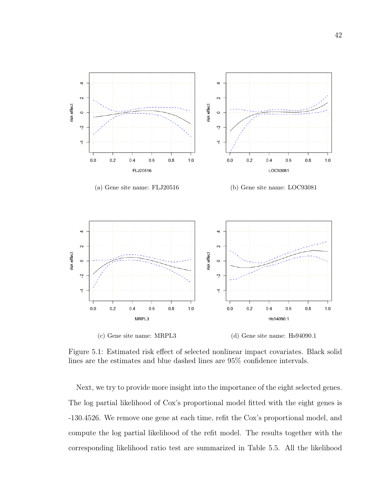

Figure 5.1: Estimated risk effect of selected nonlinear impact covariates. Black solid lines are the estimates and blue dashed lines are 95% confidence intervals.

Next, we try to provide more insight into the importance of the eight selected genes. The log partial likelihood of Cox's proportional model fitted with the eight genes is -130.4526. We remove one gene at each time, refit the Cox's proportional model, and compute the log partial likelihood of the refit model. The results together with the corresponding likelihood ratio test are summarized in Table 5.5. All the likelihood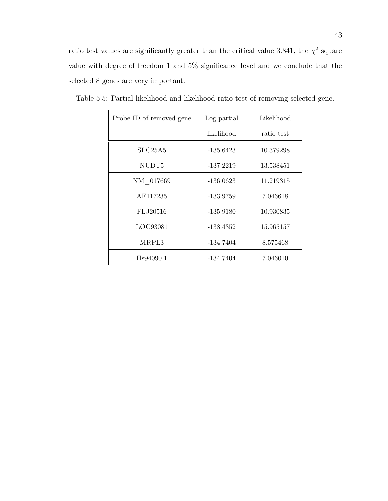ratio test values are significantly greater than the critical value 3.841, the  $\chi^2$  square value with degree of freedom 1 and 5% significance level and we conclude that the selected 8 genes are very important.

| Probe ID of removed gene | Log partial | Likelihood |
|--------------------------|-------------|------------|
|                          | likelihood  | ratio test |
| SLC25A5                  | -135.6423   | 10.379298  |
| NUDT <sub>5</sub>        | $-137.2219$ | 13.538451  |
| NM 017669                | $-136.0623$ | 11.219315  |
| AF117235                 | -133.9759   | 7.046618   |
| FLJ20516                 | -135.9180   | 10.930835  |
| LOC93081                 | -138.4352   | 15.965157  |
| MRPL3                    | $-134.7404$ | 8.575468   |
| Hs94090.1                | $-134.7404$ | 7.046010   |

Table 5.5: Partial likelihood and likelihood ratio test of removing selected gene.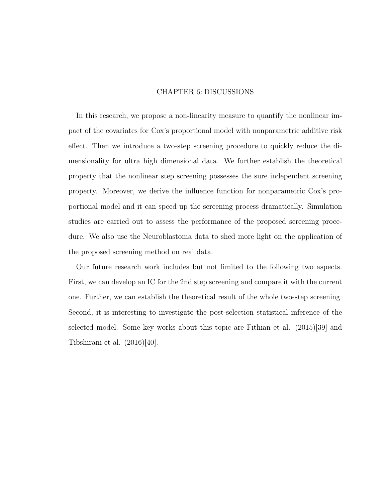# CHAPTER 6: DISCUSSIONS

In this research, we propose a non-linearity measure to quantify the nonlinear impact of the covariates for Cox's proportional model with nonparametric additive risk effect. Then we introduce a two-step screening procedure to quickly reduce the dimensionality for ultra high dimensional data. We further establish the theoretical property that the nonlinear step screening possesses the sure independent screening property. Moreover, we derive the influence function for nonparametric Cox's proportional model and it can speed up the screening process dramatically. Simulation studies are carried out to assess the performance of the proposed screening procedure. We also use the Neuroblastoma data to shed more light on the application of the proposed screening method on real data.

Our future research work includes but not limited to the following two aspects. First, we can develop an IC for the 2nd step screening and compare it with the current one. Further, we can establish the theoretical result of the whole two-step screening. Second, it is interesting to investigate the post-selection statistical inference of the selected model. Some key works about this topic are Fithian et al. (2015)[39] and Tibshirani et al. (2016)[40].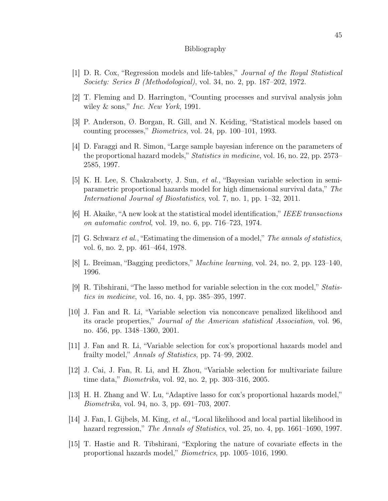## Bibliography

- [1] D. R. Cox, "Regression models and life-tables," Journal of the Royal Statistical Society: Series B (Methodological), vol. 34, no. 2, pp. 187–202, 1972.
- [2] T. Fleming and D. Harrington, "Counting processes and survival analysis john wiley  $\&$  sons," Inc. New York, 1991.
- [3] P. Anderson, Ø. Borgan, R. Gill, and N. Keiding, "Statistical models based on counting processes," Biometrics, vol. 24, pp. 100–101, 1993.
- [4] D. Faraggi and R. Simon, "Large sample bayesian inference on the parameters of the proportional hazard models," Statistics in medicine, vol. 16, no. 22, pp. 2573– 2585, 1997.
- [5] K. H. Lee, S. Chakraborty, J. Sun, et al., "Bayesian variable selection in semiparametric proportional hazards model for high dimensional survival data," The International Journal of Biostatistics, vol. 7, no. 1, pp. 1–32, 2011.
- [6] H. Akaike, "A new look at the statistical model identification," IEEE transactions on automatic control, vol. 19, no. 6, pp. 716–723, 1974.
- [7] G. Schwarz *et al.*, "Estimating the dimension of a model," The annals of statistics, vol. 6, no. 2, pp. 461–464, 1978.
- [8] L. Breiman, "Bagging predictors," Machine learning, vol. 24, no. 2, pp. 123–140, 1996.
- [9] R. Tibshirani, "The lasso method for variable selection in the cox model," Statistics in medicine, vol. 16, no. 4, pp. 385–395, 1997.
- [10] J. Fan and R. Li, "Variable selection via nonconcave penalized likelihood and its oracle properties," Journal of the American statistical Association, vol. 96, no. 456, pp. 1348–1360, 2001.
- [11] J. Fan and R. Li, "Variable selection for cox's proportional hazards model and frailty model," Annals of Statistics, pp. 74–99, 2002.
- [12] J. Cai, J. Fan, R. Li, and H. Zhou, "Variable selection for multivariate failure time data," Biometrika, vol. 92, no. 2, pp. 303–316, 2005.
- [13] H. H. Zhang and W. Lu, "Adaptive lasso for cox's proportional hazards model," Biometrika, vol. 94, no. 3, pp. 691–703, 2007.
- [14] J. Fan, I. Gijbels, M. King, et al., "Local likelihood and local partial likelihood in hazard regression," The Annals of Statistics, vol. 25, no. 4, pp. 1661–1690, 1997.
- [15] T. Hastie and R. Tibshirani, "Exploring the nature of covariate effects in the proportional hazards model," Biometrics, pp. 1005–1016, 1990.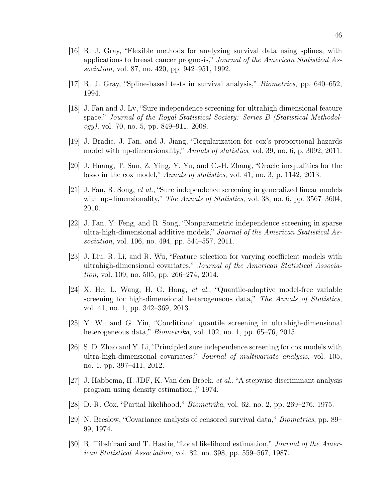- [16] R. J. Gray, "Flexible methods for analyzing survival data using splines, with applications to breast cancer prognosis," Journal of the American Statistical Association, vol. 87, no. 420, pp. 942–951, 1992.
- [17] R. J. Gray, "Spline-based tests in survival analysis," Biometrics, pp. 640–652, 1994.
- [18] J. Fan and J. Lv, "Sure independence screening for ultrahigh dimensional feature space," Journal of the Royal Statistical Society: Series B (Statistical Methodol $oqy$ , vol. 70, no. 5, pp. 849–911, 2008.
- [19] J. Bradic, J. Fan, and J. Jiang, "Regularization for cox's proportional hazards model with np-dimensionality," Annals of statistics, vol. 39, no. 6, p. 3092, 2011.
- [20] J. Huang, T. Sun, Z. Ying, Y. Yu, and C.-H. Zhang, "Oracle inequalities for the lasso in the cox model," Annals of statistics, vol. 41, no. 3, p. 1142, 2013.
- [21] J. Fan, R. Song, et al., "Sure independence screening in generalized linear models with np-dimensionality," The Annals of Statistics, vol. 38, no. 6, pp. 3567–3604, 2010.
- [22] J. Fan, Y. Feng, and R. Song, "Nonparametric independence screening in sparse ultra-high-dimensional additive models," Journal of the American Statistical Association, vol. 106, no. 494, pp. 544–557, 2011.
- [23] J. Liu, R. Li, and R. Wu, "Feature selection for varying coefficient models with ultrahigh-dimensional covariates," Journal of the American Statistical Association, vol. 109, no. 505, pp. 266–274, 2014.
- [24] X. He, L. Wang, H. G. Hong, et al., "Quantile-adaptive model-free variable screening for high-dimensional heterogeneous data," The Annals of Statistics, vol. 41, no. 1, pp. 342–369, 2013.
- [25] Y. Wu and G. Yin, "Conditional quantile screening in ultrahigh-dimensional heterogeneous data," *Biometrika*, vol. 102, no. 1, pp. 65–76, 2015.
- [26] S. D. Zhao and Y. Li, "Principled sure independence screening for cox models with ultra-high-dimensional covariates," Journal of multivariate analysis, vol. 105, no. 1, pp. 397–411, 2012.
- [27] J. Habbema, H. JDF, K. Van den Broek, et al., "A stepwise discriminant analysis program using density estimation.," 1974.
- [28] D. R. Cox, "Partial likelihood," Biometrika, vol. 62, no. 2, pp. 269–276, 1975.
- [29] N. Breslow, "Covariance analysis of censored survival data," Biometrics, pp. 89– 99, 1974.
- [30] R. Tibshirani and T. Hastie, "Local likelihood estimation," Journal of the American Statistical Association, vol. 82, no. 398, pp. 559–567, 1987.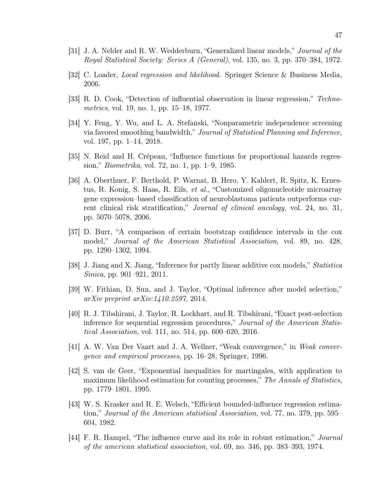- [31] J. A. Nelder and R. W. Wedderburn, "Generalized linear models," Journal of the Royal Statistical Society: Series A (General), vol. 135, no. 3, pp. 370–384, 1972.
- [32] C. Loader, Local regression and likelihood. Springer Science & Business Media, 2006.
- [33] R. D. Cook, "Detection of influential observation in linear regression," Technometrics, vol. 19, no. 1, pp. 15–18, 1977.
- [34] Y. Feng, Y. Wu, and L. A. Stefanski, "Nonparametric independence screening via favored smoothing bandwidth," Journal of Statistical Planning and Inference, vol. 197, pp. 1–14, 2018.
- [35] N. Reid and H. Crépeau, "Influence functions for proportional hazards regression," Biometrika, vol. 72, no. 1, pp. 1–9, 1985.
- [36] A. Oberthuer, F. Berthold, P. Warnat, B. Hero, Y. Kahlert, R. Spitz, K. Ernestus, R. Konig, S. Haas, R. Eils, et al., "Customized oligonucleotide microarray gene expression–based classification of neuroblastoma patients outperforms current clinical risk stratification," Journal of clinical oncology, vol. 24, no. 31, pp. 5070–5078, 2006.
- [37] D. Burr, "A comparison of certain bootstrap confidence intervals in the cox model," Journal of the American Statistical Association, vol. 89, no. 428, pp. 1290–1302, 1994.
- [38] J. Jiang and X. Jiang, "Inference for partly linear additive cox models," Statistica Sinica, pp. 901–921, 2011.
- [39] W. Fithian, D. Sun, and J. Taylor, "Optimal inference after model selection," arXiv preprint arXiv:1410.2597, 2014.
- [40] R. J. Tibshirani, J. Taylor, R. Lockhart, and R. Tibshirani, "Exact post-selection inference for sequential regression procedures," Journal of the American Statistical Association, vol. 111, no. 514, pp. 600–620, 2016.
- [41] A. W. Van Der Vaart and J. A. Wellner, "Weak convergence," in Weak convergence and empirical processes, pp. 16–28, Springer, 1996.
- [42] S. van de Geer, "Exponential inequalities for martingales, with application to maximum likelihood estimation for counting processes," The Annals of Statistics, pp. 1779–1801, 1995.
- [43] W. S. Krasker and R. E. Welsch, "Efficient bounded-influence regression estimation," Journal of the American statistical Association, vol. 77, no. 379, pp. 595– 604, 1982.
- [44] F. R. Hampel, "The influence curve and its role in robust estimation," Journal of the american statistical association, vol. 69, no. 346, pp. 383–393, 1974.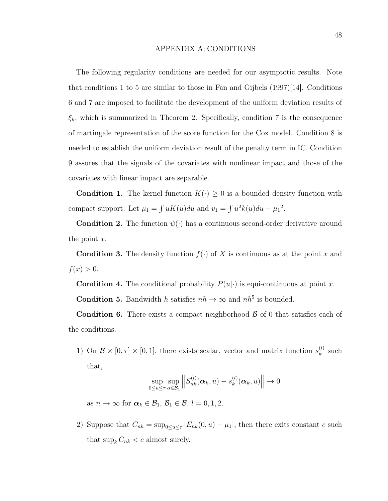# APPENDIX A: CONDITIONS

The following regularity conditions are needed for our asymptotic results. Note that conditions 1 to 5 are similar to those in Fan and Gijbels  $(1997)|14|$ . Conditions 6 and 7 are imposed to facilitate the development of the uniform deviation results of  $\xi_k$ , which is summarized in Theorem 2. Specifically, condition 7 is the consequence of martingale representation of the score function for the Cox model. Condition 8 is needed to establish the uniform deviation result of the penalty term in IC. Condition 9 assures that the signals of the covariates with nonlinear impact and those of the covariates with linear impact are separable.

**Condition 1.** The kernel function  $K(\cdot) \geq 0$  is a bounded density function with compact support. Let  $\mu_1 = \int uK(u)du$  and  $v_1 = \int u^2k(u)du - \mu_1^2$ .

**Condition 2.** The function  $\psi(\cdot)$  has a continuous second-order derivative around the point  $x$ .

**Condition 3.** The density function  $f(\cdot)$  of X is continuous as at the point x and  $f(x) > 0.$ 

**Condition 4.** The conditional probability  $P(u|\cdot)$  is equi-continuous at point x.

**Condition 5.** Bandwidth h satisfies  $nh \to \infty$  and  $nh^5$  is bounded.

**Condition 6.** There exists a compact neighborhood  $\beta$  of 0 that satisfies each of the conditions.

1) On  $\mathcal{B} \times [0, \tau] \times [0, 1]$ , there exists scalar, vector and matrix function  $s_k^{(l)}$  $\binom{l}{k}$  such that,

$$
\sup_{0 \le u \le \tau} \sup_{\alpha \in \mathcal{B}_1} \left\| S_{nk}^{(l)}(\boldsymbol{\alpha}_k, u) - s_k^{(l)}(\boldsymbol{\alpha}_k, u) \right\| \to 0
$$

as  $n \to \infty$  for  $\alpha_k \in \mathcal{B}_1$ ,  $\mathcal{B}_1 \in \mathcal{B}$ ,  $l = 0, 1, 2$ .

2) Suppose that  $C_{nk} = \sup_{0 \le u \le \tau} |E_{nk}(0, u) - \mu_1|$ , then there exits constant c such that  $\sup_k C_{nk} < c$  almost surely.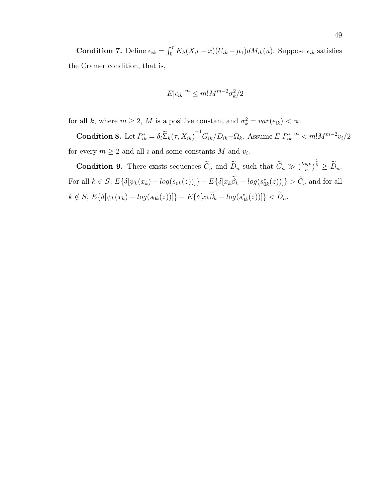**Condition 7.** Define  $\epsilon_{ik} = \int_0^{\tau} K_h(X_{ik} - x)(U_{ik} - \mu_1)dM_{ik}(u)$ . Suppose  $\epsilon_{ik}$  satisfies the Cramer condition, that is,

$$
E|\epsilon_{ik}|^m \leq m! M^{m-2} \sigma_k^2/2
$$

for all k, where  $m \ge 2$ , M is a positive constant and  $\sigma_k^2 = var(\epsilon_{ik}) < \infty$ .

**Condition 8.** Let  $P_{ik}^* = \delta_i \tilde{\Sigma}_k(\tau, X_{ik})^{-1} G_{ik}/D_{ik} - \Omega_k$ . Assume  $E|P_{ik}^*|^m < m!M^{m-2}v_i/2$ for every  $m \geq 2$  and all *i* and some constants M and  $v_i$ .

**Condition 9.** There exists sequences  $\tilde{C}_n$  and  $\tilde{D}_n$  such that  $\tilde{C}_n \gg (\frac{logp}{n})$  $\left(\frac{\log p}{n}\right)^{\frac{1}{5}} \geq \widetilde{D}_n.$ For all  $k \in S$ ,  $E\{\delta[\psi_k(x_k) - \log(s_{0k}(z))] \} - E\{\delta[x_k\hat{\beta}_k - \log(s_{0k}^*(z))] \} > \tilde{C}_n$  and for all  $k \notin S$ ,  $E\{\delta[\psi_k(x_k) - log(s_{0k}(z))] \} - E\{\delta[x_k\tilde{\beta}_k - log(s_{0k}^*(z))] \} < \tilde{D}_n$ .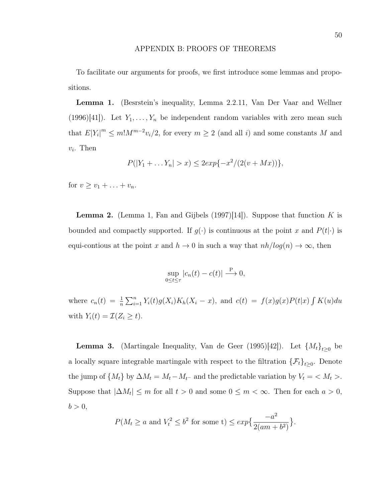# APPENDIX B: PROOFS OF THEOREMS

To facilitate our arguments for proofs, we first introduce some lemmas and propositions.

Lemma 1. (Besrstein's inequality, Lemma 2.2.11, Van Der Vaar and Wellner (1996)[41]). Let  $Y_1, \ldots, Y_n$  be independent random variables with zero mean such that  $E[Y_i]^m \leq m! M^{m-2}v_i/2$ , for every  $m \geq 2$  (and all i) and some constants M and  $v_i$ . Then

$$
P(|Y_1 + ... Y_n| > x) \le 2exp{-x^2/(2(v+Mx))},
$$

for  $v > v_1 + \ldots + v_n$ .

**Lemma 2.** (Lemma 1, Fan and Gijbels  $(1997)[14]$ ). Suppose that function K is bounded and compactly supported. If  $g(\cdot)$  is continuous at the point x and  $P(t|\cdot)$  is equi-contious at the point x and  $h \to 0$  in such a way that  $nh/log(n) \to \infty$ , then

$$
\sup_{0 \le t \le \tau} |c_n(t) - c(t)| \stackrel{\text{P}}{\longrightarrow} 0,
$$

where  $c_n(t) = \frac{1}{n} \sum_{i=1}^n Y_i(t) g(X_i) K_h(X_i - x)$ , and  $c(t) = f(x) g(x) P(t|x) \int K(u) du$ with  $Y_i(t) = \mathcal{I}(Z_i \geq t)$ .

**Lemma 3.** (Martingale Inequality, Van de Geer (1995)[42]). Let  $\{M_t\}_{t\geq 0}$  be a locally square integrable martingale with respect to the filtration  $\{\mathcal{F}_t\}_{t\geq 0}$ . Denote the jump of  $\{M_t\}$  by  $\Delta M_t = M_t - M_{t^-}$  and the predictable variation by  $V_t = \langle M_t \rangle$ . Suppose that  $|\Delta M_t| \leq m$  for all  $t > 0$  and some  $0 \leq m < \infty$ . Then for each  $a > 0$ ,  $b > 0$ ,

$$
P(M_t \ge a \text{ and } V_t^2 \le b^2 \text{ for some t}) \le \exp\left\{\frac{-a^2}{2(am+b^2)}\right\}.
$$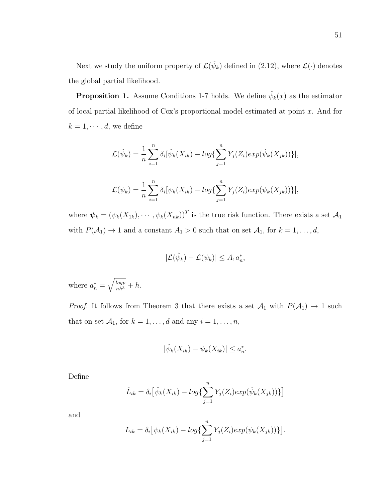Next we study the uniform property of  $\mathcal{L}(\hat{\psi}_k)$  defined in (2.12), where  $\mathcal{L}(\cdot)$  denotes the global partial likelihood.

**Proposition 1.** Assume Conditions 1-7 holds. We define  $\hat{\psi}_k(x)$  as the estimator of local partial likelihood of Cox's proportional model estimated at point x. And for  $k = 1, \cdots, d$ , we define

$$
\mathcal{L}(\hat{\psi}_k) = \frac{1}{n} \sum_{i=1}^n \delta_i [\hat{\psi}_k(X_{ik}) - \log \{ \sum_{j=1}^n Y_j(Z_i) \exp(\hat{\psi}_k(X_{jk})) \}],
$$
  

$$
\mathcal{L}(\psi_k) = \frac{1}{n} \sum_{i=1}^n \delta_i [\psi_k(X_{ik}) - \log \{ \sum_{j=1}^n Y_j(Z_i) \exp(\psi_k(X_{jk})) \}],
$$

where  $\boldsymbol{\psi}_k = (\psi_k(X_{1k}), \cdots, \psi_k(X_{nk}))^T$  is the true risk function. There exists a set  $\mathcal{A}_1$ with  $P(\mathcal{A}_1) \to 1$  and a constant  $A_1 > 0$  such that on set  $\mathcal{A}_1$ , for  $k = 1, ..., d$ ,

$$
|\mathcal{L}(\hat{\psi}_k) - \mathcal{L}(\psi_k)| \leq A_1 a_n^*,
$$

where  $a_n^* = \sqrt{\frac{log p}{nh^3}} + h$ .

*Proof.* It follows from Theorem 3 that there exists a set  $A_1$  with  $P(A_1) \rightarrow 1$  such that on set  $\mathcal{A}_1$ , for  $k = 1, ..., d$  and any  $i = 1, ..., n$ ,

$$
|\hat{\psi}_k(X_{ik}) - \psi_k(X_{ik})| \le a_n^*.
$$

Define

$$
\hat{L}_{ik} = \delta_i \big[ \hat{\psi}_k(X_{ik}) - \log \{ \sum_{j=1}^n Y_j(Z_i) \exp(\hat{\psi}_k(X_{jk})) \} \big]
$$

and

$$
L_{ik} = \delta_i \big[ \psi_k(X_{ik}) - \log \{ \sum_{j=1}^n Y_j(Z_i) \exp(\psi_k(X_{jk})) \} \big]
$$

.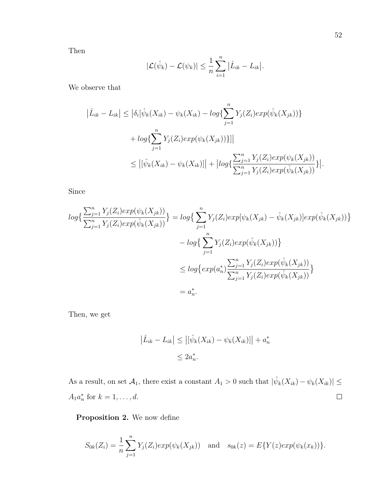Then

$$
|\mathcal{L}(\hat{\psi}_k) - \mathcal{L}(\psi_k)| \leq \frac{1}{n} \sum_{i=1}^n |\hat{L}_{ik} - L_{ik}|.
$$

We observe that

$$
\left| \hat{L}_{ik} - L_{ik} \right| \leq \left| \delta_i [\hat{\psi}_k(X_{ik}) - \psi_k(X_{ik}) - \log \{ \sum_{j=1}^n Y_j(Z_i) \exp(\hat{\psi}_k(X_{jk})) \} + \log \{ \sum_{j=1}^n Y_j(Z_i) \exp(\psi_k(X_{jk})) \} \right|
$$
  

$$
\leq \left| [\hat{\psi}_k(X_{ik}) - \psi_k(X_{ik})] \right| + \left| \log \{ \frac{\sum_{j=1}^n Y_j(Z_i) \exp(\psi_k(X_{jk}))}{\sum_{j=1}^n Y_j(Z_i) \exp(\hat{\psi}_k(X_{jk}))} \} \right|.
$$

Since

$$
\log\{\frac{\sum_{j=1}^{n} Y_j(Z_i) \exp(\psi_k(X_{jk}))}{\sum_{j=1}^{n} Y_j(Z_i) \exp(\hat{\psi}_k(X_{jk}))}\} = \log\{\sum_{j=1}^{n} Y_j(Z_i) \exp[\psi_k(X_{jk}) - \hat{\psi}_k(X_{jk})] \exp(\hat{\psi}_k(X_{jk}))\}
$$
  

$$
- \log\{\sum_{j=1}^{n} Y_j(Z_i) \exp(\hat{\psi}_k(X_{jk}))\}
$$
  

$$
\leq \log\{\exp(a_n^*) \frac{\sum_{j=1}^{n} Y_j(Z_i) \exp(\hat{\psi}_k(X_{jk}))}{\sum_{j=1}^{n} Y_j(Z_i) \exp(\hat{\psi}_k(X_{jk}))}\}
$$
  

$$
= a_n^*.
$$

Then, we get

$$
\left| \hat{L}_{ik} - L_{ik} \right| \le \left| \left[ \hat{\psi}_k(X_{ik}) - \psi_k(X_{ik}) \right] \right| + a_n^*
$$
  

$$
\le 2a_n^*.
$$

As a result, on set  $\mathcal{A}_1$ , there exist a constant  $A_1 > 0$  such that  $|\hat{\psi}_k(X_{ik}) - \psi_k(X_{ik})| \leq$  $A_1 a_n^*$  for  $k = 1, ..., d$ .  $\Box$ 

Proposition 2. We now define

$$
S_{0k}(Z_i) = \frac{1}{n} \sum_{j=1}^n Y_j(Z_i) exp(\psi_k(X_{jk})) \text{ and } s_{0k}(z) = E\{Y(z) exp(\psi_k(x_k))\}.
$$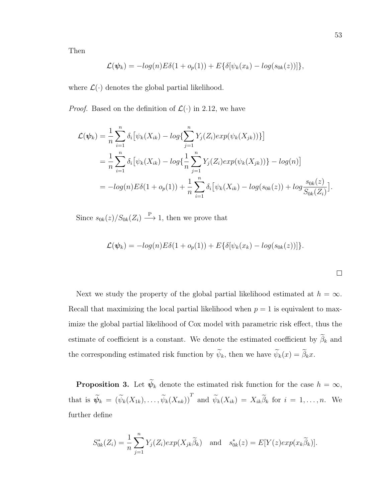Then

$$
\mathcal{L}(\boldsymbol{\psi}_k) = -log(n)E\delta(1+o_p(1)) + E\{\delta[\psi_k(x_k) - log(s_{0k}(z))]\},
$$

where  $\mathcal{L}(\cdot)$  denotes the global partial likelihood.

*Proof.* Based on the definition of  $\mathcal{L}(\cdot)$  in 2.12, we have

$$
\mathcal{L}(\psi_k) = \frac{1}{n} \sum_{i=1}^n \delta_i \big[ \psi_k(X_{ik}) - \log \{ \sum_{j=1}^n Y_j(Z_i) \exp(\psi_k(X_{jk})) \} \big]
$$
  
= 
$$
\frac{1}{n} \sum_{i=1}^n \delta_i \big[ \psi_k(X_{ik}) - \log \{ \frac{1}{n} \sum_{j=1}^n Y_j(Z_i) \exp(\psi_k(X_{jk})) \} - \log(n) \big]
$$
  
= 
$$
- \log(n) E \delta(1 + o_p(1)) + \frac{1}{n} \sum_{i=1}^n \delta_i \big[ \psi_k(X_{ik}) - \log(s_{0k}(z)) + \log \frac{s_{0k}(z)}{S_{0k}(Z_i)} \big].
$$

Since  $s_{0k}(z)/S_{0k}(Z_i) \stackrel{\text{P}}{\longrightarrow} 1$ , then we prove that

$$
\mathcal{L}(\boldsymbol{\psi}_k) = -log(n)E\delta(1+o_p(1)) + E\{\delta[\psi_k(x_k) - log(s_{0k}(z))]\}.
$$

 $\Box$ 

Next we study the property of the global partial likelihood estimated at  $h = \infty$ . Recall that maximizing the local partial likelihood when  $p = 1$  is equivalent to maximize the global partial likelihood of Cox model with parametric risk effect, thus the estimate of coefficient is a constant. We denote the estimated coefficient by  $\widetilde{\beta}_k$  and the corresponding estimated risk function by  $\widetilde{\psi}_k$ , then we have  $\widetilde{\psi}_k(x) = \widetilde{\beta}_k x$ .

**Proposition 3.** Let  $\widetilde{\psi}_k$  denote the estimated risk function for the case  $h = \infty$ , that is  $\widetilde{\psi}_k = (\widetilde{\psi}_k(X_{1k}), \ldots, \widetilde{\psi}_k(X_{nk}))^T$  and  $\widetilde{\psi}_k(X_{ik}) = X_{ik}\widetilde{\beta}_k$  for  $i = 1, \ldots, n$ . We further define

$$
S_{0k}^*(Z_i) = \frac{1}{n} \sum_{j=1}^n Y_j(Z_i) exp(X_{jk} \widetilde{\beta}_k) \text{ and } s_{0k}^*(z) = E[Y(z) exp(x_k \widetilde{\beta}_k)].
$$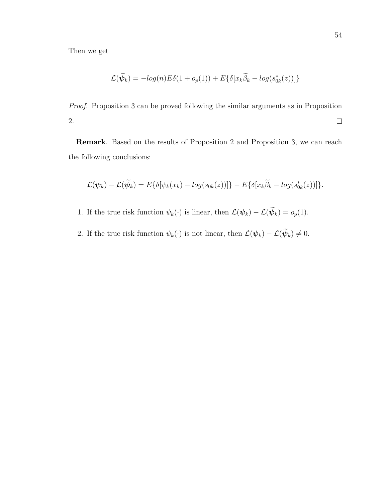Then we get

$$
\mathcal{L}(\widetilde{\psi}_k) = -log(n)E\delta(1 + o_p(1)) + E\{\delta[x_k\widetilde{\beta}_k - log(s_{0k}^*(z))]\}
$$

Proof. Proposition 3 can be proved following the similar arguments as in Proposition 2.  $\hfill \square$ 

Remark. Based on the results of Proposition 2 and Proposition 3, we can reach the following conclusions:

$$
\mathcal{L}(\boldsymbol{\psi}_k) - \mathcal{L}(\widetilde{\boldsymbol{\psi}}_k) = E\{\delta[\psi_k(x_k) - log(s_{0k}(z))]\} - E\{\delta[x_k\widetilde{\beta}_k - log(s^*_{0k}(z))]\}.
$$

- 1. If the true risk function  $\psi_k(\cdot)$  is linear, then  $\mathcal{L}(\psi_k) \mathcal{L}(\widetilde{\psi}_k) = o_p(1)$ .
- 2. If the true risk function  $\psi_k(\cdot)$  is not linear, then  $\mathcal{L}(\psi_k) \mathcal{L}(\widetilde{\psi}_k) \neq 0$ .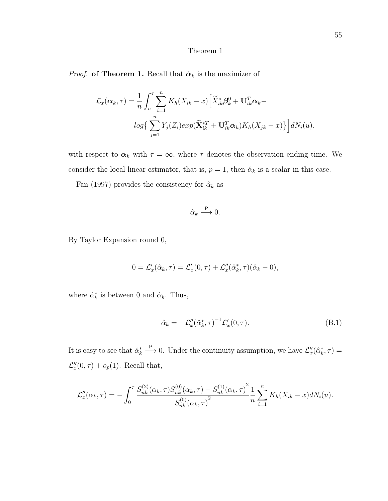# Theorem 1

*Proof.* of Theorem 1. Recall that  $\hat{\alpha}_k$  is the maximizer of

$$
\mathcal{L}_x(\boldsymbol{\alpha}_k, \tau) = \frac{1}{n} \int_o^{\tau} \sum_{i=1}^n K_h(X_{ik} - x) \Big[ \widetilde{X}_{ik}^* \boldsymbol{\beta}_k^0 + \mathbf{U}_{ik}^T \boldsymbol{\alpha}_k - log\Big\{ \sum_{j=1}^n Y_j(Z_i) exp(\widetilde{\mathbf{X}}_{ik}^{*T} + \mathbf{U}_{ik}^T \boldsymbol{\alpha}_k) K_h(X_{jk} - x) \Big\} \Big] dN_i(u).
$$

with respect to  $\alpha_k$  with  $\tau = \infty$ , where  $\tau$  denotes the observation ending time. We consider the local linear estimator, that is,  $p = 1$ , then  $\hat{\alpha}_k$  is a scalar in this case.

Fan (1997) provides the consistency for  $\hat{\alpha}_k$  as

$$
\hat{\alpha}_k \stackrel{\text{P}}{\longrightarrow} 0.
$$

By Taylor Expansion round 0,

$$
0 = \mathcal{L}'_x(\hat{\alpha}_k, \tau) = \mathcal{L}'_x(0, \tau) + \mathcal{L}''_x(\hat{\alpha}_k^*, \tau)(\hat{\alpha}_k - 0),
$$

where  $\hat{\alpha}_k^*$  is between 0 and  $\hat{\alpha}_k$ . Thus,

$$
\hat{\alpha}_k = -\mathcal{L}_x''(\hat{\alpha}_k^*, \tau)^{-1} \mathcal{L}_x'(0, \tau). \tag{B.1}
$$

It is easy to see that  $\hat{\alpha}_k^*$  $\stackrel{\text{P}}{\longrightarrow} 0$ . Under the continuity assumption, we have  $\mathcal{L}''_x(\hat{\alpha}_k^*, \tau) =$  $\mathcal{L}_x''(0,\tau) + o_p(1)$ . Recall that,

$$
\mathcal{L}_x''(\alpha_k, \tau) = -\int_0^{\tau} \frac{S_{nk}^{(2)}(\alpha_k, \tau)S_{nk}^{(0)}(\alpha_k, \tau) - S_{nk}^{(1)}(\alpha_k, \tau)^2}{S_{nk}^{(0)}(\alpha_k, \tau)^2} \frac{1}{n} \sum_{i=1}^n K_h(X_{ik} - x) dN_i(u).
$$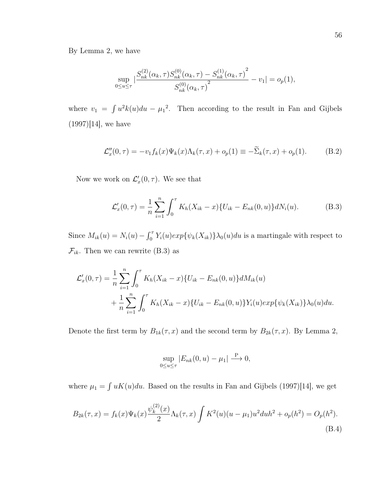By Lemma 2, we have

$$
\sup_{0 \le u \le \tau} \left| \frac{S_{nk}^{(2)}(\alpha_k, \tau) S_{nk}^{(0)}(\alpha_k, \tau) - S_{nk}^{(1)}(\alpha_k, \tau)}{S_{nk}^{(0)}(\alpha_k, \tau)} \right|^2 - v_1 \right| = o_p(1),
$$

where  $v_1 = \int u^2 k(u) du - \mu_1^2$ . Then according to the result in Fan and Gijbels  $(1997)[14]$ , we have

$$
\mathcal{L}_x''(0,\tau) = -v_1 f_k(x) \Psi_k(x) \Lambda_k(\tau,x) + o_p(1) \equiv -\widetilde{\Sigma}_k(\tau,x) + o_p(1). \tag{B.2}
$$

Now we work on  $\mathcal{L}'_x(0, \tau)$ . We see that

$$
\mathcal{L}'_x(0,\tau) = \frac{1}{n} \sum_{i=1}^n \int_0^\tau K_h(X_{ik} - x) \{ U_{ik} - E_{nk}(0,u) \} dN_i(u).
$$
 (B.3)

Since  $M_{ik}(u) = N_i(u) - \int_0^{\tau} Y_i(u) exp{\psi_k(X_{ik})}\}\lambda_0(u) du$  is a martingale with respect to  $\mathcal{F}_{ik}$ . Then we can rewrite (B.3) as

$$
\mathcal{L}'_x(0,\tau) = \frac{1}{n} \sum_{i=1}^n \int_0^\tau K_h(X_{ik} - x) \{ U_{ik} - E_{nk}(0,u) \} dM_{ik}(u) + \frac{1}{n} \sum_{i=1}^n \int_0^\tau K_h(X_{ik} - x) \{ U_{ik} - E_{nk}(0,u) \} Y_i(u) exp{\psi_k(X_{ik})} \lambda_0(u) du.
$$

Denote the first term by  $B_{1k}(\tau, x)$  and the second term by  $B_{2k}(\tau, x)$ . By Lemma 2,

$$
\sup_{0 \le u \le \tau} |E_{nk}(0, u) - \mu_1| \stackrel{\text{P}}{\longrightarrow} 0,
$$

where  $\mu_1 = \int uK(u)du$ . Based on the results in Fan and Gijbels (1997)[14], we get

$$
B_{2k}(\tau, x) = f_k(x)\Psi_k(x)\frac{\psi_k^{(2)}(x)}{2}\Lambda_k(\tau, x)\int K^2(u)(u - \mu_1)u^2 du h^2 + o_p(h^2) = O_p(h^2).
$$
\n(B.4)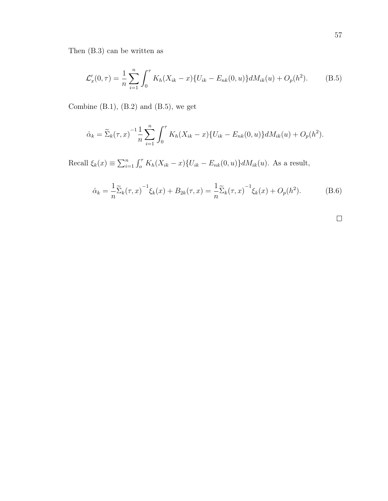Then (B.3) can be written as

$$
\mathcal{L}'_x(0,\tau) = \frac{1}{n} \sum_{i=1}^n \int_0^\tau K_h(X_{ik} - x) \{ U_{ik} - E_{nk}(0,u) \} dM_{ik}(u) + O_p(h^2).
$$
 (B.5)

Combine  $(B.1)$ ,  $(B.2)$  and  $(B.5)$ , we get

$$
\hat{\alpha}_k = \tilde{\Sigma}_k(\tau, x)^{-1} \frac{1}{n} \sum_{i=1}^n \int_0^{\tau} K_h(X_{ik} - x) \{ U_{ik} - E_{nk}(0, u) \} dM_{ik}(u) + O_p(h^2).
$$

Recall  $\xi_k(x) \equiv \sum_{i=1}^n \int_0^{\tau} K_h(X_{ik} - x) \{U_{ik} - E_{nk}(0, u)\} dM_{ik}(u)$ . As a result,

$$
\hat{\alpha}_k = \frac{1}{n} \tilde{\Sigma}_k(\tau, x)^{-1} \xi_k(x) + B_{2k}(\tau, x) = \frac{1}{n} \tilde{\Sigma}_k(\tau, x)^{-1} \xi_k(x) + O_p(h^2).
$$
 (B.6)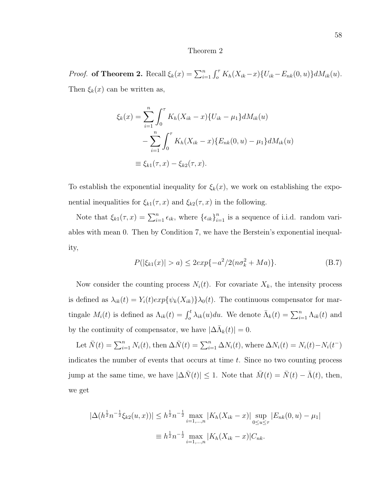#### Theorem 2

*Proof.* of Theorem 2. Recall  $\xi_k(x) = \sum_{i=1}^n \int_0^{\tau} K_h(X_{ik}-x) \{U_{ik}-E_{nk}(0,u)\} dM_{ik}(u)$ . Then  $\xi_k(x)$  can be written as,

$$
\xi_k(x) = \sum_{i=1}^n \int_0^\tau K_h(X_{ik} - x) \{ U_{ik} - \mu_1 \} dM_{ik}(u)
$$
  

$$
- \sum_{i=1}^n \int_0^\tau K_h(X_{ik} - x) \{ E_{nk}(0, u) - \mu_1 \} dM_{ik}(u)
$$
  

$$
\equiv \xi_{k1}(\tau, x) - \xi_{k2}(\tau, x).
$$

To establish the exponential inequality for  $\xi_k(x)$ , we work on establishing the exponential inequalities for  $\xi_{k1}(\tau, x)$  and  $\xi_{k2}(\tau, x)$  in the following.

Note that  $\xi_{k1}(\tau, x) = \sum_{i=1}^n \epsilon_{ik}$ , where  $\{\epsilon_{ik}\}_{i=1}^n$  is a sequence of i.i.d. random variables with mean 0. Then by Condition 7, we have the Berstein's exponential inequality,

$$
P(|\xi_{k1}(x)| > a) \le 2\exp\{-a^2/2(n\sigma_k^2 + Ma)\}.
$$
 (B.7)

Now consider the counting process  $N_i(t)$ . For covariate  $X_k$ , the intensity process is defined as  $\lambda_{ik}(t) = Y_i(t) exp{\psi_k(X_{ik})}\lambda_0(t)$ . The continuous compensator for martingale  $M_i(t)$  is defined as  $\Lambda_{ik}(t) = \int_0^t \lambda_{ik}(u)du$ . We denote  $\bar{\Lambda}_k(t) = \sum_{i=1}^n \Lambda_{ik}(t)$  and by the continuity of compensator, we have  $|\Delta \bar{\Lambda}_k(t)| = 0$ .

Let  $\bar{N}(t) = \sum_{i=1}^{n} N_i(t)$ , then  $\Delta \bar{N}(t) = \sum_{i=1}^{n} \Delta N_i(t)$ , where  $\Delta N_i(t) = N_i(t) - N_i(t^{-})$ indicates the number of events that occurs at time t. Since no two counting process jump at the same time, we have  $|\Delta \bar{N}(t)| \leq 1$ . Note that  $\bar{M}(t) = \bar{N}(t) - \bar{\Lambda}(t)$ , then, we get

$$
|\Delta(h^{\frac{1}{2}}n^{-\frac{1}{2}}\xi_{k2}(u,x))| \leq h^{\frac{1}{2}}n^{-\frac{1}{2}}\max_{i=1,\dots,n}|K_h(X_{ik}-x)|\sup_{0\leq u\leq \tau}|E_{nk}(0,u)-\mu_1|
$$
  

$$
\equiv h^{\frac{1}{2}}n^{-\frac{1}{2}}\max_{i=1,\dots,n}|K_h(X_{ik}-x)|C_{nk}.
$$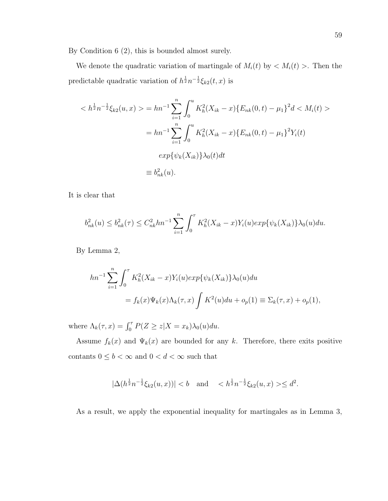By Condition 6 (2), this is bounded almost surely.

We denote the quadratic variation of martingale of  $M_i(t)$  by  $\langle M_i(t) \rangle$ . Then the predictable quadratic variation of  $h^{\frac{1}{2}}n^{-\frac{1}{2}}\xi_{k2}(t,x)$  is

$$
\langle h^{\frac{1}{2}} n^{-\frac{1}{2}} \xi_{k2}(u, x) \rangle = h n^{-1} \sum_{i=1}^{n} \int_{0}^{u} K_{h}^{2}(X_{ik} - x) \{ E_{nk}(0, t) - \mu_{1} \}^{2} d \langle M_{i}(t) \rangle
$$
  

$$
= h n^{-1} \sum_{i=1}^{n} \int_{0}^{u} K_{h}^{2}(X_{ik} - x) \{ E_{nk}(0, t) - \mu_{1} \}^{2} Y_{i}(t)
$$
  

$$
exp{\{\psi_{k}(X_{ik})\}} \lambda_{0}(t) dt
$$
  

$$
\equiv b_{nk}^{2}(u).
$$

It is clear that

$$
b_{nk}^2(u) \leq b_{nk}^2(\tau) \leq C_{nk}^2 h n^{-1} \sum_{i=1}^n \int_0^\tau K_h^2(X_{ik} - x) Y_i(u) exp\{\psi_k(X_{ik})\} \lambda_0(u) du.
$$

By Lemma 2,

$$
hn^{-1} \sum_{i=1}^{n} \int_{0}^{\tau} K_{h}^{2}(X_{ik} - x)Y_{i}(u)exp{\{\psi_{k}(X_{ik})\}}\lambda_{0}(u)du
$$
  
=  $f_{k}(x)\Psi_{k}(x)\Lambda_{k}(\tau, x) \int K^{2}(u)du + o_{p}(1) \equiv \Sigma_{k}(\tau, x) + o_{p}(1),$ 

where  $\Lambda_k(\tau, x) = \int_0^{\tau} P(Z \ge z | X = x_k) \lambda_0(u) du$ .

Assume  $f_k(x)$  and  $\Psi_k(x)$  are bounded for any k. Therefore, there exits positive contants  $0\leq b<\infty$  and  $0< d<\infty$  such that

$$
|\Delta(h^{\frac{1}{2}}n^{-\frac{1}{2}}\xi_{k2}(u,x))| < b
$$
 and  $< h^{\frac{1}{2}}n^{-\frac{1}{2}}\xi_{k2}(u,x) > \leq d^2$ .

As a result, we apply the exponential inequality for martingales as in Lemma 3,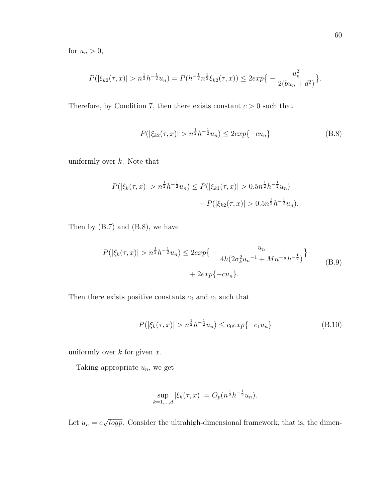for  $u_n > 0$ ,

$$
P(|\xi_{k2}(\tau,x)| > n^{\frac{1}{2}}h^{-\frac{1}{2}}u_n) = P(h^{-\frac{1}{2}}n^{\frac{1}{2}}\xi_{k2}(\tau,x)) \le 2exp\{-\frac{u_n^2}{2(bu_n+d^2)}\}.
$$

Therefore, by Condition 7, then there exists constant  $c > 0$  such that

$$
P(|\xi_{k2}(\tau,x)| > n^{\frac{1}{2}}h^{-\frac{1}{2}}u_n) \le 2\exp\{-cu_n\}
$$
 (B.8)

uniformly over  $k$ . Note that

$$
P(|\xi_k(\tau, x)| > n^{\frac{1}{2}} h^{-\frac{1}{2}} u_n) \le P(|\xi_{k1}(\tau, x)| > 0.5 n^{\frac{1}{2}} h^{-\frac{1}{2}} u_n) + P(|\xi_{k2}(\tau, x)| > 0.5 n^{\frac{1}{2}} h^{-\frac{1}{2}} u_n).
$$

Then by (B.7) and (B.8), we have

$$
P(|\xi_k(\tau, x)| > n^{\frac{1}{2}} h^{-\frac{1}{2}} u_n) \le 2 \exp\left\{-\frac{u_n}{4h(2\sigma_k^2 u_n^{-1} + Mn^{-\frac{1}{2}}h^{-\frac{1}{2}})}\right\}
$$
\n
$$
+ 2 \exp\{-cu_n\}.
$$
\n(B.9)

Then there exists positive constants  $c_0$  and  $c_1$  such that

$$
P(|\xi_k(\tau, x)| > n^{\frac{1}{2}}h^{-\frac{1}{2}}u_n) \le c_0 \exp\{-c_1 u_n\}
$$
 (B.10)

uniformly over  $k$  for given  $x$ .

Taking appropriate  $u_n$ , we get

$$
\sup_{k=1,\dots,d} |\xi_k(\tau, x)| = O_p(n^{\frac{1}{2}}h^{-\frac{1}{2}}u_n).
$$

Let  $u_n = c$ √  $\overline{logp}$ . Consider the ultrahigh-dimensional framework, that is, the dimen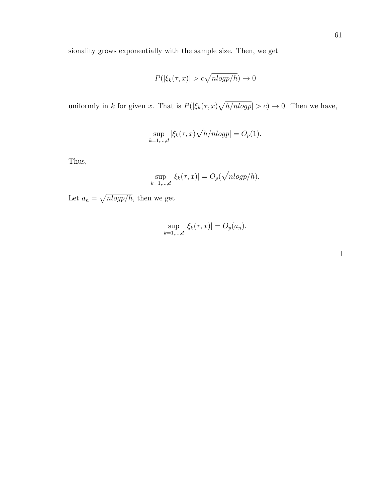sionality grows exponentially with the sample size. Then, we get

$$
P(|\xi_k(\tau, x)| > c\sqrt{nlogp/h}) \to 0
$$

uniformly in k for given x. That is  $P(|\xi_k(\tau,x)\sqrt{h/nlogp}|>c) \to 0$ . Then we have,

$$
\sup_{k=1,\dots,d} |\xi_k(\tau,x)\sqrt{h/nlogp}| = O_p(1).
$$

Thus,

$$
\sup_{k=1,\dots,d} |\xi_k(\tau,x)| = O_p(\sqrt{n \log p/h}).
$$

Let  $a_n = \sqrt{n \log p / h}$ , then we get

$$
\sup_{k=1,\dots,d} |\xi_k(\tau, x)| = O_p(a_n).
$$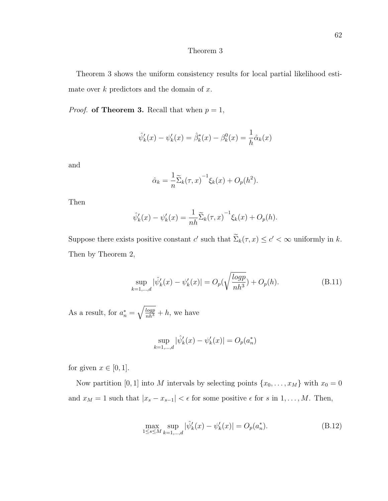# Theorem 3

Theorem 3 shows the uniform consistency results for local partial likelihood estimate over  $k$  predictors and the domain of  $x$ .

*Proof.* of Theorem 3. Recall that when  $p = 1$ ,

$$
\hat{\psi}'_k(x) - \psi'_k(x) = \hat{\beta}_k^*(x) - \beta_k^0(x) = \frac{1}{h}\hat{\alpha}_k(x)
$$

and

$$
\hat{\alpha}_k = \frac{1}{n} \widetilde{\Sigma}_k(\tau, x)^{-1} \xi_k(x) + O_p(h^2).
$$

Then

$$
\hat{\psi}'_k(x) - \psi'_k(x) = \frac{1}{nh} \widetilde{\Sigma}_k(\tau, x)^{-1} \xi_k(x) + O_p(h).
$$

Suppose there exists positive constant c' such that  $\sum_{k}(\tau, x) \leq c' < \infty$  uniformly in k. Then by Theorem 2,

$$
\sup_{k=1,\dots,d} |\hat{\psi}'_k(x) - \psi'_k(x)| = O_p(\sqrt{\frac{\log p}{nh^3}}) + O_p(h). \tag{B.11}
$$

As a result, for  $a_n^* = \sqrt{\frac{logp}{nh^3}} + h$ , we have

$$
\sup_{k=1,\dots,d} |\hat{\psi}'_k(x) - \psi'_k(x)| = O_p(a_n^*)
$$

for given  $x \in [0, 1]$ .

Now partition [0, 1] into M intervals by selecting points  $\{x_0, \ldots, x_M\}$  with  $x_0 = 0$ and  $x_M = 1$  such that  $|x_s - x_{s-1}| < \epsilon$  for some positive  $\epsilon$  for s in  $1, \ldots, M$ . Then,

$$
\max_{1 \le s \le M} \sup_{k=1,\dots,d} |\hat{\psi}'_k(x) - \psi'_k(x)| = O_p(a_n^*).
$$
 (B.12)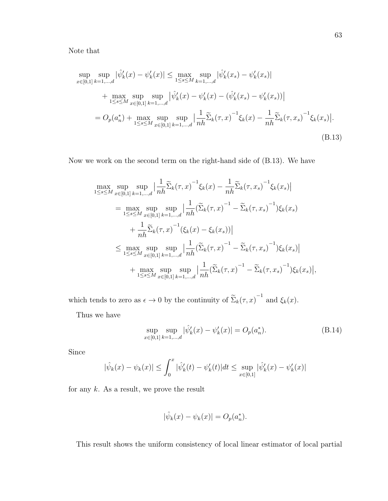Note that

$$
\sup_{x \in [0,1]} \sup_{k=1,\dots,d} |\hat{\psi}'_k(x) - \psi'_k(x)| \le \max_{1 \le s \le M} \sup_{k=1,\dots,d} |\hat{\psi}'_k(x_s) - \psi'_k(x_s)|
$$
  
+ 
$$
\max_{1 \le s \le M} \sup_{x \in [0,1]} \sup_{k=1,\dots,d} |\hat{\psi}'_k(x) - \psi'_k(x) - (\hat{\psi}'_k(x_s) - \psi'_k(x_s))|
$$
  
= 
$$
O_p(a_n^*) + \max_{1 \le s \le M} \sup_{x \in [0,1]} \sup_{k=1,\dots,d} \left| \frac{1}{nh} \widetilde{\Sigma}_k(\tau, x)^{-1} \xi_k(x) - \frac{1}{nh} \widetilde{\Sigma}_k(\tau, x_s)^{-1} \xi_k(x_s) \right|.
$$
  
(B.13)

Now we work on the second term on the right-hand side of (B.13). We have

$$
\max_{1 \leq s \leq M} \sup_{x \in [0,1]} \sup_{k=1,\dots,d} \left| \frac{1}{nh} \widetilde{\Sigma}_k(\tau, x)^{-1} \xi_k(x) - \frac{1}{nh} \widetilde{\Sigma}_k(\tau, x_s)^{-1} \xi_k(x_s) \right|
$$
\n
$$
= \max_{1 \leq s \leq M} \sup_{x \in [0,1]} \sup_{k=1,\dots,d} \left| \frac{1}{nh} (\widetilde{\Sigma}_k(\tau, x)^{-1} - \widetilde{\Sigma}_k(\tau, x_s)^{-1}) \xi_k(x_s) \right|
$$
\n
$$
+ \frac{1}{nh} \widetilde{\Sigma}_k(\tau, x)^{-1} (\xi_k(x) - \xi_k(x_s)) \right|
$$
\n
$$
\leq \max_{1 \leq s \leq M} \sup_{x \in [0,1]} \sup_{k=1,\dots,d} \left| \frac{1}{nh} (\widetilde{\Sigma}_k(\tau, x)^{-1} - \widetilde{\Sigma}_k(\tau, x_s)^{-1}) \xi_k(x_s) \right|
$$
\n
$$
+ \max_{1 \leq s \leq M} \sup_{x \in [0,1]} \sup_{k=1,\dots,d} \left| \frac{1}{nh} (\widetilde{\Sigma}_k(\tau, x)^{-1} - \widetilde{\Sigma}_k(\tau, x_s)^{-1}) \xi_k(x_s) \right|,
$$

which tends to zero as  $\epsilon \to 0$  by the continuity of  $\tilde{\Sigma}_k(\tau, x)^{-1}$  and  $\xi_k(x)$ .

Thus we have

$$
\sup_{x \in [0,1]} \sup_{k=1,\dots,d} |\hat{\psi}'_k(x) - \psi'_k(x)| = O_p(a_n^*).
$$
 (B.14)

Since

$$
|\hat{\psi}_k(x) - \psi_k(x)| \le \int_0^x |\hat{\psi}'_k(t) - \psi'_k(t)| dt \le \sup_{x \in [0,1]} |\hat{\psi}'_k(x) - \psi'_k(x)|
$$

for any  $k$ . As a result, we prove the result

$$
|\hat{\psi}_k(x) - \psi_k(x)| = O_p(a_n^*).
$$

This result shows the uniform consistency of local linear estimator of local partial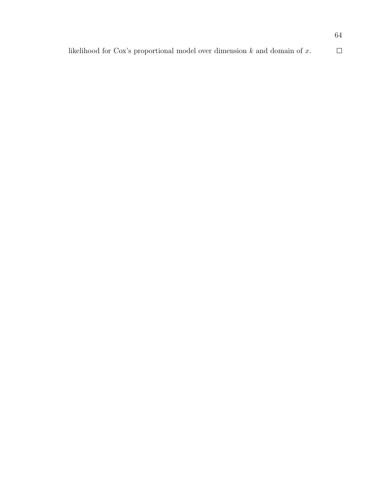|                                                                                | 64 |
|--------------------------------------------------------------------------------|----|
| likelihood for Cox's proportional model over dimension $k$ and domain of $x$ . |    |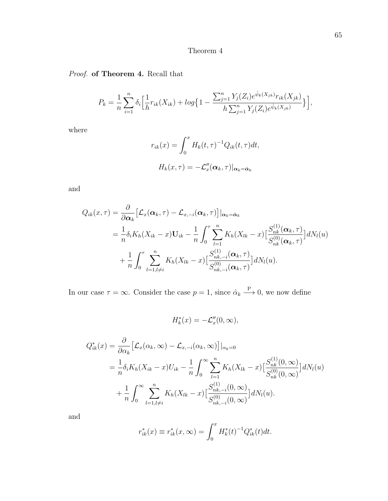# Theorem 4

# Proof. of Theorem 4. Recall that

$$
P_k = \frac{1}{n} \sum_{i=1}^n \delta_i \Big[ \frac{1}{h} r_{ik}(X_{ik}) + \log \Big\{ 1 - \frac{\sum_{j=1}^n Y_j(Z_i) e^{\hat{\psi}_k(X_{jk})} r_{ik}(X_{jk})}{h \sum_{j=1}^n Y_j(Z_i) e^{\hat{\psi}_k(X_{jk})}} \Big\} \Big],
$$

where

$$
r_{ik}(x) = \int_0^x H_k(t, \tau)^{-1} Q_{ik}(t, \tau) dt,
$$
  

$$
H_k(x, \tau) = -\mathcal{L}_x''(\alpha_k, \tau)|_{\alpha_k = \hat{\alpha}_k}
$$

and

$$
Q_{ik}(x,\tau) = \frac{\partial}{\partial \alpha_k} \left[ \mathcal{L}_x(\alpha_k, \tau) - \mathcal{L}_{x,-i}(\alpha_k, \tau) \right] |_{\alpha_k = \hat{\alpha}_k}
$$
  
\n
$$
= \frac{1}{n} \delta_i K_h(X_{ik} - x) \mathbf{U}_{ik} - \frac{1}{n} \int_0^{\tau} \sum_{l=1}^n K_h(X_{lk} - x) \left[ \frac{S_{nk}^{(1)}(\alpha_k, \tau)}{S_{nk}^{(0)}(\alpha_k, \tau)} \right] dN_l(u)
$$
  
\n
$$
+ \frac{1}{n} \int_0^{\tau} \sum_{l=1, l \neq i}^n K_h(X_{lk} - x) \left[ \frac{S_{nk, -i}^{(1)}(\alpha_k, \tau)}{S_{nk, -i}^{(0)}(\alpha_k, \tau)} \right] dN_l(u).
$$

In our case  $\tau = \infty$ . Consider the case  $p = 1$ , since  $\hat{\alpha}_k \stackrel{\text{P}}{\longrightarrow} 0$ , we now define

$$
H_k^*(x) = -\mathcal{L}_x''(0,\infty),
$$

$$
Q_{ik}^*(x) = \frac{\partial}{\partial \alpha_k} \left[ \mathcal{L}_x(\alpha_k, \infty) - \mathcal{L}_{x, -i}(\alpha_k, \infty) \right] \Big|_{\alpha_k = 0}
$$
  
=  $\frac{1}{n} \delta_i K_h (X_{ik} - x) U_{ik} - \frac{1}{n} \int_0^\infty \sum_{l=1}^n K_h (X_{lk} - x) \Big[ \frac{S_{nk}^{(1)}(0, \infty)}{S_{nk}^{(0)}(0, \infty)} \Big] dN_l(u)$   
+  $\frac{1}{n} \int_0^\infty \sum_{l=1, l \neq i}^n K_h (X_{lk} - x) \Big[ \frac{S_{nk, -i}^{(1)}(0, \infty)}{S_{nk, -i}^{(0)}(0, \infty)} \Big] dN_l(u).$ 

and

$$
r_{ik}^*(x) \equiv r_{ik}^*(x, \infty) = \int_0^x H_k^*(t)^{-1} Q_{ik}^*(t) dt.
$$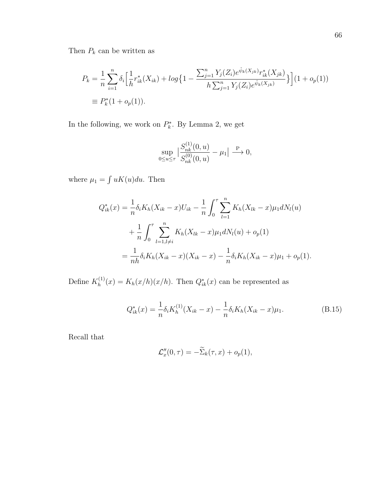Then  $P_k$  can be written as

$$
P_k = \frac{1}{n} \sum_{i=1}^n \delta_i \Big[ \frac{1}{h} r_{ik}^*(X_{ik}) + \log \Big\{ 1 - \frac{\sum_{j=1}^n Y_j(Z_i) e^{\hat{\psi}_k(X_{jk})} r_{ik}^*(X_{jk})}{h \sum_{j=1}^n Y_j(Z_i) e^{\hat{\psi}_k(X_{jk})}} \Big\} \Big] (1 + o_p(1))
$$
  
\n
$$
\equiv P_k^*(1 + o_p(1)).
$$

In the following, we work on  $P_k^*$ . By Lemma 2, we get

$$
\sup_{0\leq u\leq \tau}\big|\frac{S_{nk}^{(1)}(0,u)}{S_{nk}^{(0)}(0,u)}-\mu_1\big|\overset{\mathcal{P}}{\longrightarrow} 0,
$$

where  $\mu_1 = \int uK(u)du$ . Then

$$
Q_{ik}^*(x) = \frac{1}{n} \delta_i K_h (X_{ik} - x) U_{ik} - \frac{1}{n} \int_0^\tau \sum_{l=1}^n K_h (X_{lk} - x) \mu_1 dN_l(u)
$$
  
+ 
$$
\frac{1}{n} \int_0^\tau \sum_{l=1, l \neq i}^n K_h (X_{lk} - x) \mu_1 dN_l(u) + o_p(1)
$$
  
= 
$$
\frac{1}{n h} \delta_i K_h (X_{ik} - x) (X_{ik} - x) - \frac{1}{n} \delta_i K_h (X_{ik} - x) \mu_1 + o_p(1).
$$

Define  $K_h^{(1)}$  $h_h^{(1)}(x) = K_h(x/h)(x/h)$ . Then  $Q_{ik}^*(x)$  can be represented as

$$
Q_{ik}^*(x) = \frac{1}{n} \delta_i K_h^{(1)}(X_{ik} - x) - \frac{1}{n} \delta_i K_h(X_{ik} - x) \mu_1.
$$
 (B.15)

Recall that

$$
\mathcal{L}_x''(0,\tau) = -\widetilde{\Sigma}_k(\tau,x) + o_p(1),
$$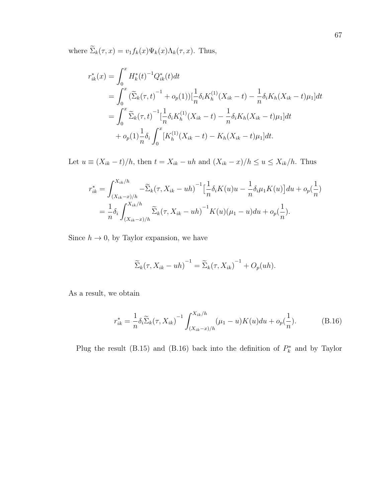where  $\widetilde{\Sigma}_k(\tau, x) = v_1 f_k(x) \Psi_k(x) \Lambda_k(\tau, x)$ . Thus,

$$
r_{ik}^{*}(x) = \int_{0}^{x} H_{k}^{*}(t)^{-1} Q_{ik}^{*}(t) dt
$$
  
\n
$$
= \int_{0}^{x} (\widetilde{\Sigma}_{k}(\tau, t)^{-1} + o_{p}(1)) [\frac{1}{n} \delta_{i} K_{h}^{(1)}(X_{ik} - t) - \frac{1}{n} \delta_{i} K_{h}(X_{ik} - t) \mu_{1}] dt
$$
  
\n
$$
= \int_{0}^{x} \widetilde{\Sigma}_{k}(\tau, t)^{-1} [\frac{1}{n} \delta_{i} K_{h}^{(1)}(X_{ik} - t) - \frac{1}{n} \delta_{i} K_{h}(X_{ik} - t) \mu_{1}] dt
$$
  
\n
$$
+ o_{p}(1) \frac{1}{n} \delta_{i} \int_{0}^{x} [K_{h}^{(1)}(X_{ik} - t) - K_{h}(X_{ik} - t) \mu_{1}] dt.
$$

Let  $u \equiv (X_{ik} - t)/h$ , then  $t = X_{ik} - uh$  and  $(X_{ik} - x)/h \le u \le X_{ik}/h$ . Thus

$$
r_{ik}^{*} = \int_{(X_{ik}-x)/h}^{X_{ik}/h} -\widetilde{\Sigma}_{k}(\tau, X_{ik} - uh)^{-1} \left[\frac{1}{n} \delta_{i} K(u)u - \frac{1}{n} \delta_{i} \mu_{1} K(u)\right] du + o_{p}(\frac{1}{n})
$$
  
= 
$$
\frac{1}{n} \delta_{i} \int_{(X_{ik}-x)/h}^{X_{ik}/h} \widetilde{\Sigma}_{k}(\tau, X_{ik} - uh)^{-1} K(u) (\mu_{1} - u) du + o_{p}(\frac{1}{n}).
$$

Since  $h\to 0,$  by Taylor expansion, we have

$$
\widetilde{\Sigma}_k(\tau, X_{ik} - uh)^{-1} = \widetilde{\Sigma}_k(\tau, X_{ik})^{-1} + O_p(uh).
$$

As a result, we obtain

$$
r_{ik}^{*} = \frac{1}{n} \delta_i \widetilde{\Sigma}_k(\tau, X_{ik})^{-1} \int_{(X_{ik} - x)/h}^{X_{ik}/h} (\mu_1 - u) K(u) du + o_p(\frac{1}{n}).
$$
 (B.16)

Plug the result (B.15) and (B.16) back into the definition of  $P_k^*$  and by Taylor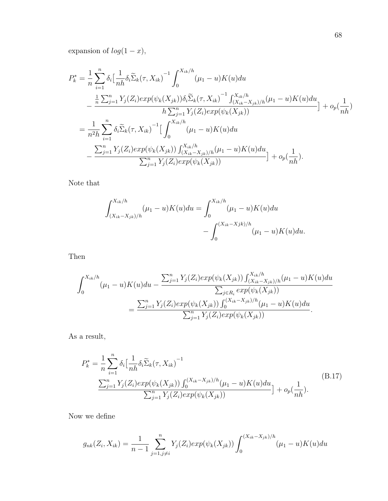expansion of  $log(1 - x)$ ,

$$
P_{k}^{*} = \frac{1}{n} \sum_{i=1}^{n} \delta_{i} \Big[ \frac{1}{nh} \delta_{i} \widetilde{\Sigma}_{k}(\tau, X_{ik})^{-1} \int_{0}^{X_{ik}/h} (\mu_{1} - u) K(u) du
$$
  

$$
- \frac{\frac{1}{n} \sum_{j=1}^{n} Y_{j}(Z_{i}) exp(\psi_{k}(X_{jk})) \delta_{i} \widetilde{\Sigma}_{k}(\tau, X_{ik})^{-1} \int_{(X_{ik} - X_{jk})/h}^{X_{ik}/h} (\mu_{1} - u) K(u) du}{h \sum_{j=1}^{n} Y_{j}(Z_{i}) exp(\psi_{k}(X_{jk}))} \Big] + o_{p}(\frac{1}{nh})
$$
  

$$
= \frac{1}{n^{2} h} \sum_{i=1}^{n} \delta_{i} \widetilde{\Sigma}_{k}(\tau, X_{ik})^{-1} \Big[ \int_{0}^{X_{ik}/h} (\mu_{1} - u) K(u) du
$$
  

$$
- \frac{\sum_{j=1}^{n} Y_{j}(Z_{i}) exp(\psi_{k}(X_{jk})) \int_{(X_{ik} - X_{jk})/h}^{X_{ik}/h} (\mu_{1} - u) K(u) du}{\sum_{j=1}^{n} Y_{j}(Z_{i}) exp(\psi_{k}(X_{jk}))} \Big] + o_{p}(\frac{1}{nh}).
$$

Note that

$$
\int_{(X_{ik}-X_{jk})/h}^{X_{ik}/h} (\mu_1 - u)K(u)du = \int_0^{X_{ik}/h} (\mu_1 - u)K(u)du - \int_0^{(X_{ik}-Xjk)/h} (\mu_1 - u)K(u)du.
$$

Then

$$
\int_0^{X_{ik}/h} (\mu_1 - u) K(u) du - \frac{\sum_{j=1}^n Y_j(Z_i) exp(\psi_k(X_{jk})) \int_{(X_{ik} - X_{jk})/h}^{X_{ik}/h} (\mu_1 - u) K(u) du}{\sum_{j \in R_i} exp(\psi_k(X_{jk}))}
$$
  
= 
$$
\frac{\sum_{j=1}^n Y_j(Z_i) exp(\psi_k(X_{jk})) \int_0^{(X_{ik} - X_{jk})/h} (\mu_1 - u) K(u) du}{\sum_{j=1}^n Y_j(Z_i) exp(\psi_k(X_{jk}))}.
$$

As a result,

$$
P_k^* = \frac{1}{n} \sum_{i=1}^n \delta_i \left[ \frac{1}{nh} \delta_i \widetilde{\Sigma}_k(\tau, X_{ik})^{-1} \right] \frac{\sum_{j=1}^n Y_j(Z_i) exp(\psi_k(X_{jk})) \int_0^{(X_{ik} - X_{jk})/h} (\mu_1 - u) K(u) du}{\sum_{j=1}^n Y_j(Z_i) exp(\psi_k(X_{jk}))} + o_p(\frac{1}{nh}).
$$
\n(B.17)

Now we define

$$
g_{nk}(Z_i, X_{ik}) = \frac{1}{n-1} \sum_{j=1, j \neq i}^{n} Y_j(Z_i) exp(\psi_k(X_{jk})) \int_0^{(X_{ik} - X_{jk})/h} (\mu_1 - u) K(u) du
$$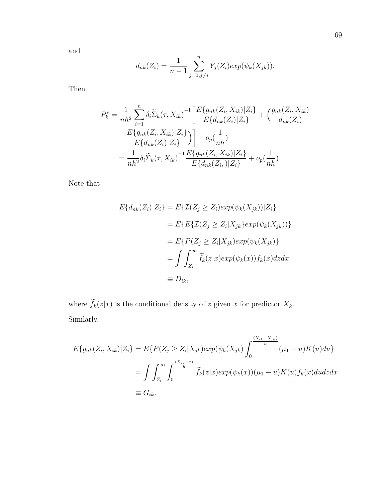and

$$
d_{nk}(Z_i) = \frac{1}{n-1} \sum_{j=1, j \neq i}^{n} Y_j(Z_i) exp(\psi_k(X_{jk})).
$$

Then

$$
P_k^* = \frac{1}{nh^2} \sum_{i=1}^n \delta_i \widetilde{\Sigma}_k(\tau, X_{ik})^{-1} \left[ \frac{E\{g_{nk}(Z_i, X_{ik}) | Z_i\}}{E\{d_{nk}(Z_i) | Z_i\}} + \left(\frac{g_{nk}(Z_i, X_{ik})}{d_{nk}(Z_i)}\right) - \frac{E\{g_{nk}(Z_i, X_{ik}) | Z_i\}}{E\{d_{nk}(Z_i) | Z_i\}} \right) \right] + o_p(\frac{1}{nh})
$$
  
= 
$$
\frac{1}{nh^2} \delta_i \widetilde{\Sigma}_k(\tau, X_{ik})^{-1} \frac{E\{g_{nk}(Z_i, X_{ik}) | Z_i\}}{E\{d_{nk}(Z_i,)| Z_i\}} + o_p(\frac{1}{nh}).
$$

Note that

$$
E\{d_{nk}(Z_i)|Z_i\} = E\{\mathcal{I}(Z_j \ge Z_i)exp(\psi_k(X_{jk}))|Z_i\}
$$
  
\n
$$
= E\{E\{\mathcal{I}(Z_j \ge Z_i|X_{jk})exp(\psi_k(X_{jk}))\}
$$
  
\n
$$
= E\{P(Z_j \ge Z_i|X_{jk})exp(\psi_k(X_{jk})\}
$$
  
\n
$$
= \int \int_{Z_i}^{\infty} \widetilde{f}_k(z|x)exp(\psi_k(x))f_k(x)dzdx
$$
  
\n
$$
\equiv D_{ik},
$$

where  $\widetilde{f}_k(z|x)$  is the conditional density of z given x for predictor  $X_k$ . Similarly,

$$
E\{g_{nk}(Z_i, X_{ik})|Z_i\} = E\{P(Z_j \ge Z_i|X_{jk})exp(\psi_k(X_{jk}) \int_0^{\frac{(X_{ik}-X_{jk})}{h}} (\mu_1 - u)K(u)du\}
$$
  

$$
= \int \int_{Z_i}^{\infty} \int_0^{\frac{(X_{ik}-x)}{h}} \widetilde{f}_k(z|x)exp(\psi_k(x))(\mu_1 - u)K(u)f_k(x)dudzdx
$$
  

$$
\equiv G_{ik}.
$$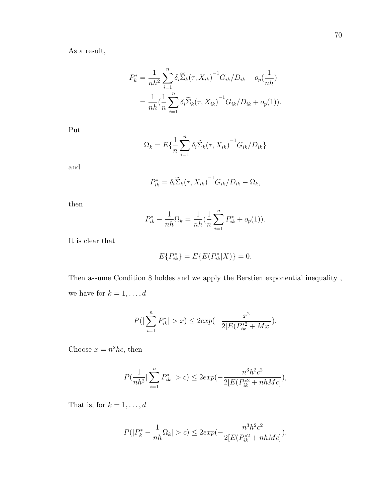$$
P_k^* = \frac{1}{nh^2} \sum_{i=1}^n \delta_i \widetilde{\Sigma}_k (\tau, X_{ik})^{-1} G_{ik} / D_{ik} + o_p(\frac{1}{nh})
$$
  
= 
$$
\frac{1}{nh} (\frac{1}{n} \sum_{i=1}^n \delta_i \widetilde{\Sigma}_k (\tau, X_{ik})^{-1} G_{ik} / D_{ik} + o_p(1)).
$$

Put

$$
\Omega_k = E\{\frac{1}{n}\sum_{i=1}^n \delta_i \widetilde{\Sigma}_k(\tau, X_{ik})^{-1} G_{ik}/D_{ik}\}
$$

and

$$
P_{ik}^* = \delta_i \widetilde{\Sigma}_k (\tau, X_{ik})^{-1} G_{ik} / D_{ik} - \Omega_k,
$$

then

$$
P_{ik}^* - \frac{1}{nh}\Omega_k = \frac{1}{nh}(\frac{1}{n}\sum_{i=1}^n P_{ik}^* + o_p(1)).
$$

It is clear that

$$
E\{P_{ik}^*\} = E\{E(P_{ik}^*|X)\} = 0.
$$

Then assume Condition 8 holdes and we apply the Berstien exponential inequality , we have for  $k=1,\ldots,d$ 

$$
P(|\sum_{i=1}^{n} P_{ik}^{*}| > x) \leq 2exp(-\frac{x^{2}}{2[E(P_{ik}^{*2} + Mx])} ).
$$

Choose  $x = n^2 hc$ , then

$$
P(\frac{1}{nh^2}|\sum_{i=1}^n P_{ik}^*| > c) \leq 2exp(-\frac{n^3h^2c^2}{2[E(P_{ik}^{*2}+nhMc]}),
$$

That is, for  $k=1,\ldots,d$ 

$$
P(|P_k^* - \frac{1}{nh}\Omega_k| > c) \le 2exp(-\frac{n^3h^2c^2}{2[E(P_{ik}^{*2} + nhMc]}).
$$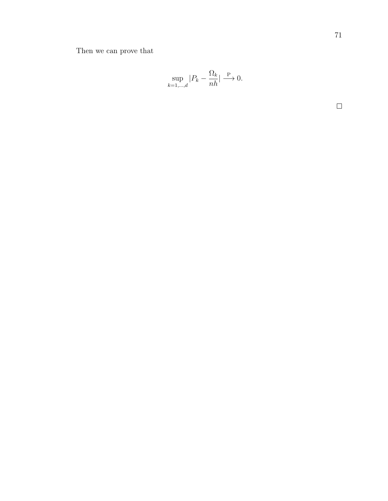Then we can prove that

$$
\sup_{k=1,\dots,d}|P_k - \frac{\Omega_k}{nh}| \xrightarrow{\mathbf{P}} 0.
$$

 $\Box$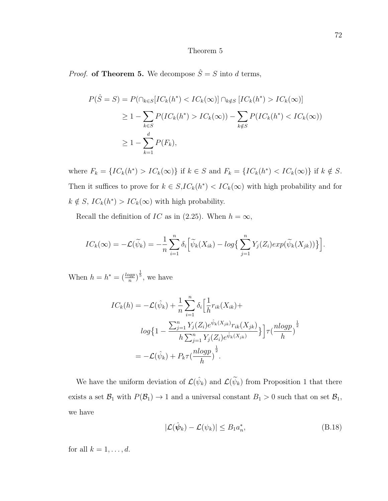## Theorem 5

*Proof.* of Theorem 5. We decompose  $\hat{S} = S$  into d terms,

$$
P(\hat{S} = S) = P(\cap_{k \in S} [IC_k(h^*) < IC_k(\infty)] \cap_{k \notin S} [IC_k(h^*) > IC_k(\infty)]
$$
\n
$$
\geq 1 - \sum_{k \in S} P(IC_k(h^*) > IC_k(\infty)) - \sum_{k \notin S} P(IC_k(h^*) < IC_k(\infty))
$$
\n
$$
\geq 1 - \sum_{k=1}^d P(F_k),
$$

where  $F_k = \{ IC_k(h^*) > IC_k(\infty) \}$  if  $k \in S$  and  $F_k = \{ IC_k(h^*) < IC_k(\infty) \}$  if  $k \notin S$ . Then it suffices to prove for  $k \in S, IC_k(h^*) < IC_k(\infty)$  with high probability and for  $k \notin S$ ,  $IC_k(h^*) > IC_k(\infty)$  with high probability.

Recall the definition of IC as in (2.25). When  $h = \infty$ ,

$$
IC_k(\infty) = -\mathcal{L}(\widetilde{\psi}_k) = -\frac{1}{n} \sum_{i=1}^n \delta_i \Big[ \widetilde{\psi}_k(X_{ik}) - \log \Big\{ \sum_{j=1}^n Y_j(Z_i) \exp(\widetilde{\psi}_k(X_{jk})) \Big\} \Big].
$$

When  $h = h^* = \left(\frac{log p}{n}\right)^{\frac{1}{5}}$ , we have

$$
IC_k(h) = -\mathcal{L}(\hat{\psi}_k) + \frac{1}{n} \sum_{i=1}^n \delta_i \Big[ \frac{1}{h} r_{ik}(X_{ik}) +
$$
  
\n
$$
log\Big\{1 - \frac{\sum_{j=1}^n Y_j(Z_i) e^{\hat{\psi}_k(X_{jk})} r_{ik}(X_{jk})}{h \sum_{j=1}^n Y_j(Z_i) e^{\hat{\psi}_k(X_{jk})}}\Big\} \Big] \tau(\frac{nlogp}{h})^{\frac{1}{2}}
$$
  
\n
$$
= -\mathcal{L}(\hat{\psi}_k) + P_k \tau(\frac{nlogp}{h})^{\frac{1}{2}}.
$$

We have the uniform deviation of  $\mathcal{L}(\hat{\psi}_k)$  and  $\mathcal{L}(\tilde{\psi}_k)$  from Proposition 1 that there exists a set  $\mathcal{B}_1$  with  $P(\mathcal{B}_1) \to 1$  and a universal constant  $B_1 > 0$  such that on set  $\mathcal{B}_1$ , we have

$$
|\mathcal{L}(\hat{\psi}_k) - \mathcal{L}(\psi_k)| \le B_1 a_n^*,\tag{B.18}
$$

for all  $k = 1, \ldots, d$ .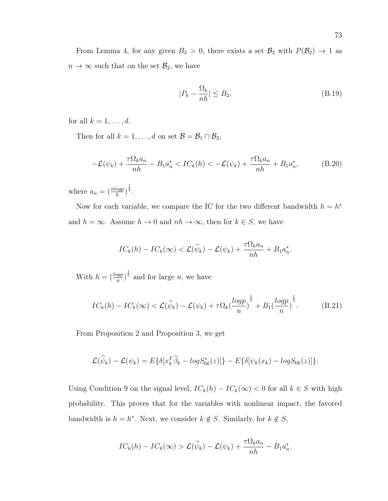From Lemma 4, for any given  $B_2 > 0$ , there exists a set  $\mathcal{B}_2$  with  $P(\mathcal{B}_2) \to 1$  as  $n \to \infty$  such that on the set  $\mathcal{B}_2$ , we have

$$
|P_k - \frac{\Omega_k}{nh}| \le B_2,\tag{B.19}
$$

for all  $k = 1, \ldots, d$ .

Then for all  $k = 1, ..., d$  on set  $\mathcal{B} = \mathcal{B}_1 \cap \mathcal{B}_2$ ,

$$
-\mathcal{L}(\psi_k) + \frac{\tau \Omega_k a_n}{nh} - B_1 a_n^* < IC_k(h) < -\mathcal{L}(\psi_k) + \frac{\tau \Omega_k a_n}{nh} + B_1 a_n^*,\tag{B.20}
$$

where  $a_n = \left(\frac{n \log p}{h}\right)^{\frac{1}{2}}$ .

Now for each variable, we compare the IC for the two different bandwidth  $h = h^*$ and  $h = \infty$ . Assume  $h \to 0$  and  $nh \to \infty$ , then for  $k \in S$ , we have

$$
IC_k(h) - IC_k(\infty) < \mathcal{L}(\widetilde{\psi}_k) - \mathcal{L}(\psi_k) + \frac{\tau \Omega_k a_n}{nh} + B_1 a_n^*.
$$

With  $h = \left(\frac{log p}{n}\right)^{\frac{1}{5}}$  and for large *n*, we have

$$
IC_k(h) - IC_k(\infty) < \mathcal{L}(\widetilde{\psi}_k) - \mathcal{L}(\psi_k) + \tau \Omega_k \left(\frac{\log p}{n}\right)^{\frac{1}{5}} + B_1 \left(\frac{\log p}{n}\right)^{\frac{1}{5}}.\tag{B.21}
$$

From Proposition 2 and Proposition 3, we get

$$
\mathcal{L}(\widetilde{\psi}_k) - \mathcal{L}(\psi_k) = E\{\delta[x_k^T \widetilde{\beta}_k - logS_{0k}^*(z)]\} - E\{\delta[\psi_k(x_k) - logS_{0k}(z)]\}.
$$

Using Condition 9 on the signal level,  $IC_k(h) - IC_k(\infty) < 0$  for all  $k \in S$  with high probability. This proves that for the variables with nonlinear impact, the favored bandwidth is  $h = h^*$ . Next, we consider  $k \notin S$ . Similarly, for  $k \notin S$ ,

$$
IC_k(h) - IC_k(\infty) > \mathcal{L}(\widetilde{\psi}_k) - \mathcal{L}(\psi_k) + \frac{\tau \Omega_k a_n}{nh} - B_1 a_n^*.
$$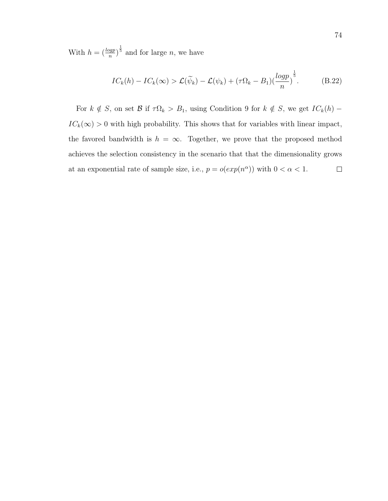With  $h = \left(\frac{log p}{n}\right)^{\frac{1}{5}}$  and for large *n*, we have

$$
IC_k(h) - IC_k(\infty) > \mathcal{L}(\widetilde{\psi}_k) - \mathcal{L}(\psi_k) + (\tau \Omega_k - B_1) \left(\frac{\log p}{n}\right)^{\frac{1}{5}}.
$$
 (B.22)

For  $k \notin S$ , on set B if  $\tau \Omega_k > B_1$ , using Condition 9 for  $k \notin S$ , we get  $IC_k(h)$  –  $IC_k(\infty) > 0$  with high probability. This shows that for variables with linear impact, the favored bandwidth is  $h = \infty$ . Together, we prove that the proposed method achieves the selection consistency in the scenario that that the dimensionality grows at an exponential rate of sample size, i.e.,  $p = o(exp(n^{\alpha}))$  with  $0 < \alpha < 1$ .  $\Box$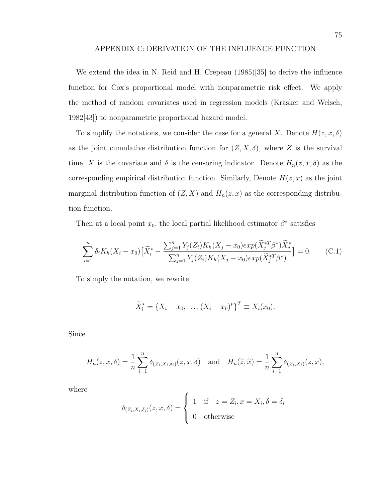## APPENDIX C: DERIVATION OF THE INFLUENCE FUNCTION

We extend the idea in N. Reid and H. Crepeau (1985)[35] to derive the influence function for Cox's proportional model with nonparametric risk effect. We apply the method of random covariates used in regression models (Krasker and Welsch, 1982[43]) to nonparametric proportional hazard model.

To simplify the notations, we consider the case for a general X. Denote  $H(z, x, \delta)$ as the joint cumulative distribution function for  $(Z, X, \delta)$ , where Z is the survival time, X is the covariate and  $\delta$  is the censoring indicator. Denote  $H_n(z, x, \delta)$  as the corresponding empirical distribution function. Similarly, Denote  $H(z, x)$  as the joint marginal distribution function of  $(Z, X)$  and  $H_n(z, x)$  as the corresponding distribution function.

Then at a local point  $x_0$ , the local partial likelihood estimator  $\beta^*$  satisfies

$$
\sum_{i=1}^{n} \delta_i K_h(X_i - x_0) \left[ \tilde{X}_i^* - \frac{\sum_{j=1}^{n} Y_j(Z_i) K_h(X_j - x_0) exp(\tilde{X}_j^{*T} \beta^*) \tilde{X}_j^*}{\sum_{j=1}^{n} Y_j(Z_i) K_h(X_j - x_0) exp(\tilde{X}_j^{*T} \beta^*)} \right] = 0.
$$
 (C.1)

To simply the notation, we rewrite

$$
\widetilde{X}_i^* = \{X_i - x_0, \dots, (X_i - x_0)^p\}^T \equiv X_i(x_0).
$$

Since

$$
H_n(z, x, \delta) = \frac{1}{n} \sum_{i=1}^n \delta_{(Z_i, X_i, \delta_i)}(z, x, \delta) \quad \text{and} \quad H_n(\widetilde{z}, \widetilde{x}) = \frac{1}{n} \sum_{i=1}^n \delta_{(Z_i, X_i)}(z, x),
$$

where

$$
\delta_{(Z_i, X_i, \delta_i)}(z, x, \delta) = \begin{cases} 1 & \text{if } z = Z_i, x = X_i, \delta = \delta_i \\ 0 & \text{otherwise} \end{cases}
$$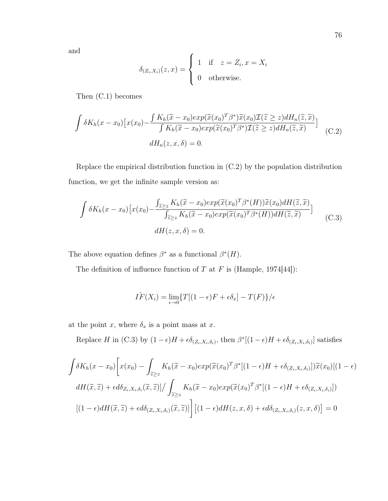and

$$
\delta_{(Z_i, X_i)}(z, x) = \begin{cases} 1 & \text{if } z = Z_i, x = X_i \\ 0 & \text{otherwise.} \end{cases}
$$

Then (C.1) becomes

$$
\int \delta K_h(x - x_0) \left[ x(x_0) - \frac{\int K_h(\tilde{x} - x_0) exp(\tilde{x}(x_0)^T \beta^*) \tilde{x}(x_0) \mathcal{I}(\tilde{z} \ge z) dH_n(\tilde{z}, \tilde{x})}{\int K_h(\tilde{x} - x_0) exp(\tilde{x}(x_0)^T \beta^*) \mathcal{I}(\tilde{z} \ge z) dH_n(\tilde{z}, \tilde{x})} \right]
$$
\n
$$
(C.2)
$$
\n
$$
dH_n(z, x, \delta) = 0.
$$

Replace the empirical distribution function in (C.2) by the population distribution function, we get the infinite sample version as:

$$
\int \delta K_h(x - x_0) \left[ x(x_0) - \frac{\int_{\tilde{z} \ge z} K_h(\tilde{x} - x_0) exp(\tilde{x}(x_0)^T \beta^*(H)) \tilde{x}(x_0) dH(\tilde{z}, \tilde{x})}{\int_{\tilde{z} \ge z} K_h(\tilde{x} - x_0) exp(\tilde{x}(x_0)^T \beta^*(H)) dH(\tilde{z}, \tilde{x})} \right]
$$
\n
$$
(C.3)
$$
\n
$$
dH(z, x, \delta) = 0.
$$

The above equation defines  $\beta^*$  as a functional  $\beta^*(H)$ .

The definition of influence function of  $T$  at  $F$  is (Hample, 1974[44]):

$$
\hat{IF}(X_i) = \lim_{\epsilon \to 0} \{ T[(1 - \epsilon)F + \epsilon \delta_x] - T(F) \} / \epsilon
$$

at the point  $x$ , where  $\delta_x$  is a point mass at  $x$ .

Replace H in (C.3) by  $(1 - \epsilon)H + \epsilon \delta_{(Z_i, X_i, \delta_i)}$ , then  $\beta^*[(1 - \epsilon)H + \epsilon \delta_{(Z_i, X_i, \delta_i)}]$  satisfies

$$
\int \delta K_h(x - x_0) \left[ x(x_0) - \int_{\tilde{z} \ge z} K_h(\tilde{x} - x_0) exp(\tilde{x}(x_0)^T \beta^* [(1 - \epsilon)H + \epsilon \delta_{(Z_i, X_i, \delta_i)}]) \tilde{x}(x_0) [(1 - \epsilon)H]
$$
  

$$
dH(\tilde{x}, \tilde{z}) + \epsilon d\delta_{Z_i, X_i, \delta_i}(\tilde{x}, \tilde{z}) \right] / \int_{\tilde{z} \ge z} K_h(\tilde{x} - x_0) exp(\tilde{x}(x_0)^T \beta^* [(1 - \epsilon)H + \epsilon \delta_{(Z_i, X_i, \delta_i)}])
$$
  

$$
[(1 - \epsilon)dH(\tilde{x}, \tilde{z}) + \epsilon d\delta_{(Z_i, X_i, \delta_i)}(\tilde{x}, \tilde{z})] \left[ (1 - \epsilon)dH(z, x, \delta) + \epsilon d\delta_{(Z_i, X_i, \delta_i)}(z, x, \delta) \right] = 0
$$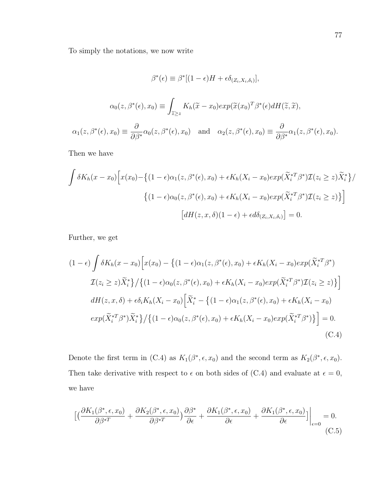To simply the notations, we now write

$$
\beta^*(\epsilon) \equiv \beta^*[(1-\epsilon)H + \epsilon \delta_{(Z_i, X_i, \delta_i)}],
$$

$$
\alpha_0(z, \beta^*(\epsilon), x_0) \equiv \int_{\tilde{z} \ge z} K_h(\tilde{x} - x_0) exp(\tilde{x}(x_0)^T \beta^*(\epsilon) dH(\tilde{z}, \tilde{x}),
$$
  

$$
\alpha_1(z, \beta^*(\epsilon), x_0) \equiv \frac{\partial}{\partial \beta^*} \alpha_0(z, \beta^*(\epsilon), x_0) \quad \text{and} \quad \alpha_2(z, \beta^*(\epsilon), x_0) \equiv \frac{\partial}{\partial \beta^*} \alpha_1(z, \beta^*(\epsilon), x_0).
$$

Then we have

$$
\int \delta K_h(x - x_0) \Big[ x(x_0) - \left\{ (1 - \epsilon)\alpha_1(z, \beta^*(\epsilon), x_0) + \epsilon K_h(X_i - x_0) \exp(\tilde{X}_i^{*T}\beta^*) \mathcal{I}(z_i \ge z) \tilde{X}_i^* \right\} / \Big]
$$
  

$$
\Big\{ (1 - \epsilon)\alpha_0(z, \beta^*(\epsilon), x_0) + \epsilon K_h(X_i - x_0) \exp(\tilde{X}_i^{*T}\beta^*) \mathcal{I}(z_i \ge z) \Big\} \Big]
$$
  

$$
\Big[ dH(z, x, \delta)(1 - \epsilon) + \epsilon d\delta_{(Z_i, X_i, \delta_i)} \Big] = 0.
$$

Further, we get

$$
(1 - \epsilon) \int \delta K_h(x - x_0) \Big[ x(x_0) - \left\{ (1 - \epsilon) \alpha_1(z, \beta^*(\epsilon), x_0) + \epsilon K_h(X_i - x_0) \exp(\tilde{X}_i^{*T} \beta^*) \right\}
$$
  

$$
\mathcal{I}(z_i \ge z) \tilde{X}_i^* \Big] / \left\{ (1 - \epsilon) \alpha_0(z, \beta^*(\epsilon), x_0) + \epsilon K_h(X_i - x_0) \exp(\tilde{X}_i^{*T} \beta^*) \mathcal{I}(z_i \ge z) \right\} \Big]
$$
  

$$
dH(z, x, \delta) + \epsilon \delta_i K_h(X_i - x_0) \Big[ \tilde{X}_i^* - \left\{ (1 - \epsilon) \alpha_1(z, \beta^*(\epsilon), x_0) + \epsilon K_h(X_i - x_0) \right\}
$$
  

$$
\exp(\tilde{X}_i^{*T} \beta^*) \tilde{X}_i^* \right) / \left\{ (1 - \epsilon) \alpha_0(z, \beta^*(\epsilon), x_0) + \epsilon K_h(X_i - x_0) \exp(\tilde{X}_i^{*T} \beta^*) \right\} \Big] = 0.
$$
  
(C.4)

Denote the first term in (C.4) as  $K_1(\beta^*, \epsilon, x_0)$  and the second term as  $K_2(\beta^*, \epsilon, x_0)$ . Then take derivative with respect to  $\epsilon$  on both sides of (C.4) and evaluate at  $\epsilon = 0$ , we have

$$
\left[ \left( \frac{\partial K_1(\beta^*, \epsilon, x_0)}{\partial \beta^{*T}} + \frac{\partial K_2(\beta^*, \epsilon, x_0)}{\partial \beta^{*T}} \right) \frac{\partial \beta^*}{\partial \epsilon} + \frac{\partial K_1(\beta^*, \epsilon, x_0)}{\partial \epsilon} + \frac{\partial K_1(\beta^*, \epsilon, x_0)}{\partial \epsilon} \right] \Big|_{\epsilon=0} = 0.
$$
\n(C.5)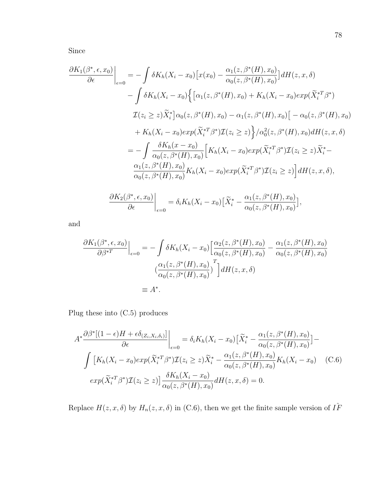Since

$$
\frac{\partial K_1(\beta^*,\epsilon,x_0)}{\partial \epsilon}\Big|_{\epsilon=0} = -\int \delta K_h(X_i - x_0) \left[x(x_0) - \frac{\alpha_1(z,\beta^*(H),x_0)}{\alpha_0(z,\beta^*(H),x_0)}\right] dH(z,x,\delta)
$$

$$
-\int \delta K_h(X_i - x_0) \Big\{ \left[\alpha_1(z,\beta^*(H),x_0) + K_h(X_i - x_0)exp(\tilde{X}_i^{*T}\beta^*)\right]
$$

$$
\mathcal{I}(z_i \ge z) \tilde{X}_i^* \Big] \alpha_0(z,\beta^*(H),x_0) - \alpha_1(z,\beta^*(H),x_0) \Big[ -\alpha_0(z,\beta^*(H),x_0) \Big]
$$

$$
+ K_h(X_i - x_0)exp(\tilde{X}_i^{*T}\beta^*) \mathcal{I}(z_i \ge z) \Big\} / \alpha_0^2(z,\beta^*(H),x_0) dH(z,x,\delta)
$$

$$
= -\int \frac{\delta K_h(x - x_0)}{\alpha_0(z,\beta^*(H),x_0)} \Big[K_h(X_i - x_0)exp(\tilde{X}_i^{*T}\beta^*) \mathcal{I}(z_i \ge z) \tilde{X}_i^* - \frac{\alpha_1(z,\beta^*(H),x_0)}{\alpha_0(z,\beta^*(H),x_0)} K_h(X_i - x_0)exp(\tilde{X}_i^{*T}\beta^*) \mathcal{I}(z_i \ge z) \Big] dH(z,x,\delta),
$$

$$
\frac{\partial K_2(\beta^*,\epsilon,x_0)}{\partial \epsilon} \Big|_{\epsilon=0} = \delta_i K_h(X_i - x_0) \Big[\tilde{X}_i^* - \frac{\alpha_1(z,\beta^*(H),x_0)}{\alpha_0(z,\beta^*(H),x_0)}\Big],
$$

and

$$
\frac{\partial K_1(\beta^*,\epsilon,x_0)}{\partial \beta^{*T}}\Big|_{\epsilon=0} = -\int \delta K_h(X_i - x_0) \Big[ \frac{\alpha_2(z,\beta^*(H),x_0)}{\alpha_0(z,\beta^*(H),x_0)} - \frac{\alpha_1(z,\beta^*(H),x_0)}{\alpha_0(z,\beta^*(H),x_0)} \Big]
$$

$$
\left(\frac{\alpha_1(z,\beta^*(H),x_0)}{\alpha_0(z,\beta^*(H),x_0)}\right)^T \Big] dH(z,x,\delta)
$$

$$
\equiv A^*.
$$

Plug these into (C.5) produces

$$
A^* \frac{\partial \beta^* [(1-\epsilon)H + \epsilon \delta_{(Z_i, X_i, \delta_i)}]}{\partial \epsilon} \bigg|_{\epsilon=0} = \delta_i K_h (X_i - x_0) \Big[ \tilde{X}_i^* - \frac{\alpha_1(z, \beta^*(H), x_0)}{\alpha_0(z, \beta^*(H), x_0)} \Big] -
$$

$$
\int \big[ K_h (X_i - x_0) exp(\tilde{X}_i^{*T} \beta^*) \mathcal{I}(z_i \ge z) \tilde{X}_i^* - \frac{\alpha_1(z, \beta^*(H), x_0)}{\alpha_0(z, \beta^*(H), x_0)} K_h (X_i - x_0) \quad \text{(C.6)}
$$

$$
exp(\tilde{X}_i^{*T} \beta^*) \mathcal{I}(z_i \ge z) \big] \frac{\delta K_h (X_i - x_0)}{\alpha_0(z, \beta^*(H), x_0)} dH(z, x, \delta) = 0.
$$

Replace  $H(z, x, \delta)$  by  $H_n(z, x, \delta)$  in (C.6), then we get the finite sample version of  $I\hat{F}$